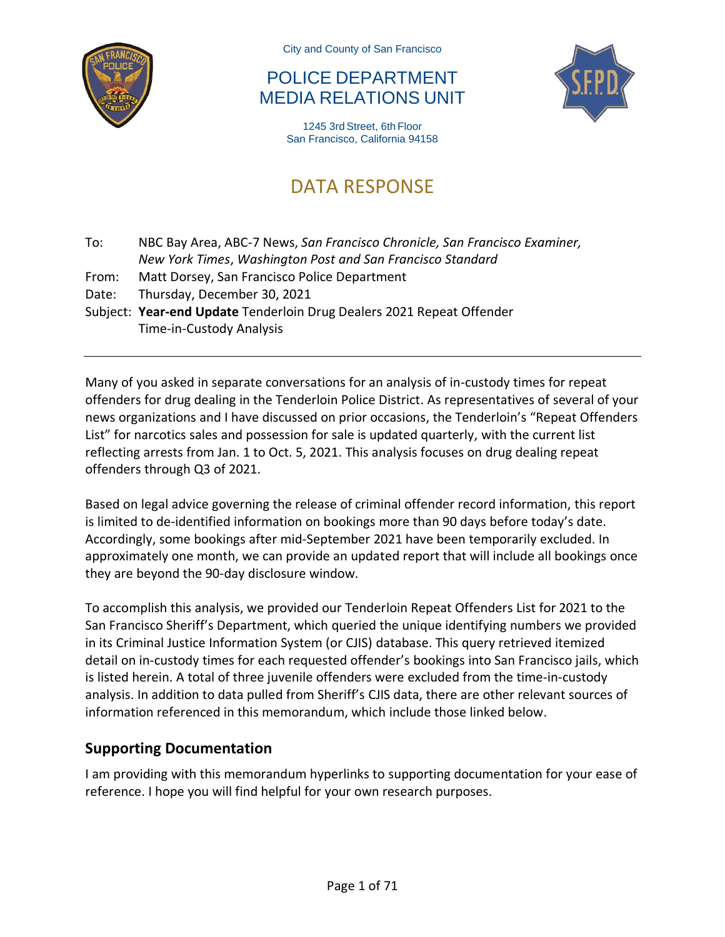

City and County of San Francisco

### POLICE DEPARTMENT MEDIA RELATIONS UNIT



1245 3rd Street, 6th Floor San Francisco, California 94158

# DATA RESPONSE

To: NBC Bay Area, ABC-7 News, *San Francisco Chronicle, San Francisco Examiner, New York Times*, *Washington Post and San Francisco Standard*

- From: Matt Dorsey, San Francisco Police Department
- Date: Thursday, December 30, 2021

Subject: **Year-end Update** Tenderloin Drug Dealers 2021 Repeat Offender Time-in-Custody Analysis

Many of you asked in separate conversations for an analysis of in-custody times for repeat offenders for drug dealing in the Tenderloin Police District. As representatives of several of your news organizations and I have discussed on prior occasions, the Tenderloin's "Repeat Offenders List" for narcotics sales and possession for sale is updated quarterly, with the current list reflecting arrests from Jan. 1 to Oct. 5, 2021. This analysis focuses on drug dealing repeat offenders through Q3 of 2021.

Based on legal advice governing the release of criminal offender record information, this report is limited to de-identified information on bookings more than 90 days before today's date. Accordingly, some bookings after mid-September 2021 have been temporarily excluded. In approximately one month, we can provide an updated report that will include all bookings once they are beyond the 90-day disclosure window.

To accomplish this analysis, we provided our Tenderloin Repeat Offenders List for 2021 to the San Francisco Sheriff's Department, which queried the unique identifying numbers we provided in its Criminal Justice Information System (or CJIS) database. This query retrieved itemized detail on in-custody times for each requested offender's bookings into San Francisco jails, which is listed herein. A total of three juvenile offenders were excluded from the time-in-custody analysis. In addition to data pulled from Sheriff's CJIS data, there are other relevant sources of information referenced in this memorandum, which include those linked below.

#### **Supporting Documentation**

I am providing with this memorandum hyperlinks to supporting documentation for your ease of reference. I hope you will find helpful for your own research purposes.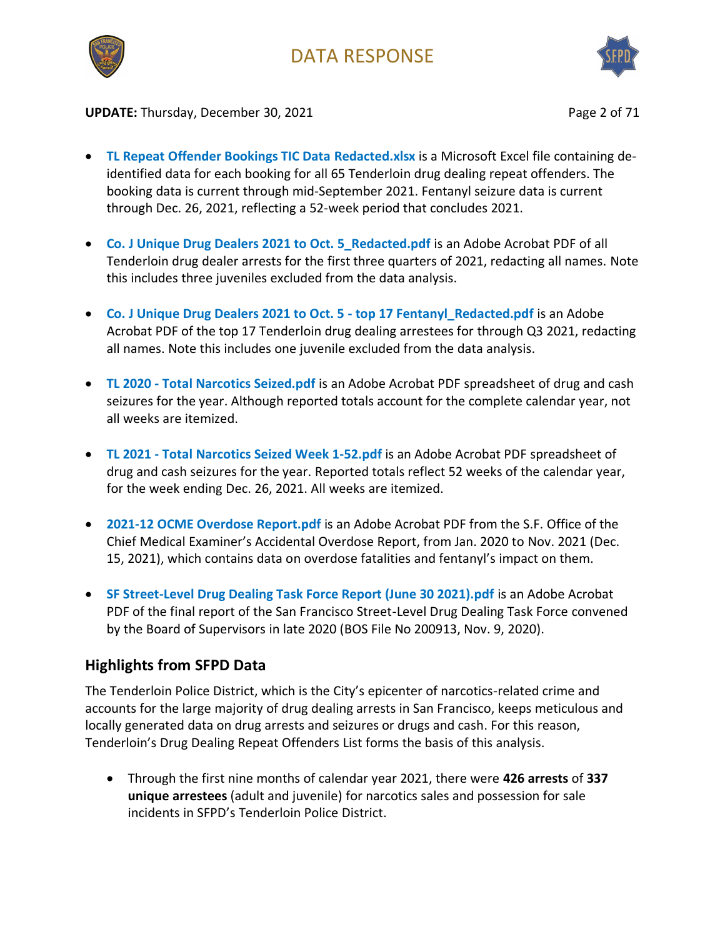



**UPDATE:** Thursday, December 30, 2021 **Page 2 of 71** Page 2 of 71

- **[TL Repeat Offender Bookings TIC Data Redacted.xlsx](https://1drv.ms/x/s!ArAQGlv8Df5nlwc41KPyMRaLIoSU?e=Q5cyee)** is a Microsoft Excel file containing deidentified data for each booking for all 65 Tenderloin drug dealing repeat offenders. The booking data is current through mid-September 2021. Fentanyl seizure data is current through Dec. 26, 2021, reflecting a 52-week period that concludes 2021.
- **[Co. J Unique Drug Dealers 2021 to Oct. 5\\_Redacted.pdf](https://1drv.ms/b/s!ArAQGlv8Df5nlmJ0D8fZOYfZ0VfP?e=AyFQpe)** is an Adobe Acrobat PDF of all Tenderloin drug dealer arrests for the first three quarters of 2021, redacting all names. Note this includes three juveniles excluded from the data analysis.
- **[Co. J Unique Drug Dealers 2021 to Oct. 5 -](https://1drv.ms/b/s!ArAQGlv8Df5nlmbT1kKSeUPkf4gi?e=rXxiBI) top 17 Fentanyl\_Redacted.pdf** is an Adobe Acrobat PDF of the top 17 Tenderloin drug dealing arrestees for through Q3 2021, redacting all names. Note this includes one juvenile excluded from the data analysis.
- **TL 2020 - [Total Narcotics Seized.pdf](https://1drv.ms/b/s!ArAQGlv8Df5nlmSNTjhZuDJfZA7l?e=Flkhex)** is an Adobe Acrobat PDF spreadsheet of drug and cash seizures for the year. Although reported totals account for the complete calendar year, not all weeks are itemized.
- **TL 2021 - Total [Narcotics Seized Week 1-52.pdf](https://1drv.ms/b/s!ArAQGlv8Df5nlwuo_h1Uusl2f9_Z?e=vBVBy8)** is an Adobe Acrobat PDF spreadsheet of drug and cash seizures for the year. Reported totals reflect 52 weeks of the calendar year, for the week ending Dec. 26, 2021. All weeks are itemized.
- **2021-12 [OCME Overdose Report.pdf](https://sf.gov/sites/default/files/2021-12/2021%2012_OCME%20Overdose%20Report.pdf)** is an Adobe Acrobat PDF from the S.F. Office of the Chief Medical Examiner's Accidental Overdose Report, from Jan. 2020 to Nov. 2021 (Dec. 15, 2021), which contains data on overdose fatalities and fentanyl's impact on them.
- **[SF Street-Level Drug Dealing Task Force Report \(June 30 2021\).pdf](https://1drv.ms/b/s!ArAQGlv8Df5nlmWEF9cQEChML4_R?e=g9sQee)** is an Adobe Acrobat PDF of the final report of the San Francisco Street-Level Drug Dealing Task Force convened by the Board of Supervisors in late 2020 (BOS File No 200913, Nov. 9, 2020).

#### **Highlights from SFPD Data**

The Tenderloin Police District, which is the City's epicenter of narcotics-related crime and accounts for the large majority of drug dealing arrests in San Francisco, keeps meticulous and locally generated data on drug arrests and seizures or drugs and cash. For this reason, Tenderloin's Drug Dealing Repeat Offenders List forms the basis of this analysis.

• Through the first nine months of calendar year 2021, there were **426 arrests** of **337 unique arrestees** (adult and juvenile) for narcotics sales and possession for sale incidents in SFPD's Tenderloin Police District.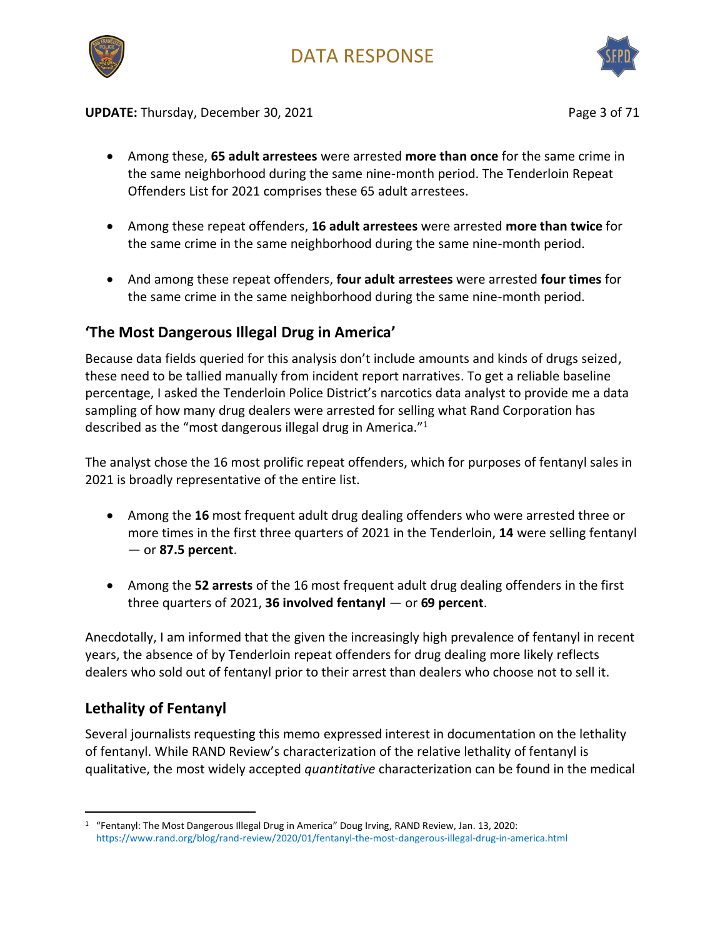



**UPDATE:** Thursday, December 30, 2021 **Page 3 of 71** Page 3 of 71

- Among these, **65 adult arrestees** were arrested **more than once** for the same crime in the same neighborhood during the same nine-month period. The Tenderloin Repeat Offenders List for 2021 comprises these 65 adult arrestees.
- Among these repeat offenders, **16 adult arrestees** were arrested **more than twice** for the same crime in the same neighborhood during the same nine-month period.
- And among these repeat offenders, **four adult arrestees** were arrested **four times** for the same crime in the same neighborhood during the same nine-month period.

#### **'The Most Dangerous Illegal Drug in America'**

Because data fields queried for this analysis don't include amounts and kinds of drugs seized, these need to be tallied manually from incident report narratives. To get a reliable baseline percentage, I asked the Tenderloin Police District's narcotics data analyst to provide me a data sampling of how many drug dealers were arrested for selling what Rand Corporation has described as the "most dangerous illegal drug in America."<sup>1</sup>

The analyst chose the 16 most prolific repeat offenders, which for purposes of fentanyl sales in 2021 is broadly representative of the entire list.

- Among the **16** most frequent adult drug dealing offenders who were arrested three or more times in the first three quarters of 2021 in the Tenderloin, **14** were selling fentanyl — or **87.5 percent**.
- Among the **52 arrests** of the 16 most frequent adult drug dealing offenders in the first three quarters of 2021, **36 involved fentanyl** — or **69 percent**.

Anecdotally, I am informed that the given the increasingly high prevalence of fentanyl in recent years, the absence of by Tenderloin repeat offenders for drug dealing more likely reflects dealers who sold out of fentanyl prior to their arrest than dealers who choose not to sell it.

#### **Lethality of Fentanyl**

Several journalists requesting this memo expressed interest in documentation on the lethality of fentanyl. While RAND Review's characterization of the relative lethality of fentanyl is qualitative, the most widely accepted *quantitative* characterization can be found in the medical

<sup>1</sup> "Fentanyl: The Most Dangerous Illegal Drug in America" Doug Irving, RAND Review, Jan. 13, 2020: <https://www.rand.org/blog/rand-review/2020/01/fentanyl-the-most-dangerous-illegal-drug-in-america.html>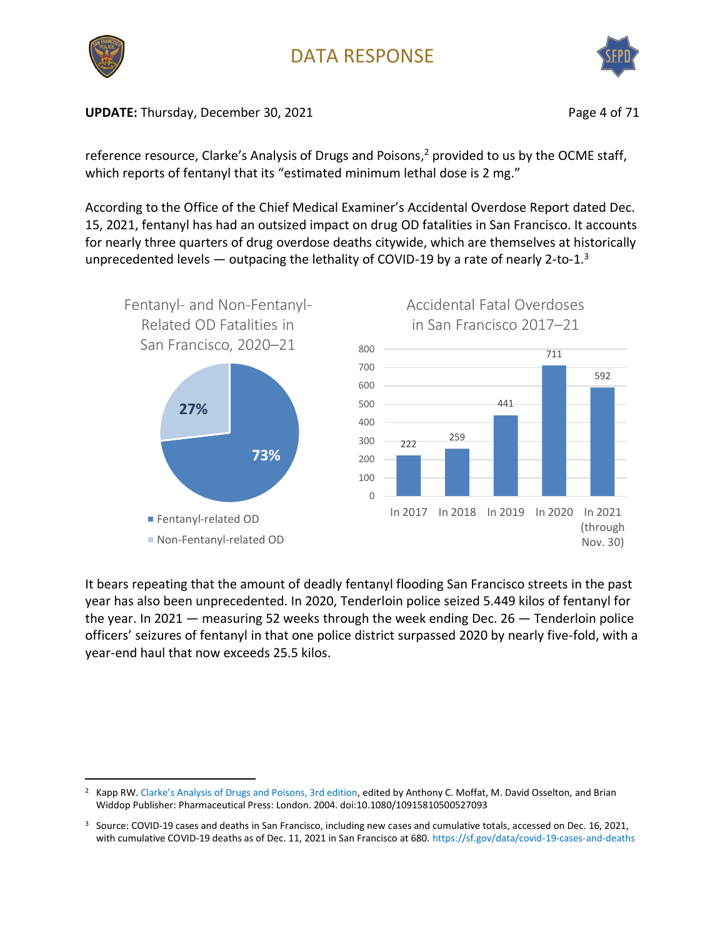

**UPDATE:** Thursday, December 30, 2021 **Page 4 of 71** Page 4 of 71

reference resource, Clarke's Analysis of Drugs and Poisons,<sup>2</sup> provided to us by the OCME staff, which reports of fentanyl that its "estimated minimum lethal dose is 2 mg."

According to the Office of the Chief Medical Examiner's Accidental Overdose Report dated Dec. 15, 2021, fentanyl has had an outsized impact on drug OD fatalities in San Francisco. It accounts for nearly three quarters of drug overdose deaths citywide, which are themselves at historically unprecedented levels  $-$  outpacing the lethality of COVID-19 by a rate of nearly 2-to-1.<sup>3</sup>



It bears repeating that the amount of deadly fentanyl flooding San Francisco streets in the past year has also been unprecedented. In 2020, Tenderloin police seized 5.449 kilos of fentanyl for the year. In 2021 — measuring 52 weeks through the week ending Dec. 26 — Tenderloin police officers' seizures of fentanyl in that one police district surpassed 2020 by nearly five-fold, with a year-end haul that now exceeds 25.5 kilos.

<sup>2</sup> Kapp RW. [Clarke's Analysis of Drugs and Poisons, 3rd edition](https://documentcloud.adobe.com/link/track?uri=urn:aaid:scds:US:22f882cf-2530-4d2c-99f8-6360582c9272), edited by Anthony C. Moffat, M. David Osselton, and Brian Widdop Publisher: Pharmaceutical Press: London. 2004. doi:10.1080/10915810500527093

<sup>&</sup>lt;sup>3</sup> Source: COVID-19 cases and deaths in San Francisco, including new cases and cumulative totals, accessed on Dec. 16, 2021, with cumulative COVID-19 deaths as of Dec. 11, 2021 in San Francisco at 680.<https://sf.gov/data/covid-19-cases-and-deaths>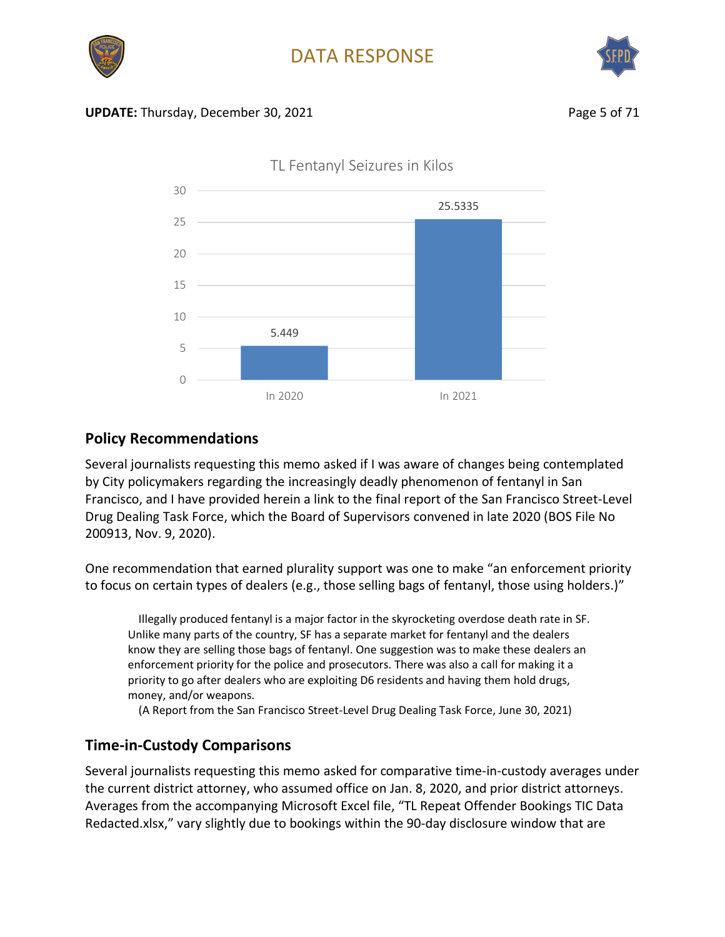



#### **UPDATE:** Thursday, December 30, 2021 **Page 5 of 71** Page 5 of 71



TL Fentanyl Seizures in Kilos

#### **Policy Recommendations**

Several journalists requesting this memo asked if I was aware of changes being contemplated by City policymakers regarding the increasingly deadly phenomenon of fentanyl in San Francisco, and I have provided herein a link to the final report of the San Francisco Street-Level Drug Dealing Task Force, which the Board of Supervisors convened in late 2020 (BOS File No 200913, Nov. 9, 2020).

One recommendation that earned plurality support was one to make "an enforcement priority to focus on certain types of dealers (e.g., those selling bags of fentanyl, those using holders.)"

Illegally produced fentanyl is a major factor in the skyrocketing overdose death rate in SF. Unlike many parts of the country, SF has a separate market for fentanyl and the dealers know they are selling those bags of fentanyl. One suggestion was to make these dealers an enforcement priority for the police and prosecutors. There was also a call for making it a priority to go after dealers who are exploiting D6 residents and having them hold drugs, money, and/or weapons.

(A Report from the San Francisco Street-Level Drug Dealing Task Force, June 30, 2021)

#### **Time-in-Custody Comparisons**

Several journalists requesting this memo asked for comparative time-in-custody averages under the current district attorney, who assumed office on Jan. 8, 2020, and prior district attorneys. Averages from the accompanying Microsoft Excel file, "TL Repeat Offender Bookings TIC Data Redacted.xlsx," vary slightly due to bookings within the 90-day disclosure window that are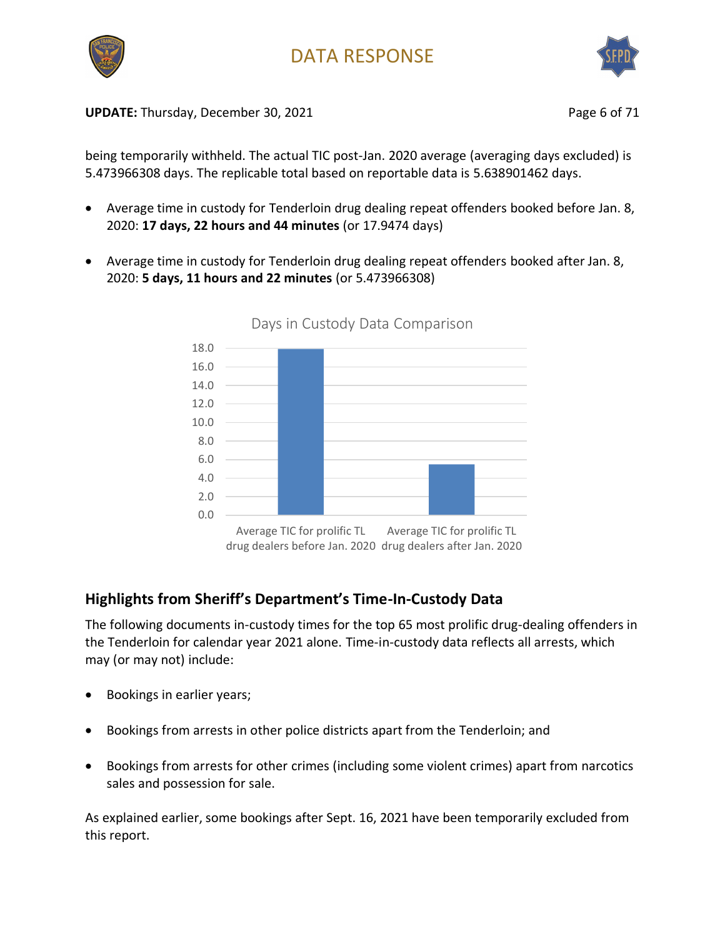



**UPDATE:** Thursday, December 30, 2021 **Page 6 of 71** Page 6 of 71

being temporarily withheld. The actual TIC post-Jan. 2020 average (averaging days excluded) is 5.473966308 days. The replicable total based on reportable data is 5.638901462 days.

- Average time in custody for Tenderloin drug dealing repeat offenders booked before Jan. 8, 2020: **17 days, 22 hours and 44 minutes** (or 17.9474 days)
- Average time in custody for Tenderloin drug dealing repeat offenders booked after Jan. 8, 2020: **5 days, 11 hours and 22 minutes** (or 5.473966308)



Days in Custody Data Comparison

#### **Highlights from Sheriff's Department's Time-In-Custody Data**

The following documents in-custody times for the top 65 most prolific drug-dealing offenders in the Tenderloin for calendar year 2021 alone. Time-in-custody data reflects all arrests, which may (or may not) include:

- Bookings in earlier years;
- Bookings from arrests in other police districts apart from the Tenderloin; and
- Bookings from arrests for other crimes (including some violent crimes) apart from narcotics sales and possession for sale.

As explained earlier, some bookings after Sept. 16, 2021 have been temporarily excluded from this report.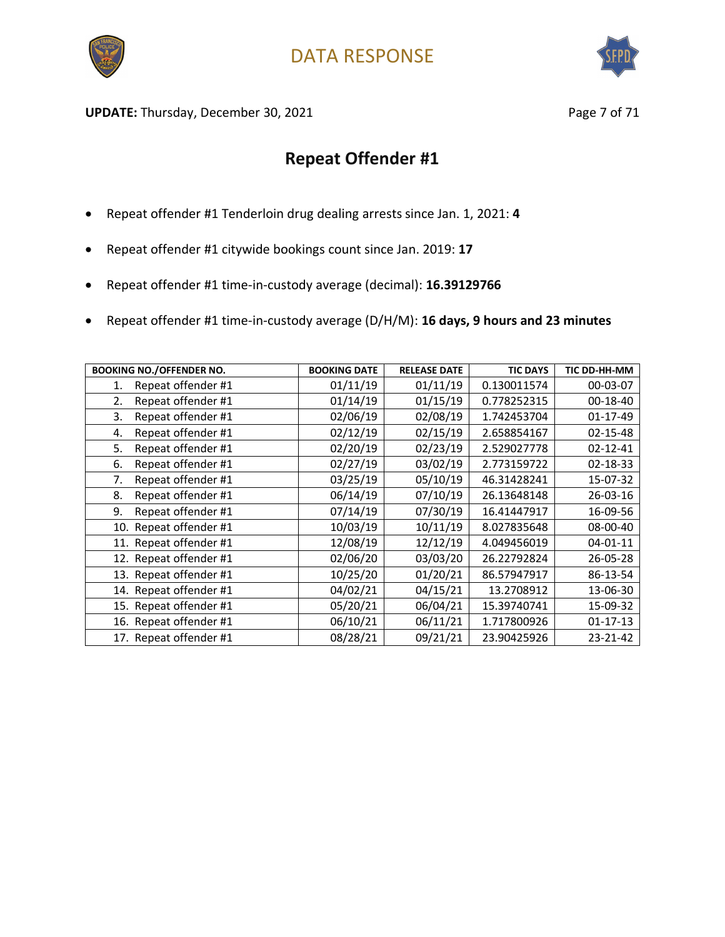



UPDATE: Thursday, December 30, 2021 and the same of 21 and 2012 and 2012 and 2012 and 2012 and 2012 and 2012 and 201

- Repeat offender #1 Tenderloin drug dealing arrests since Jan. 1, 2021: **4**
- Repeat offender #1 citywide bookings count since Jan. 2019: **17**
- Repeat offender #1 time-in-custody average (decimal): **16.39129766**
- Repeat offender #1 time-in-custody average (D/H/M): **16 days, 9 hours and 23 minutes**

| <b>BOOKING NO./OFFENDER NO.</b> | <b>BOOKING DATE</b> | <b>RELEASE DATE</b> | <b>TIC DAYS</b> | TIC DD-HH-MM   |
|---------------------------------|---------------------|---------------------|-----------------|----------------|
| Repeat offender #1<br>1.        | 01/11/19            | 01/11/19            | 0.130011574     | 00-03-07       |
| Repeat offender #1<br>2.        | 01/14/19            | 01/15/19            | 0.778252315     | 00-18-40       |
| Repeat offender #1<br>3.        | 02/06/19            | 02/08/19            | 1.742453704     | 01-17-49       |
| Repeat offender #1<br>4.        | 02/12/19            | 02/15/19            | 2.658854167     | $02 - 15 - 48$ |
| Repeat offender #1<br>5.        | 02/20/19            | 02/23/19            | 2.529027778     | $02 - 12 - 41$ |
| Repeat offender #1<br>6.        | 02/27/19            | 03/02/19            | 2.773159722     | $02 - 18 - 33$ |
| 7.<br>Repeat offender #1        | 03/25/19            | 05/10/19            | 46.31428241     | 15-07-32       |
| Repeat offender #1<br>8.        | 06/14/19            | 07/10/19            | 26.13648148     | 26-03-16       |
| Repeat offender #1<br>9.        | 07/14/19            | 07/30/19            | 16.41447917     | 16-09-56       |
| 10. Repeat offender #1          | 10/03/19            | 10/11/19            | 8.027835648     | 08-00-40       |
| 11. Repeat offender #1          | 12/08/19            | 12/12/19            | 4.049456019     | $04 - 01 - 11$ |
| 12. Repeat offender #1          | 02/06/20            | 03/03/20            | 26.22792824     | 26-05-28       |
| 13. Repeat offender #1          | 10/25/20            | 01/20/21            | 86.57947917     | 86-13-54       |
| 14. Repeat offender #1          | 04/02/21            | 04/15/21            | 13.2708912      | 13-06-30       |
| 15. Repeat offender #1          | 05/20/21            | 06/04/21            | 15.39740741     | 15-09-32       |
| 16. Repeat offender #1          | 06/10/21            | 06/11/21            | 1.717800926     | $01 - 17 - 13$ |
| 17. Repeat offender #1          | 08/28/21            | 09/21/21            | 23.90425926     | 23-21-42       |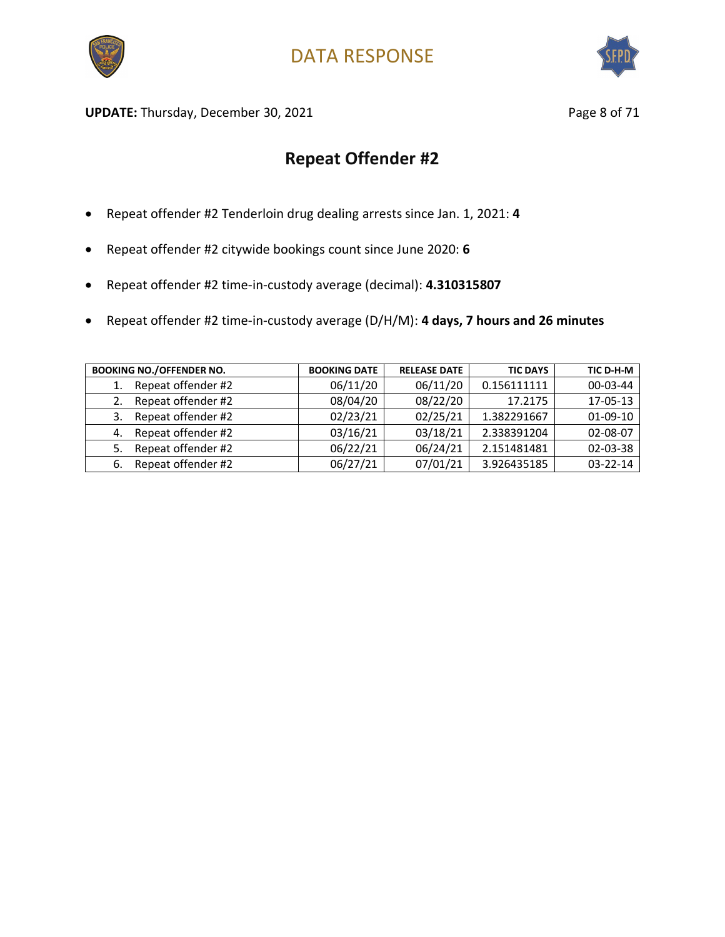



UPDATE: Thursday, December 30, 2021 and the same page 8 of 71

- Repeat offender #2 Tenderloin drug dealing arrests since Jan. 1, 2021: **4**
- Repeat offender #2 citywide bookings count since June 2020: **6**
- Repeat offender #2 time-in-custody average (decimal): **4.310315807**
- Repeat offender #2 time-in-custody average (D/H/M): **4 days, 7 hours and 26 minutes**

| <b>BOOKING NO./OFFENDER NO.</b> | <b>BOOKING DATE</b> | <b>RELEASE DATE</b> | <b>TIC DAYS</b> | TIC D-H-M      |
|---------------------------------|---------------------|---------------------|-----------------|----------------|
| Repeat offender #2<br>1.        | 06/11/20            | 06/11/20            | 0.156111111     | 00-03-44       |
| Repeat offender #2              | 08/04/20            | 08/22/20            | 17.2175         | 17-05-13       |
| Repeat offender #2<br>3.        | 02/23/21            | 02/25/21            | 1.382291667     | $01-09-10$     |
| Repeat offender #2<br>4.        | 03/16/21            | 03/18/21            | 2.338391204     | 02-08-07       |
| Repeat offender #2<br>5.        | 06/22/21            | 06/24/21            | 2.151481481     | 02-03-38       |
| Repeat offender #2<br>6.        | 06/27/21            | 07/01/21            | 3.926435185     | $03 - 22 - 14$ |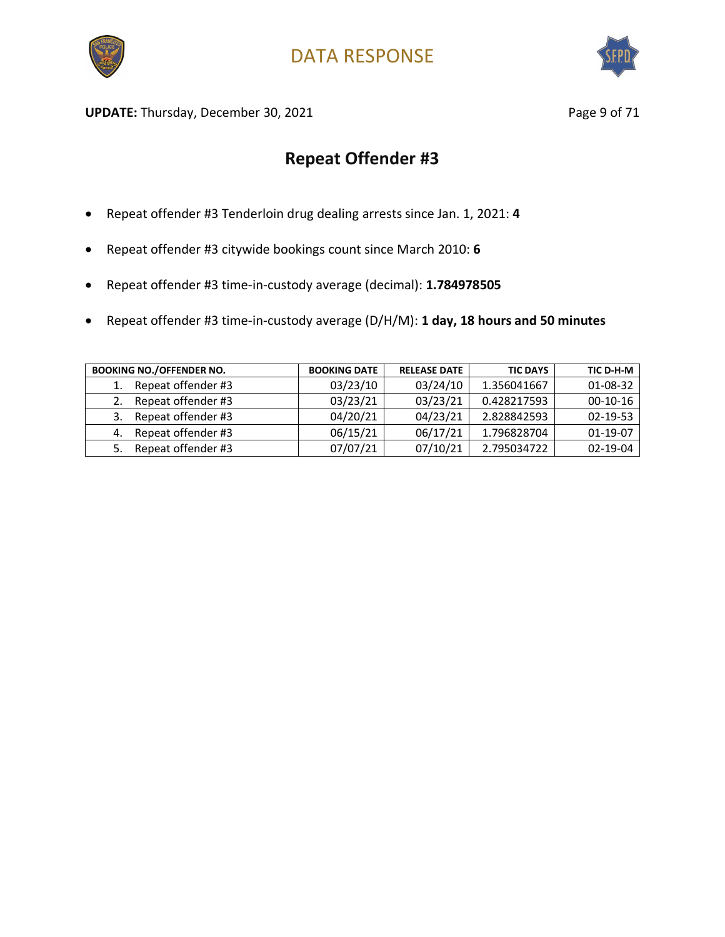



UPDATE: Thursday, December 30, 2021 and the same page 9 of 71

- Repeat offender #3 Tenderloin drug dealing arrests since Jan. 1, 2021: **4**
- Repeat offender #3 citywide bookings count since March 2010: **6**
- Repeat offender #3 time-in-custody average (decimal): **1.784978505**
- Repeat offender #3 time-in-custody average (D/H/M): **1 day, 18 hours and 50 minutes**

| <b>BOOKING NO./OFFENDER NO.</b> | <b>BOOKING DATE</b> | <b>RELEASE DATE</b> | <b>TIC DAYS</b> | TIC D-H-M      |
|---------------------------------|---------------------|---------------------|-----------------|----------------|
| Repeat offender #3              | 03/23/10            | 03/24/10            | 1.356041667     | 01-08-32       |
| Repeat offender #3              | 03/23/21            | 03/23/21            | 0.428217593     | $00-10-16$     |
| Repeat offender #3<br>3.        | 04/20/21            | 04/23/21            | 2.828842593     | $02 - 19 - 53$ |
| Repeat offender #3<br>4.        | 06/15/21            | 06/17/21            | 1.796828704     | $01-19-07$     |
| Repeat offender #3              | 07/07/21            | 07/10/21            | 2.795034722     | $02 - 19 - 04$ |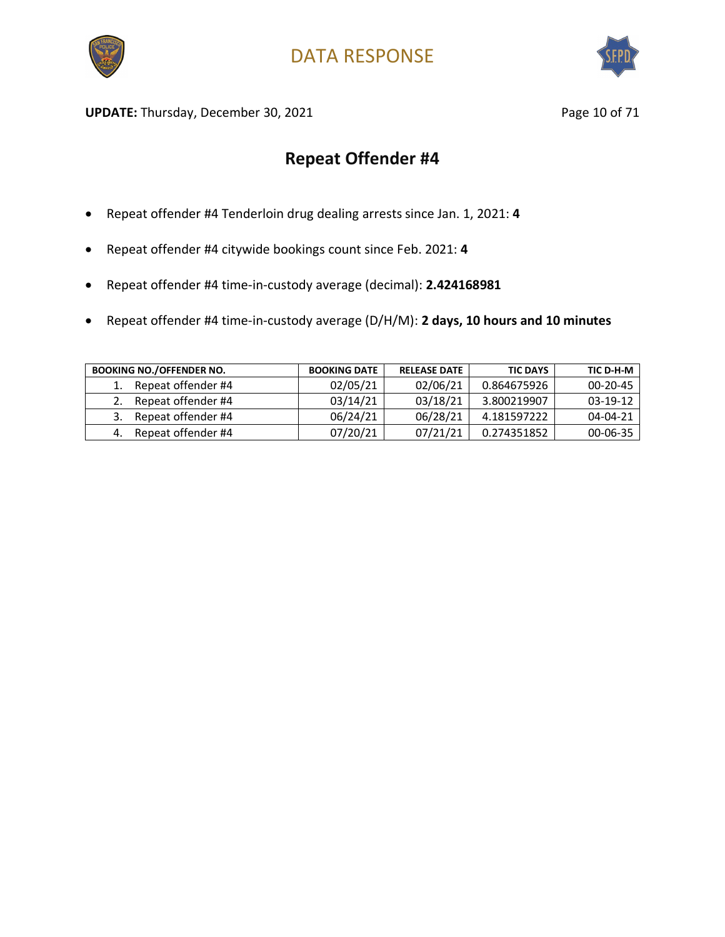



UPDATE: Thursday, December 30, 2021 and the same of 21 and 21 and 22 and 22 and 22 and 22 and 22 and 22 and 23 and 23 and 23 and 23 and 23 and 23 and 23 and 23 and 23 and 23 and 23 and 23 and 23 and 23 and 23 and 23 and 23

- Repeat offender #4 Tenderloin drug dealing arrests since Jan. 1, 2021: **4**
- Repeat offender #4 citywide bookings count since Feb. 2021: **4**
- Repeat offender #4 time-in-custody average (decimal): **2.424168981**
- Repeat offender #4 time-in-custody average (D/H/M): **2 days, 10 hours and 10 minutes**

| <b>BOOKING NO./OFFENDER NO.</b> | <b>BOOKING DATE</b> | <b>RELEASE DATE</b> | <b>TIC DAYS</b> | TIC D-H-M      |
|---------------------------------|---------------------|---------------------|-----------------|----------------|
| Repeat offender #4              | 02/05/21            | 02/06/21            | 0.864675926     | $00 - 20 - 45$ |
| Repeat offender #4              | 03/14/21            | 03/18/21            | 3.800219907     | $03 - 19 - 12$ |
| Repeat offender #4              | 06/24/21            | 06/28/21            | 4.181597222     | $04 - 04 - 21$ |
| Repeat offender #4              | 07/20/21            | 07/21/21            | 0.274351852     | 00-06-35       |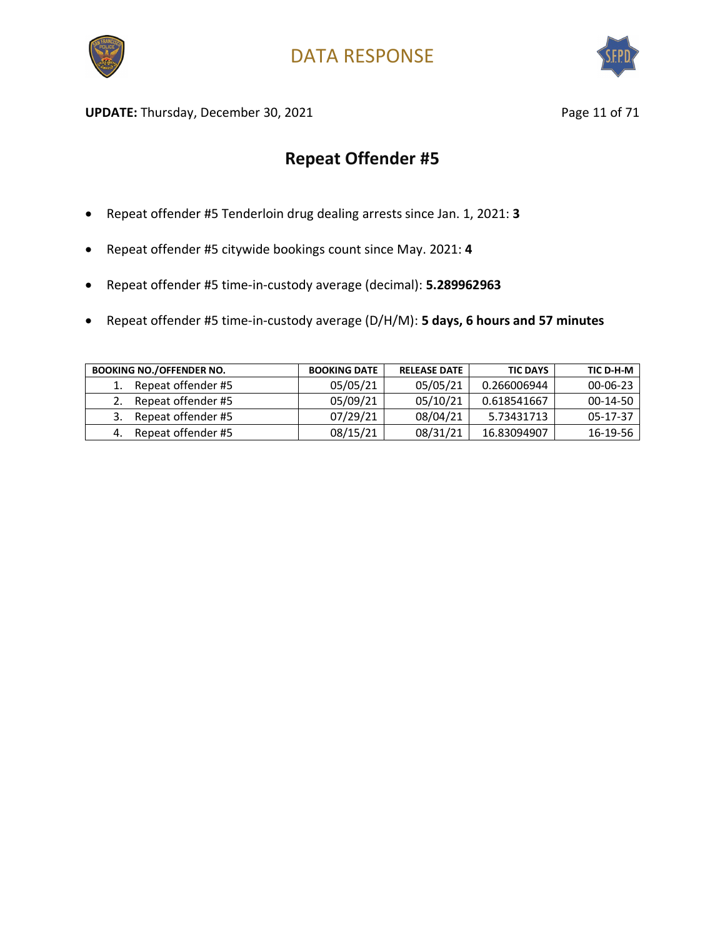



**UPDATE:** Thursday, December 30, 2021 **Page 11 of 71** Page 11 of 71

- Repeat offender #5 Tenderloin drug dealing arrests since Jan. 1, 2021: **3**
- Repeat offender #5 citywide bookings count since May. 2021: **4**
- Repeat offender #5 time-in-custody average (decimal): **5.289962963**
- Repeat offender #5 time-in-custody average (D/H/M): **5 days, 6 hours and 57 minutes**

| <b>BOOKING NO./OFFENDER NO.</b> | <b>BOOKING DATE</b> | <b>RELEASE DATE</b> | <b>TIC DAYS</b> | TIC D-H-M      |
|---------------------------------|---------------------|---------------------|-----------------|----------------|
| Repeat offender #5              | 05/05/21            | 05/05/21            | 0.266006944     | $00 - 06 - 23$ |
| Repeat offender #5              | 05/09/21            | 05/10/21            | 0.618541667     | $00-14-50$     |
| Repeat offender #5              | 07/29/21            | 08/04/21            | 5.73431713      | $05 - 17 - 37$ |
| Repeat offender #5              | 08/15/21            | 08/31/21            | 16.83094907     | 16-19-56       |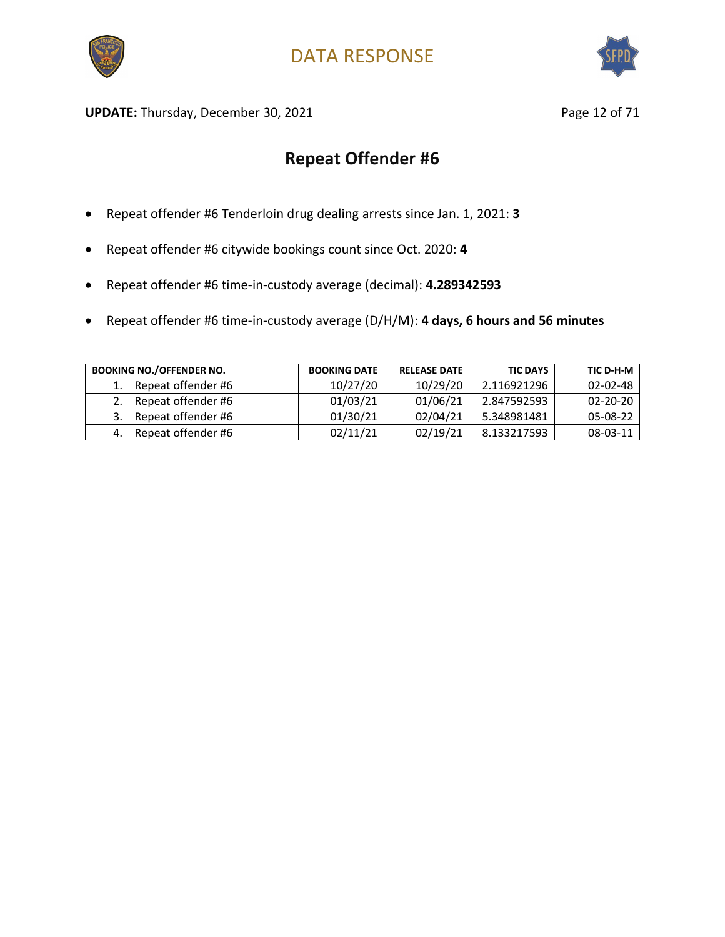



UPDATE: Thursday, December 30, 2021 and the same of 2008 and Page 12 of 71

- Repeat offender #6 Tenderloin drug dealing arrests since Jan. 1, 2021: **3**
- Repeat offender #6 citywide bookings count since Oct. 2020: **4**
- Repeat offender #6 time-in-custody average (decimal): **4.289342593**
- Repeat offender #6 time-in-custody average (D/H/M): **4 days, 6 hours and 56 minutes**

| <b>BOOKING NO./OFFENDER NO.</b> | <b>BOOKING DATE</b> | <b>RELEASE DATE</b> | <b>TIC DAYS</b> | TIC D-H-M      |
|---------------------------------|---------------------|---------------------|-----------------|----------------|
| Repeat offender #6              | 10/27/20            | 10/29/20            | 2.116921296     | $02 - 02 - 48$ |
| Repeat offender #6              | 01/03/21            | 01/06/21            | 2.847592593     | $02 - 20 - 20$ |
| Repeat offender #6              | 01/30/21            | 02/04/21            | 5.348981481     | 05-08-22       |
| Repeat offender #6              | 02/11/21            | 02/19/21            | 8.133217593     | 08-03-11       |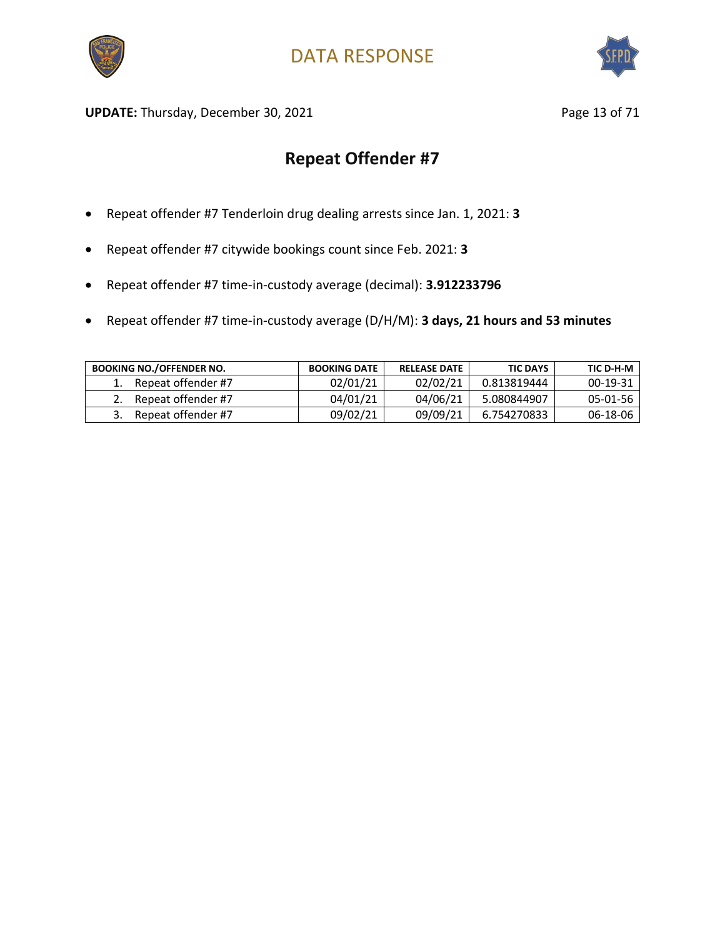



UPDATE: Thursday, December 30, 2021 and the same of the Page 13 of 71

- Repeat offender #7 Tenderloin drug dealing arrests since Jan. 1, 2021: **3**
- Repeat offender #7 citywide bookings count since Feb. 2021: **3**
- Repeat offender #7 time-in-custody average (decimal): **3.912233796**
- Repeat offender #7 time-in-custody average (D/H/M): **3 days, 21 hours and 53 minutes**

| <b>BOOKING NO./OFFENDER NO.</b> | <b>BOOKING DATE</b> | <b>RELEASE DATE</b> | <b>TIC DAYS</b> | TIC D-H-M |
|---------------------------------|---------------------|---------------------|-----------------|-----------|
| Repeat offender #7              | 02/01/21            | 02/02/21            | 0.813819444     | 00-19-31  |
| Repeat offender #7              | 04/01/21            | 04/06/21            | 5.080844907     | 05-01-56  |
| Repeat offender #7              | 09/02/21            | 09/09/21            | 6.754270833     | 06-18-06  |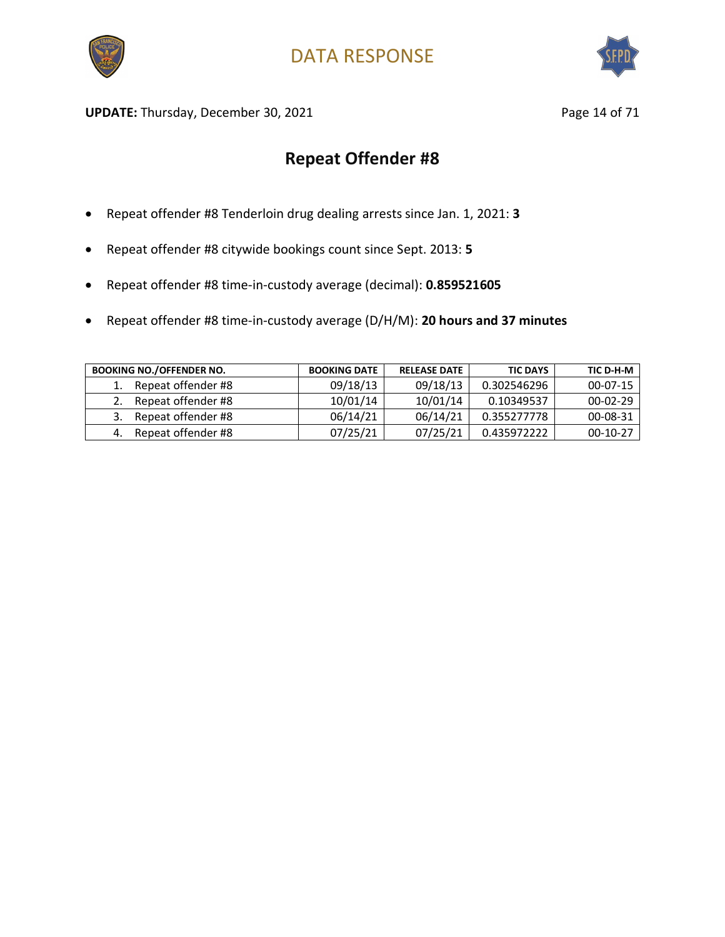



UPDATE: Thursday, December 30, 2021 and the same of 21 and 21 and 21 and 22 and 22 and 22 and 22 and 22 and 23 and 23 and 23 and 23 and 23 and 23 and 23 and 23 and 23 and 23 and 23 and 23 and 23 and 23 and 23 and 23 and 23

- Repeat offender #8 Tenderloin drug dealing arrests since Jan. 1, 2021: **3**
- Repeat offender #8 citywide bookings count since Sept. 2013: **5**
- Repeat offender #8 time-in-custody average (decimal): **0.859521605**
- Repeat offender #8 time-in-custody average (D/H/M): **20 hours and 37 minutes**

| <b>BOOKING NO./OFFENDER NO.</b> | <b>BOOKING DATE</b> | <b>RELEASE DATE</b> | <b>TIC DAYS</b> | TIC D-H-M      |
|---------------------------------|---------------------|---------------------|-----------------|----------------|
| Repeat offender #8              | 09/18/13            | 09/18/13            | 0.302546296     | $00 - 07 - 15$ |
| Repeat offender #8<br>2.        | 10/01/14            | 10/01/14            | 0.10349537      | $00-02-29$     |
| Repeat offender #8              | 06/14/21            | 06/14/21            | 0.355277778     | 00-08-31       |
| Repeat offender #8<br>4.        | 07/25/21            | 07/25/21            | 0.435972222     | 00-10-27       |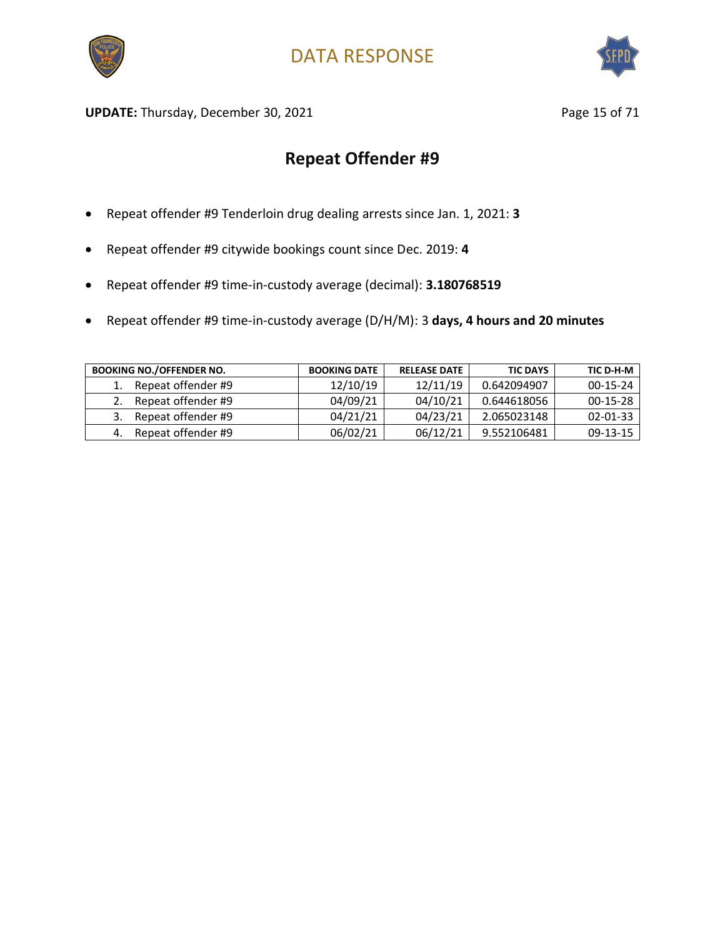



**UPDATE:** Thursday, December 30, 2021 **Page 15 of 71** Page 15 of 71

- Repeat offender #9 Tenderloin drug dealing arrests since Jan. 1, 2021: **3**
- Repeat offender #9 citywide bookings count since Dec. 2019: **4**
- Repeat offender #9 time-in-custody average (decimal): **3.180768519**
- Repeat offender #9 time-in-custody average (D/H/M): 3 **days, 4 hours and 20 minutes**

| <b>BOOKING NO./OFFENDER NO.</b> | <b>BOOKING DATE</b> | <b>RELEASE DATE</b> | <b>TIC DAYS</b> | TIC D-H-M  |
|---------------------------------|---------------------|---------------------|-----------------|------------|
| Repeat offender #9              | 12/10/19            | 12/11/19            | 0.642094907     | $00-15-24$ |
| Repeat offender #9              | 04/09/21            | 04/10/21            | 0.644618056     | $00-15-28$ |
| Repeat offender #9              | 04/21/21            | 04/23/21            | 2.065023148     | 02-01-33   |
| Repeat offender #9              | 06/02/21            | 06/12/21            | 9.552106481     | 09-13-15   |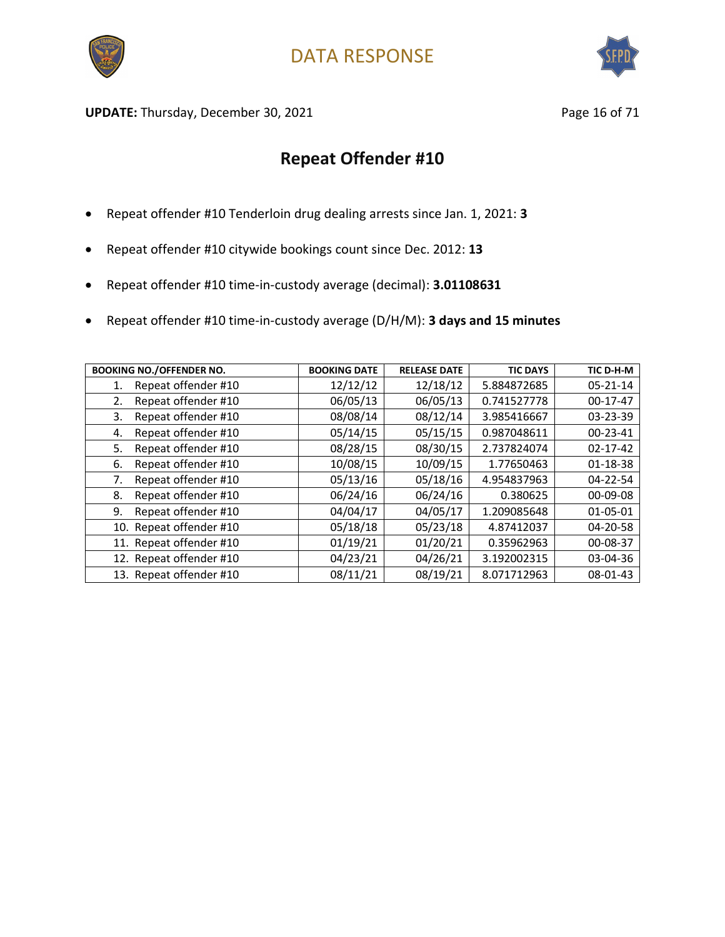



UPDATE: Thursday, December 30, 2021 and the same of 21 and 21 and 22 and 22 and 22 and 22 and 22 and 22 and 23 and 23 and 23 and 23 and 23 and 23 and 23 and 23 and 23 and 23 and 23 and 23 and 23 and 23 and 23 and 23 and 23

- Repeat offender #10 Tenderloin drug dealing arrests since Jan. 1, 2021: **3**
- Repeat offender #10 citywide bookings count since Dec. 2012: **13**
- Repeat offender #10 time-in-custody average (decimal): **3.01108631**
- Repeat offender #10 time-in-custody average (D/H/M): **3 days and 15 minutes**

| <b>BOOKING NO./OFFENDER NO.</b> | <b>BOOKING DATE</b> | <b>RELEASE DATE</b> | <b>TIC DAYS</b> | TIC D-H-M      |
|---------------------------------|---------------------|---------------------|-----------------|----------------|
| Repeat offender #10<br>1.       | 12/12/12            | 12/18/12            | 5.884872685     | $05 - 21 - 14$ |
| Repeat offender #10<br>2.       | 06/05/13            | 06/05/13            | 0.741527778     | 00-17-47       |
| Repeat offender #10<br>3.       | 08/08/14            | 08/12/14            | 3.985416667     | 03-23-39       |
| Repeat offender #10<br>4.       | 05/14/15            | 05/15/15            | 0.987048611     | $00 - 23 - 41$ |
| Repeat offender #10<br>5.       | 08/28/15            | 08/30/15            | 2.737824074     | $02 - 17 - 42$ |
| Repeat offender #10<br>6.       | 10/08/15            | 10/09/15            | 1.77650463      | $01 - 18 - 38$ |
| Repeat offender #10<br>7.       | 05/13/16            | 05/18/16            | 4.954837963     | 04-22-54       |
| Repeat offender #10<br>8.       | 06/24/16            | 06/24/16            | 0.380625        | $00 - 09 - 08$ |
| Repeat offender #10<br>9.       | 04/04/17            | 04/05/17            | 1.209085648     | $01 - 05 - 01$ |
| 10. Repeat offender #10         | 05/18/18            | 05/23/18            | 4.87412037      | $04 - 20 - 58$ |
| 11. Repeat offender #10         | 01/19/21            | 01/20/21            | 0.35962963      | 00-08-37       |
| 12. Repeat offender #10         | 04/23/21            | 04/26/21            | 3.192002315     | 03-04-36       |
| 13. Repeat offender #10         | 08/11/21            | 08/19/21            | 8.071712963     | 08-01-43       |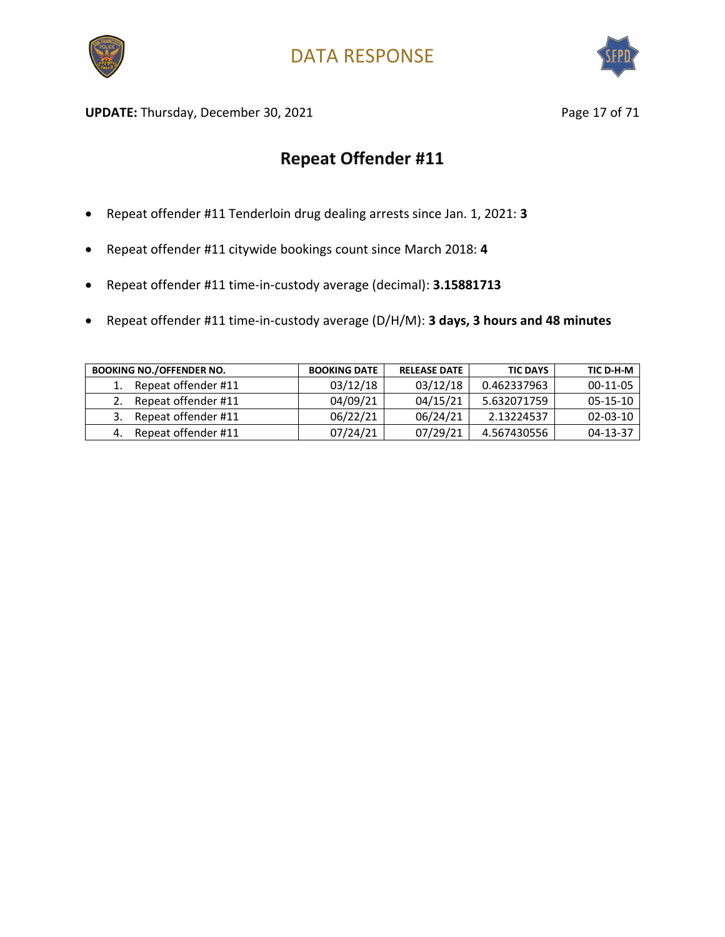



UPDATE: Thursday, December 30, 2021 and the same of 2008 and Page 17 of 71

- Repeat offender #11 Tenderloin drug dealing arrests since Jan. 1, 2021: **3**
- Repeat offender #11 citywide bookings count since March 2018: **4**
- Repeat offender #11 time-in-custody average (decimal): **3.15881713**
- Repeat offender #11 time-in-custody average (D/H/M): **3 days, 3 hours and 48 minutes**

| <b>BOOKING NO./OFFENDER NO.</b> | <b>BOOKING DATE</b> | <b>RELEASE DATE</b> | <b>TIC DAYS</b> | TIC D-H-M      |
|---------------------------------|---------------------|---------------------|-----------------|----------------|
| Repeat offender #11             | 03/12/18            | 03/12/18            | 0.462337963     | $00-11-05$     |
| Repeat offender #11             | 04/09/21            | 04/15/21            | 5.632071759     | $05-15-10$     |
| Repeat offender #11             | 06/22/21            | 06/24/21            | 2.13224537      | $02 - 03 - 10$ |
| Repeat offender #11             | 07/24/21            | 07/29/21            | 4.567430556     | 04-13-37       |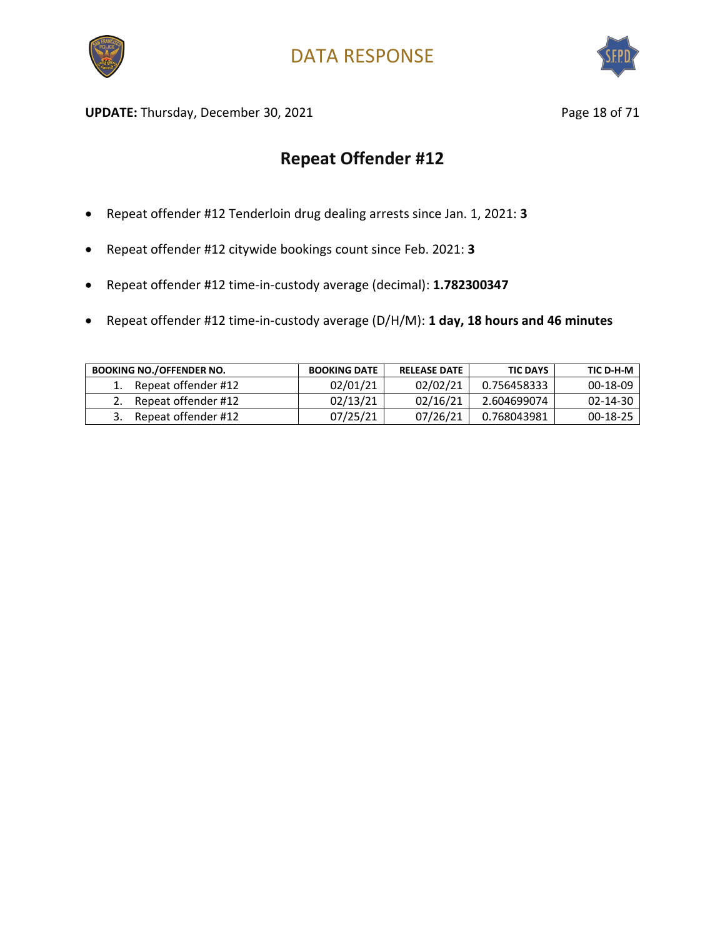



UPDATE: Thursday, December 30, 2021 and the same of 21 and 21 and 22 and 22 and 22 and 22 and 22 and 22 and 23 and 23 and 23 and 23 and 23 and 23 and 23 and 23 and 23 and 23 and 23 and 23 and 23 and 23 and 23 and 23 and 23

- Repeat offender #12 Tenderloin drug dealing arrests since Jan. 1, 2021: **3**
- Repeat offender #12 citywide bookings count since Feb. 2021: **3**
- Repeat offender #12 time-in-custody average (decimal): **1.782300347**
- Repeat offender #12 time-in-custody average (D/H/M): **1 day, 18 hours and 46 minutes**

| <b>BOOKING NO./OFFENDER NO.</b> | <b>BOOKING DATE</b> | <b>RELEASE DATE</b> | <b>TIC DAYS</b> | TIC D-H-M      |
|---------------------------------|---------------------|---------------------|-----------------|----------------|
| Repeat offender #12             | 02/01/21            | 02/02/21            | 0.756458333     | $00 - 18 - 09$ |
| Repeat offender #12             | 02/13/21            | 02/16/21            | 2.604699074     | $02 - 14 - 30$ |
| Repeat offender #12             | 07/25/21            | 07/26/21            | 0.768043981     | $00-18-25$     |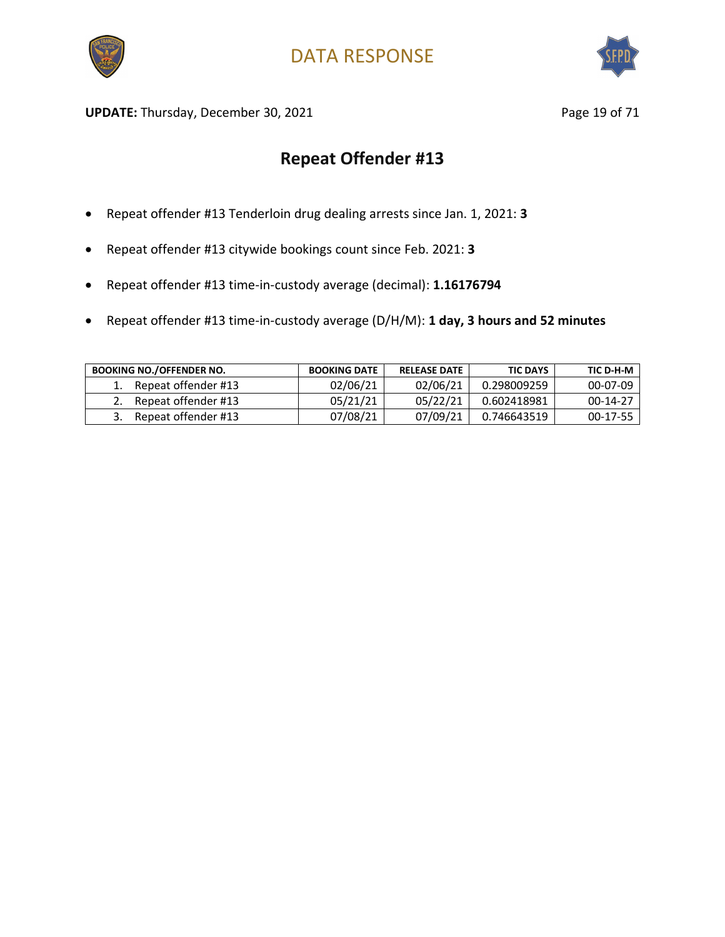



UPDATE: Thursday, December 30, 2021 and the same of 21 and 21 and 22 and 22 and 22 and 22 and 23 and 23 and 23 and 23 and 23 and 23 and 23 and 23 and 23 and 23 and 23 and 23 and 23 and 23 and 23 and 23 and 23 and 23 and 23

- Repeat offender #13 Tenderloin drug dealing arrests since Jan. 1, 2021: **3**
- Repeat offender #13 citywide bookings count since Feb. 2021: **3**
- Repeat offender #13 time-in-custody average (decimal): **1.16176794**
- Repeat offender #13 time-in-custody average (D/H/M): **1 day, 3 hours and 52 minutes**

| <b>BOOKING NO./OFFENDER NO.</b> | <b>BOOKING DATE</b> | <b>RELEASE DATE</b> | <b>TIC DAYS</b> | TIC D-H-M  |
|---------------------------------|---------------------|---------------------|-----------------|------------|
| Repeat offender #13             | 02/06/21            | 02/06/21            | 0.298009259     | 00-07-09   |
| Repeat offender #13             | 05/21/21            | 05/22/21            | 0.602418981     | $00-14-27$ |
| Repeat offender #13             | 07/08/21            | 07/09/21            | 0.746643519     | 00-17-55   |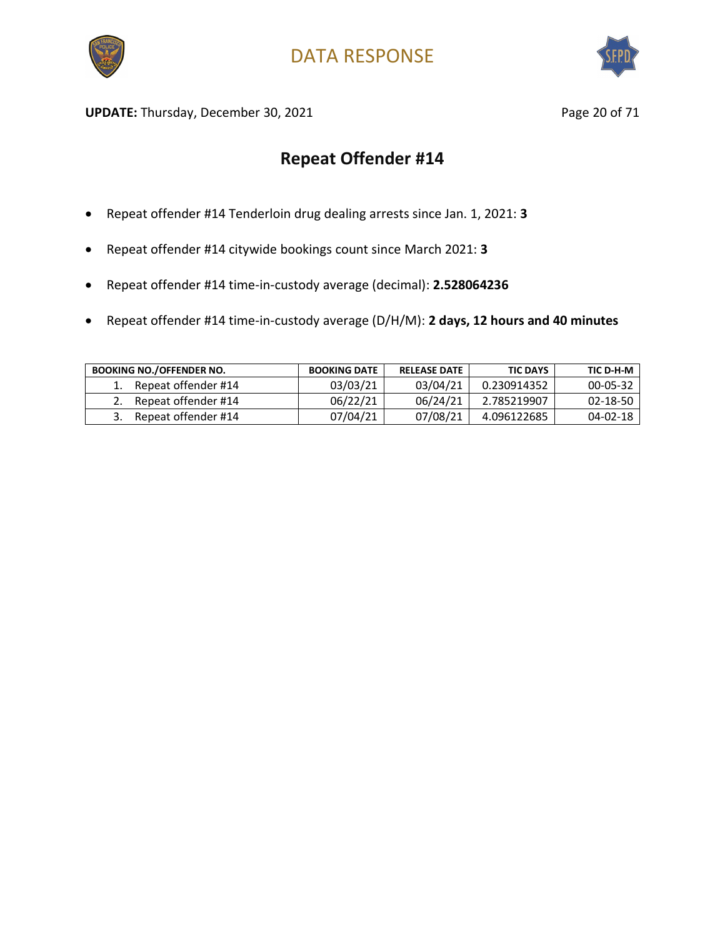



UPDATE: Thursday, December 30, 2021 and the same of the Page 20 of 71

- Repeat offender #14 Tenderloin drug dealing arrests since Jan. 1, 2021: **3**
- Repeat offender #14 citywide bookings count since March 2021: **3**
- Repeat offender #14 time-in-custody average (decimal): **2.528064236**
- Repeat offender #14 time-in-custody average (D/H/M): **2 days, 12 hours and 40 minutes**

| <b>BOOKING NO./OFFENDER NO.</b> | <b>BOOKING DATE</b> | <b>RELEASE DATE</b> | <b>TIC DAYS</b> | TIC D-H-M      |
|---------------------------------|---------------------|---------------------|-----------------|----------------|
| Repeat offender #14             | 03/03/21            | 03/04/21            | 0.230914352     | 00-05-32       |
| Repeat offender #14             | 06/22/21            | 06/24/21            | 2.785219907     | $02 - 18 - 50$ |
| Repeat offender #14             | 07/04/21            | 07/08/21            | 4.096122685     | $04 - 02 - 18$ |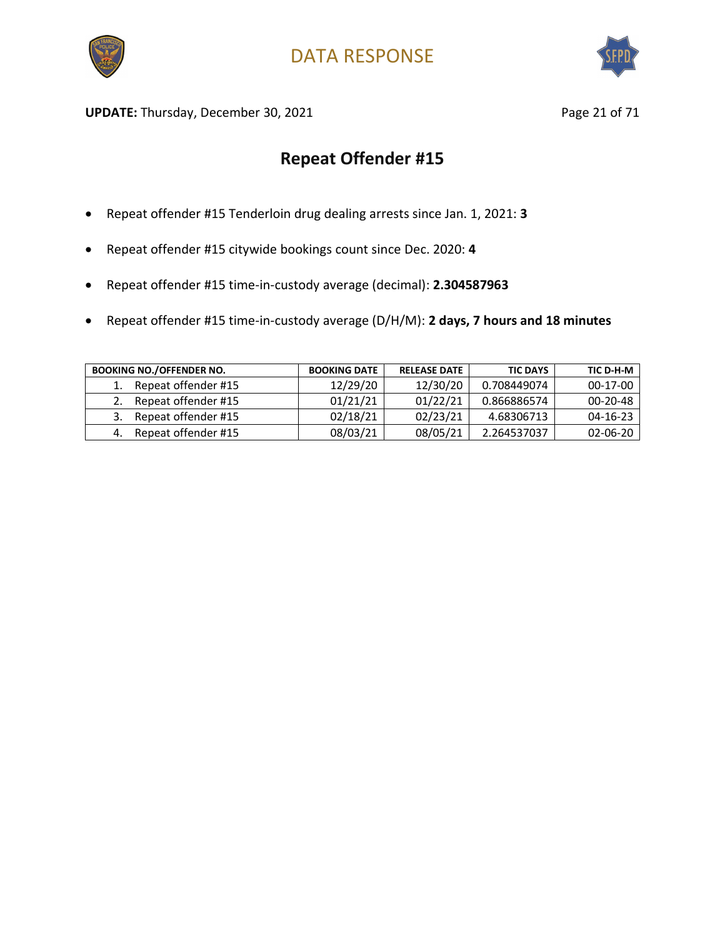



UPDATE: Thursday, December 30, 2021 **Page 21 of 71** Page 21 of 71

- Repeat offender #15 Tenderloin drug dealing arrests since Jan. 1, 2021: **3**
- Repeat offender #15 citywide bookings count since Dec. 2020: **4**
- Repeat offender #15 time-in-custody average (decimal): **2.304587963**
- Repeat offender #15 time-in-custody average (D/H/M): **2 days, 7 hours and 18 minutes**

| <b>BOOKING NO./OFFENDER NO.</b> | <b>BOOKING DATE</b> | <b>RELEASE DATE</b> | <b>TIC DAYS</b> | TIC D-H-M      |
|---------------------------------|---------------------|---------------------|-----------------|----------------|
| Repeat offender #15             | 12/29/20            | 12/30/20            | 0.708449074     | 00-17-00       |
| Repeat offender #15             | 01/21/21            | 01/22/21            | 0.866886574     | $00 - 20 - 48$ |
| Repeat offender #15             | 02/18/21            | 02/23/21            | 4.68306713      | $04 - 16 - 23$ |
| Repeat offender #15             | 08/03/21            | 08/05/21            | 2.264537037     | $02 - 06 - 20$ |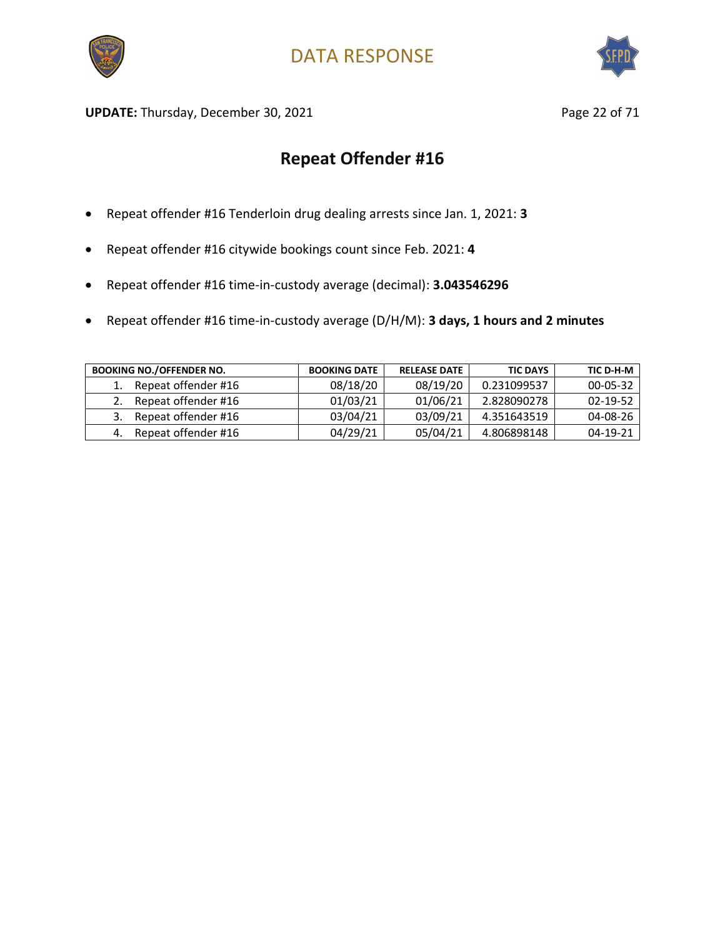



**UPDATE:** Thursday, December 30, 2021 **Page 22 of 71** Page 22 of 71

- Repeat offender #16 Tenderloin drug dealing arrests since Jan. 1, 2021: **3**
- Repeat offender #16 citywide bookings count since Feb. 2021: **4**
- Repeat offender #16 time-in-custody average (decimal): **3.043546296**
- Repeat offender #16 time-in-custody average (D/H/M): **3 days, 1 hours and 2 minutes**

| <b>BOOKING NO./OFFENDER NO.</b> | <b>BOOKING DATE</b> | <b>RELEASE DATE</b> | <b>TIC DAYS</b> | TIC D-H-M      |
|---------------------------------|---------------------|---------------------|-----------------|----------------|
| Repeat offender #16             | 08/18/20            | 08/19/20            | 0.231099537     | $00 - 05 - 32$ |
| Repeat offender #16             | 01/03/21            | 01/06/21            | 2.828090278     | 02-19-52       |
| Repeat offender #16             | 03/04/21            | 03/09/21            | 4.351643519     | 04-08-26       |
| Repeat offender #16             | 04/29/21            | 05/04/21            | 4.806898148     | 04-19-21       |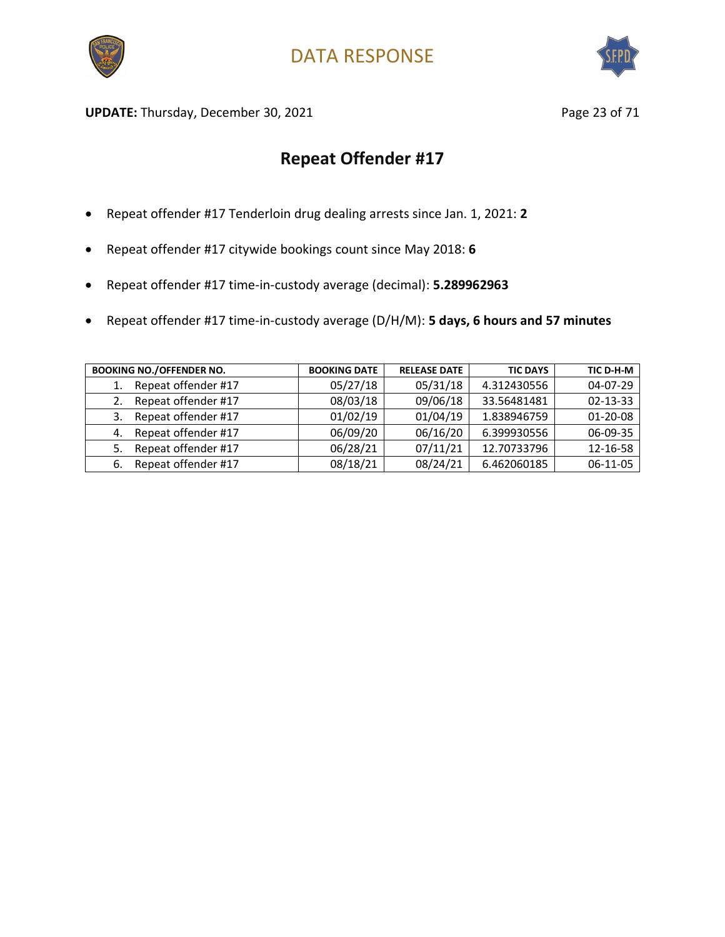



UPDATE: Thursday, December 30, 2021 and the same of the Page 23 of 71

- Repeat offender #17 Tenderloin drug dealing arrests since Jan. 1, 2021: **2**
- Repeat offender #17 citywide bookings count since May 2018: **6**
- Repeat offender #17 time-in-custody average (decimal): **5.289962963**
- Repeat offender #17 time-in-custody average (D/H/M): **5 days, 6 hours and 57 minutes**

| <b>BOOKING NO./OFFENDER NO.</b> | <b>BOOKING DATE</b> | <b>RELEASE DATE</b> | <b>TIC DAYS</b> | TIC D-H-M      |
|---------------------------------|---------------------|---------------------|-----------------|----------------|
| Repeat offender #17<br>1.       | 05/27/18            | 05/31/18            | 4.312430556     | 04-07-29       |
| Repeat offender #17             | 08/03/18            | 09/06/18            | 33.56481481     | $02 - 13 - 33$ |
| Repeat offender #17<br>3.       | 01/02/19            | 01/04/19            | 1.838946759     | $01 - 20 - 08$ |
| Repeat offender #17<br>4.       | 06/09/20            | 06/16/20            | 6.399930556     | 06-09-35       |
| Repeat offender #17<br>5.       | 06/28/21            | 07/11/21            | 12.70733796     | 12-16-58       |
| Repeat offender #17<br>6.       | 08/18/21            | 08/24/21            | 6.462060185     | 06-11-05       |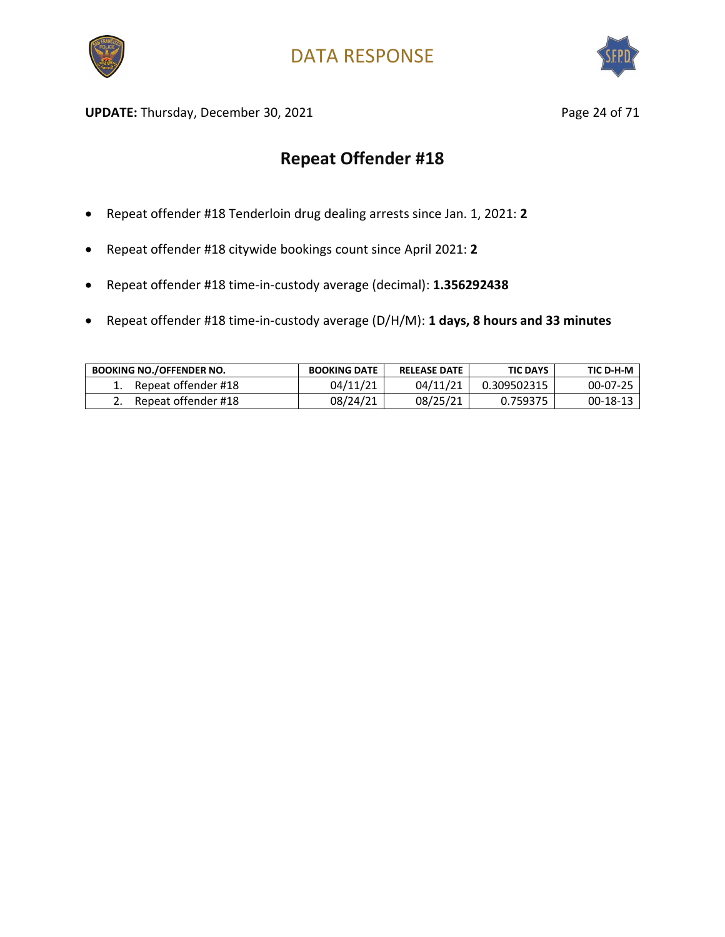



UPDATE: Thursday, December 30, 2021 and the same of 21 and 24 of 71

- Repeat offender #18 Tenderloin drug dealing arrests since Jan. 1, 2021: **2**
- Repeat offender #18 citywide bookings count since April 2021: **2**
- Repeat offender #18 time-in-custody average (decimal): **1.356292438**
- Repeat offender #18 time-in-custody average (D/H/M): **1 days, 8 hours and 33 minutes**

| <b>BOOKING NO./OFFENDER NO.</b> | <b>BOOKING DATE</b> | <b>RELEASE DATE</b> | <b>TIC DAYS</b> | TIC D-H-M |
|---------------------------------|---------------------|---------------------|-----------------|-----------|
| Repeat offender #18             | 04/11/21            | 04/11/21            | 0.309502315     | 00-07-25  |
| Repeat offender #18             | 08/24/21            | 08/25/21            | 0.759375        | 00-18-13  |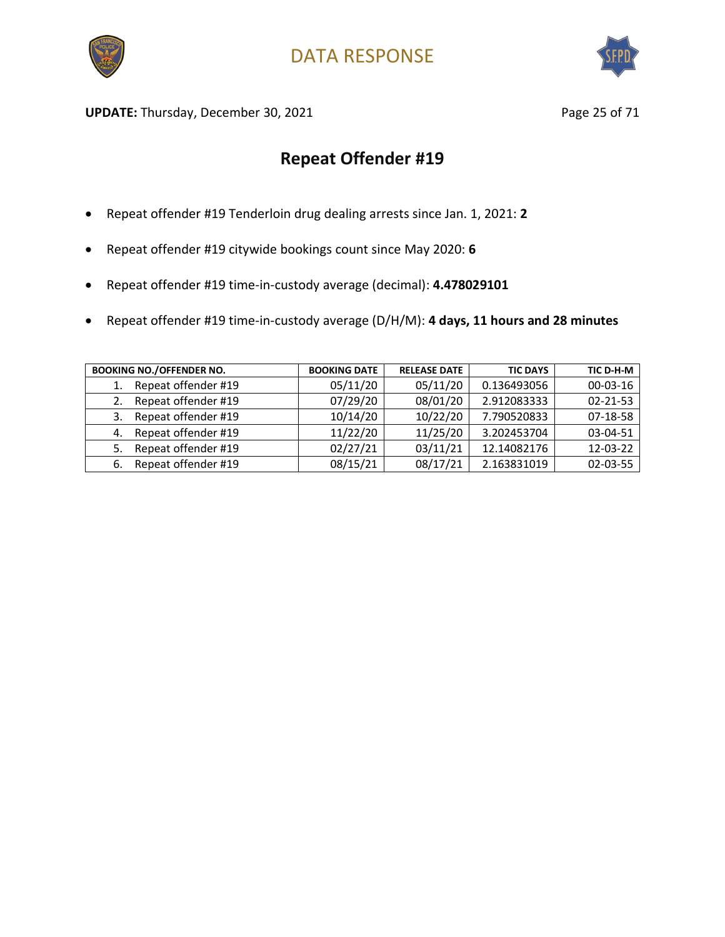



UPDATE: Thursday, December 30, 2021 and the same page 25 of 71

- Repeat offender #19 Tenderloin drug dealing arrests since Jan. 1, 2021: **2**
- Repeat offender #19 citywide bookings count since May 2020: **6**
- Repeat offender #19 time-in-custody average (decimal): **4.478029101**
- Repeat offender #19 time-in-custody average (D/H/M): **4 days, 11 hours and 28 minutes**

| <b>BOOKING NO./OFFENDER NO.</b> | <b>BOOKING DATE</b> | <b>RELEASE DATE</b> | <b>TIC DAYS</b> | TIC D-H-M      |
|---------------------------------|---------------------|---------------------|-----------------|----------------|
| Repeat offender #19<br>1.       | 05/11/20            | 05/11/20            | 0.136493056     | $00 - 03 - 16$ |
| Repeat offender #19             | 07/29/20            | 08/01/20            | 2.912083333     | $02 - 21 - 53$ |
| Repeat offender #19<br>3.       | 10/14/20            | 10/22/20            | 7.790520833     | 07-18-58       |
| Repeat offender #19<br>4.       | 11/22/20            | 11/25/20            | 3.202453704     | 03-04-51       |
| Repeat offender #19<br>5.       | 02/27/21            | 03/11/21            | 12.14082176     | 12-03-22       |
| Repeat offender #19<br>6.       | 08/15/21            | 08/17/21            | 2.163831019     | 02-03-55       |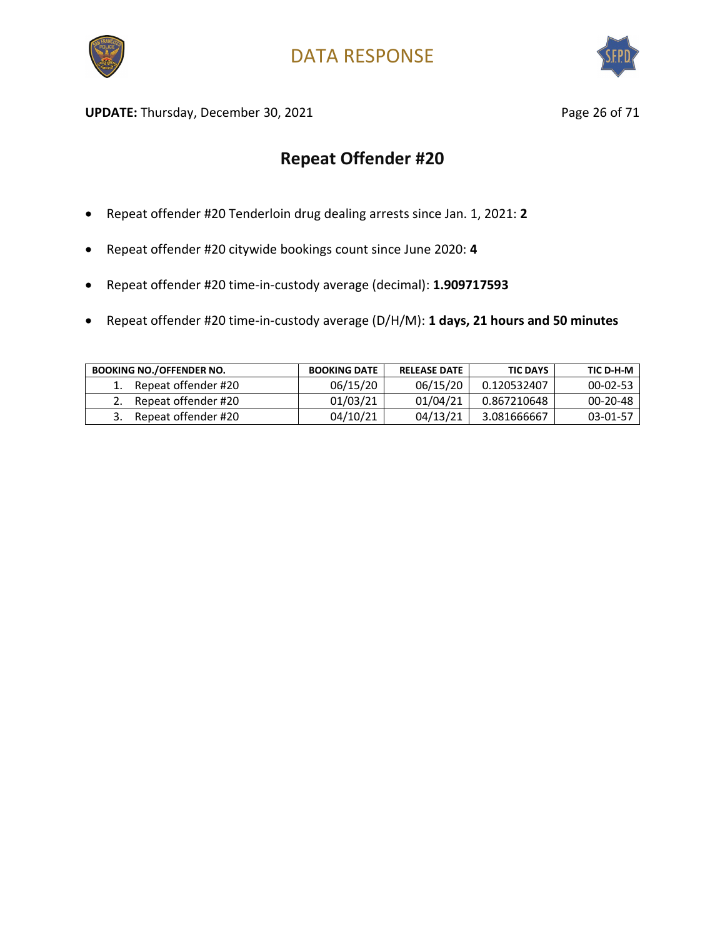



UPDATE: Thursday, December 30, 2021 and the same page 26 of 71

- Repeat offender #20 Tenderloin drug dealing arrests since Jan. 1, 2021: **2**
- Repeat offender #20 citywide bookings count since June 2020: **4**
- Repeat offender #20 time-in-custody average (decimal): **1.909717593**
- Repeat offender #20 time-in-custody average (D/H/M): **1 days, 21 hours and 50 minutes**

| <b>BOOKING NO./OFFENDER NO.</b> | <b>BOOKING DATE</b> | <b>RELEASE DATE</b> | <b>TIC DAYS</b> | TIC D-H-M      |
|---------------------------------|---------------------|---------------------|-----------------|----------------|
| Repeat offender #20             | 06/15/20            | 06/15/20            | 0.120532407     | $00 - 02 - 53$ |
| Repeat offender #20             | 01/03/21            | 01/04/21            | 0.867210648     | $00 - 20 - 48$ |
| Repeat offender #20             | 04/10/21            | 04/13/21            | 3.081666667     | 03-01-57       |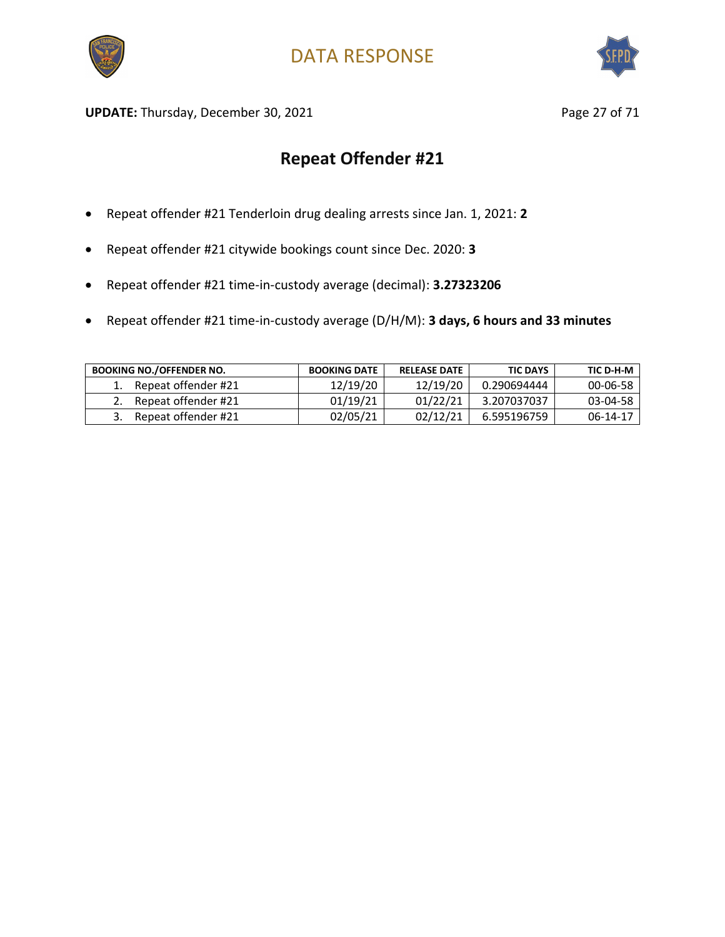



UPDATE: Thursday, December 30, 2021 and the same page 27 of 71

- Repeat offender #21 Tenderloin drug dealing arrests since Jan. 1, 2021: **2**
- Repeat offender #21 citywide bookings count since Dec. 2020: **3**
- Repeat offender #21 time-in-custody average (decimal): **3.27323206**
- Repeat offender #21 time-in-custody average (D/H/M): **3 days, 6 hours and 33 minutes**

| <b>BOOKING NO./OFFENDER NO.</b> | <b>BOOKING DATE</b> | <b>RELEASE DATE</b> | <b>TIC DAYS</b> | TIC D-H-M      |
|---------------------------------|---------------------|---------------------|-----------------|----------------|
| Repeat offender #21             | 12/19/20            | 12/19/20            | 0.290694444     | $00 - 06 - 58$ |
| Repeat offender #21             | 01/19/21            | 01/22/21            | 3.207037037     | 03-04-58       |
| Repeat offender #21             | 02/05/21            | 02/12/21            | 6.595196759     | 06-14-17       |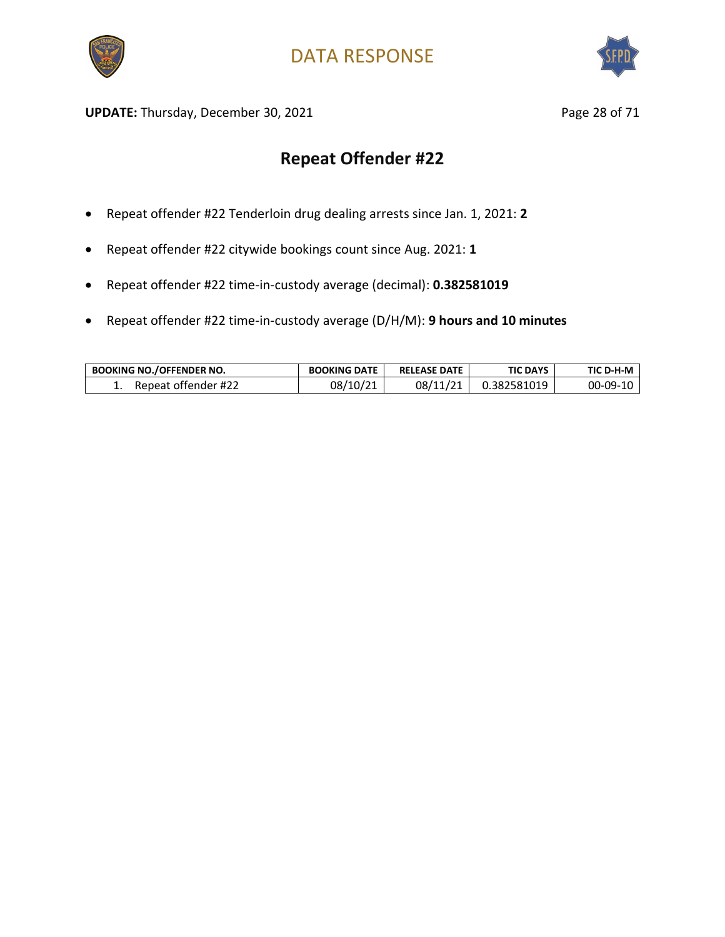



UPDATE: Thursday, December 30, 2021 and the same page 28 of 71

- Repeat offender #22 Tenderloin drug dealing arrests since Jan. 1, 2021: **2**
- Repeat offender #22 citywide bookings count since Aug. 2021: **1**
- Repeat offender #22 time-in-custody average (decimal): **0.382581019**
- Repeat offender #22 time-in-custody average (D/H/M): **9 hours and 10 minutes**

| <b>BOOKING NO./OFFENDER NO.</b> | <b>BOOKING DATE</b> | <b>RELEASE DATE</b> | TIC DAYS    | TIC D-H-M |
|---------------------------------|---------------------|---------------------|-------------|-----------|
| Repeat offender #22             | 08/10/21            | 08/11/21            | J.382581019 | 00-09-10  |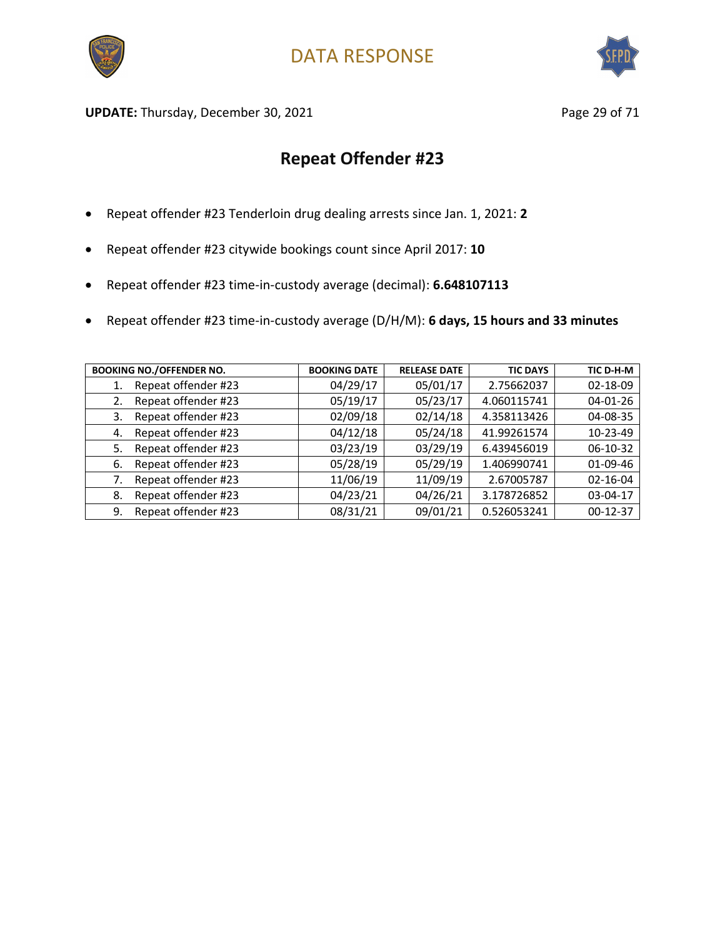



UPDATE: Thursday, December 30, 2021 and the same page 29 of 71

- Repeat offender #23 Tenderloin drug dealing arrests since Jan. 1, 2021: **2**
- Repeat offender #23 citywide bookings count since April 2017: **10**
- Repeat offender #23 time-in-custody average (decimal): **6.648107113**
- Repeat offender #23 time-in-custody average (D/H/M): **6 days, 15 hours and 33 minutes**

| <b>BOOKING NO./OFFENDER NO.</b> | <b>BOOKING DATE</b> | <b>RELEASE DATE</b> | <b>TIC DAYS</b> | TIC D-H-M      |
|---------------------------------|---------------------|---------------------|-----------------|----------------|
| Repeat offender #23<br>1.       | 04/29/17            | 05/01/17            | 2.75662037      | 02-18-09       |
| Repeat offender #23<br>2.       | 05/19/17            | 05/23/17            | 4.060115741     | $04 - 01 - 26$ |
| Repeat offender #23<br>3.       | 02/09/18            | 02/14/18            | 4.358113426     | 04-08-35       |
| Repeat offender #23<br>4.       | 04/12/18            | 05/24/18            | 41.99261574     | 10-23-49       |
| Repeat offender #23<br>5.       | 03/23/19            | 03/29/19            | 6.439456019     | 06-10-32       |
| Repeat offender #23<br>-6.      | 05/28/19            | 05/29/19            | 1.406990741     | 01-09-46       |
| Repeat offender #23             | 11/06/19            | 11/09/19            | 2.67005787      | $02 - 16 - 04$ |
| Repeat offender #23<br>8.       | 04/23/21            | 04/26/21            | 3.178726852     | 03-04-17       |
| Repeat offender #23<br>9.       | 08/31/21            | 09/01/21            | 0.526053241     | $00-12-37$     |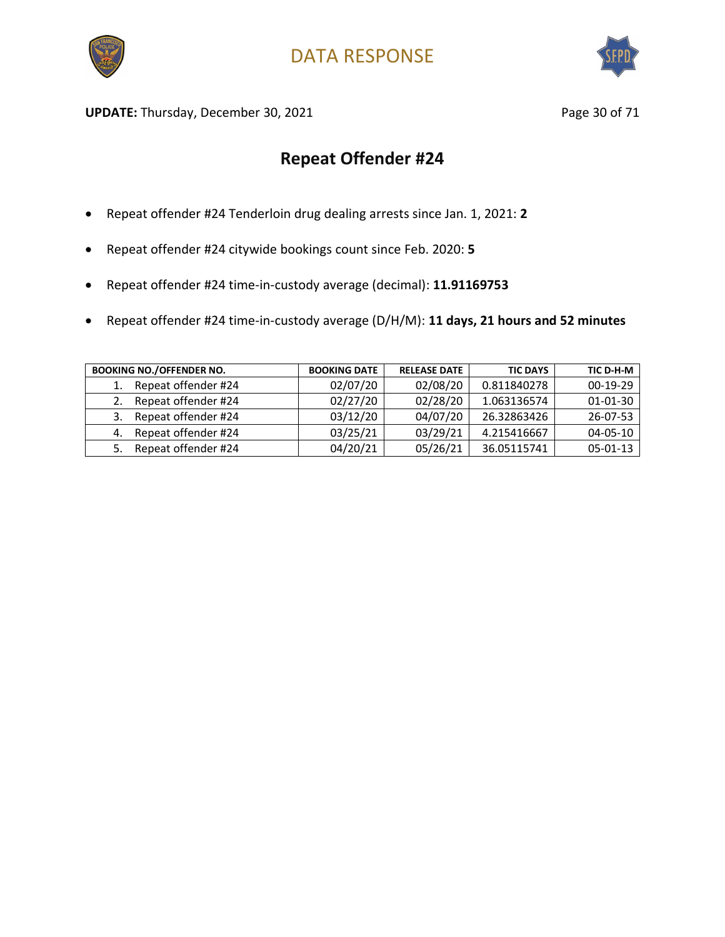



UPDATE: Thursday, December 30, 2021 and the same of the Page 30 of 71

- Repeat offender #24 Tenderloin drug dealing arrests since Jan. 1, 2021: **2**
- Repeat offender #24 citywide bookings count since Feb. 2020: **5**
- Repeat offender #24 time-in-custody average (decimal): **11.91169753**
- Repeat offender #24 time-in-custody average (D/H/M): **11 days, 21 hours and 52 minutes**

| <b>BOOKING NO./OFFENDER NO.</b> | <b>BOOKING DATE</b> | <b>RELEASE DATE</b> | <b>TIC DAYS</b> | TIC D-H-M      |
|---------------------------------|---------------------|---------------------|-----------------|----------------|
| Repeat offender #24             | 02/07/20            | 02/08/20            | 0.811840278     | $00-19-29$     |
| Repeat offender #24             | 02/27/20            | 02/28/20            | 1.063136574     | $01 - 01 - 30$ |
| Repeat offender #24<br>3.       | 03/12/20            | 04/07/20            | 26.32863426     | $26 - 07 - 53$ |
| Repeat offender #24<br>4.       | 03/25/21            | 03/29/21            | 4.215416667     | $04 - 05 - 10$ |
| Repeat offender #24             | 04/20/21            | 05/26/21            | 36.05115741     | $05 - 01 - 13$ |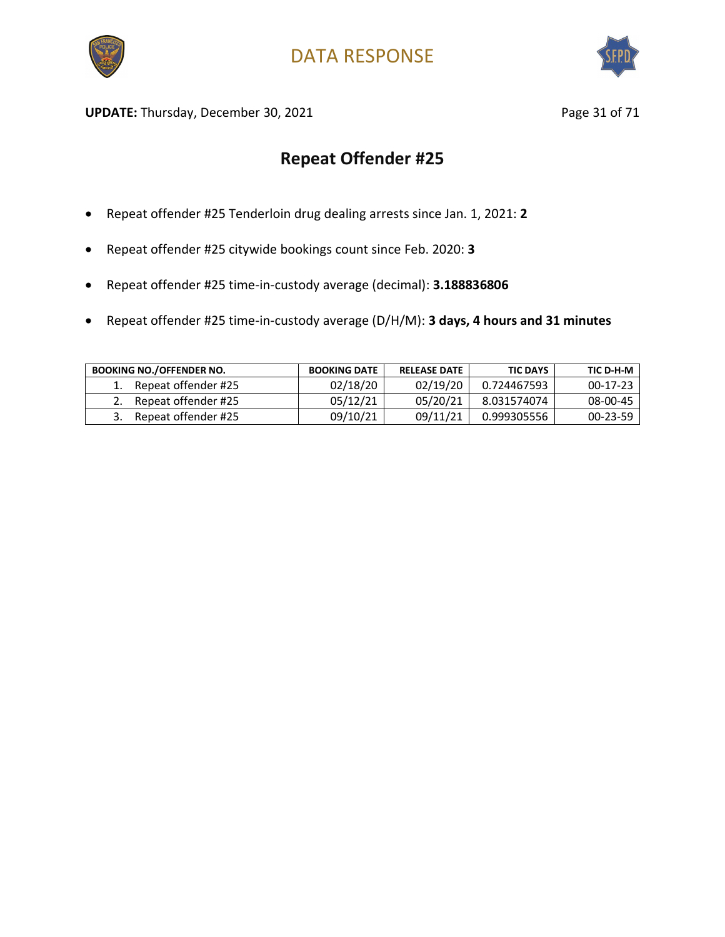



UPDATE: Thursday, December 30, 2021 and the same of the Page 31 of 71

- Repeat offender #25 Tenderloin drug dealing arrests since Jan. 1, 2021: **2**
- Repeat offender #25 citywide bookings count since Feb. 2020: **3**
- Repeat offender #25 time-in-custody average (decimal): **3.188836806**
- Repeat offender #25 time-in-custody average (D/H/M): **3 days, 4 hours and 31 minutes**

| <b>BOOKING NO./OFFENDER NO.</b> | <b>BOOKING DATE</b> | <b>RELEASE DATE</b> | <b>TIC DAYS</b> | TIC D-H-M      |
|---------------------------------|---------------------|---------------------|-----------------|----------------|
| Repeat offender #25             | 02/18/20            | 02/19/20            | 0.724467593     | $00-17-23$     |
| Repeat offender #25             | 05/12/21            | 05/20/21            | 8.031574074     | 08-00-45       |
| Repeat offender #25             | 09/10/21            | 09/11/21            | 0.999305556     | $00 - 23 - 59$ |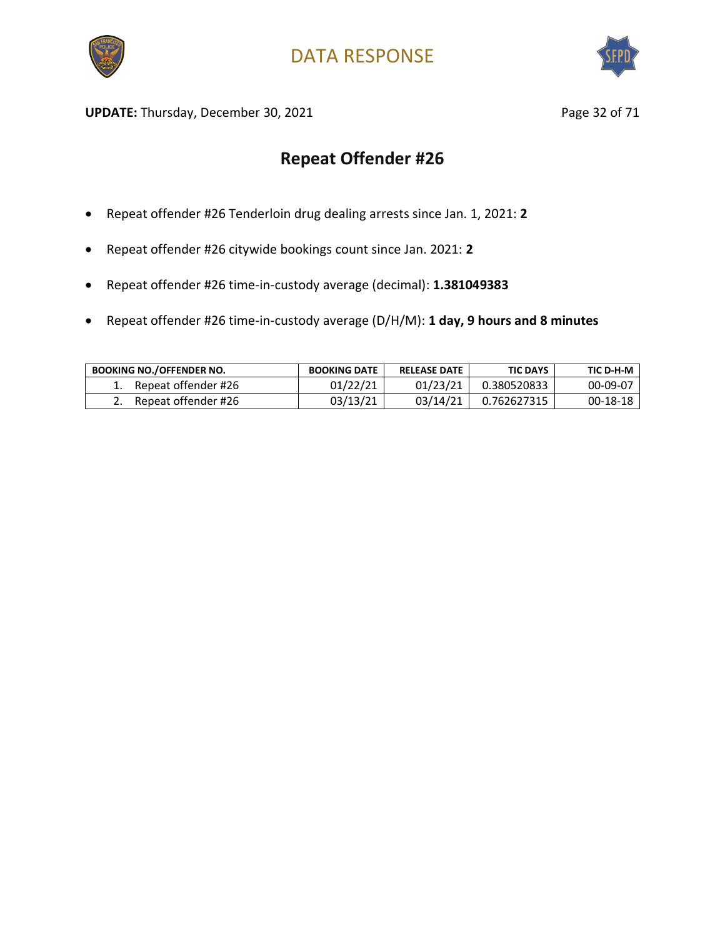



UPDATE: Thursday, December 30, 2021 and the same of the Page 32 of 71

- Repeat offender #26 Tenderloin drug dealing arrests since Jan. 1, 2021: **2**
- Repeat offender #26 citywide bookings count since Jan. 2021: **2**
- Repeat offender #26 time-in-custody average (decimal): **1.381049383**
- Repeat offender #26 time-in-custody average (D/H/M): **1 day, 9 hours and 8 minutes**

| <b>BOOKING NO./OFFENDER NO.</b> | <b>BOOKING DATE</b> | <b>RELEASE DATE</b> | <b>TIC DAYS</b> | TIC D-H-M |
|---------------------------------|---------------------|---------------------|-----------------|-----------|
| Repeat offender #26             | 01/22/21            | 01/23/21            | 0.380520833     | 00-09-07  |
| Repeat offender #26             | 03/13/21            | 03/14/21            | 0.762627315     | 00-18-18  |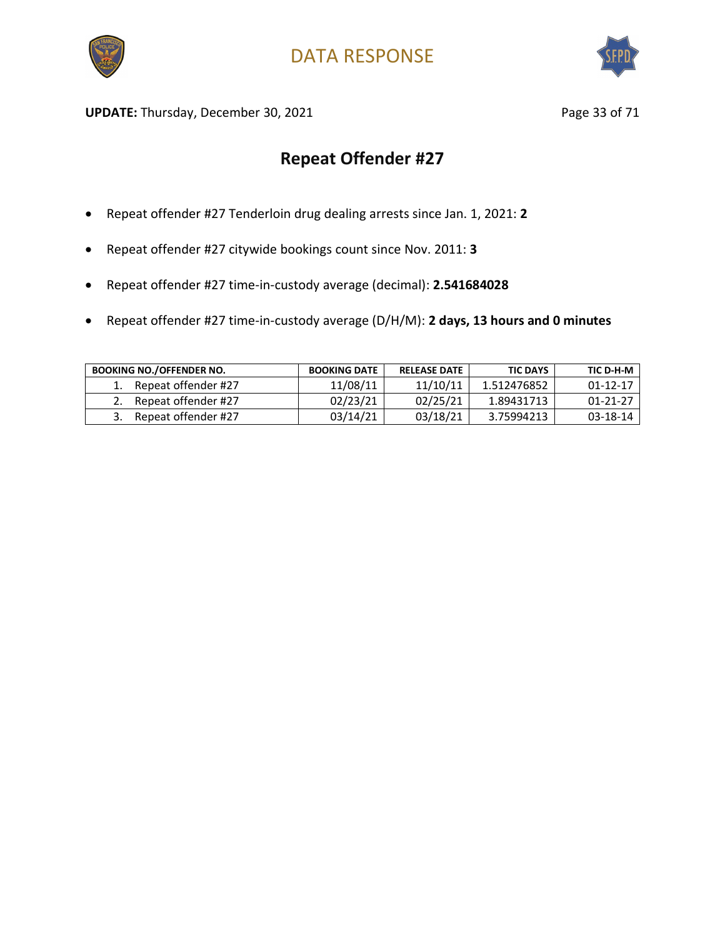



UPDATE: Thursday, December 30, 2021 and the same of the Page 33 of 71

- Repeat offender #27 Tenderloin drug dealing arrests since Jan. 1, 2021: **2**
- Repeat offender #27 citywide bookings count since Nov. 2011: **3**
- Repeat offender #27 time-in-custody average (decimal): **2.541684028**
- Repeat offender #27 time-in-custody average (D/H/M): **2 days, 13 hours and 0 minutes**

| <b>BOOKING NO./OFFENDER NO.</b> | <b>BOOKING DATE</b> | <b>RELEASE DATE</b> | <b>TIC DAYS</b> | TIC D-H-M      |
|---------------------------------|---------------------|---------------------|-----------------|----------------|
| Repeat offender #27             | 11/08/11            | 11/10/11            | 1.512476852     | $01 - 12 - 17$ |
| Repeat offender #27             | 02/23/21            | 02/25/21            | 1.89431713      | 01-21-27       |
| Repeat offender #27             | 03/14/21            | 03/18/21            | 3.75994213      | 03-18-14       |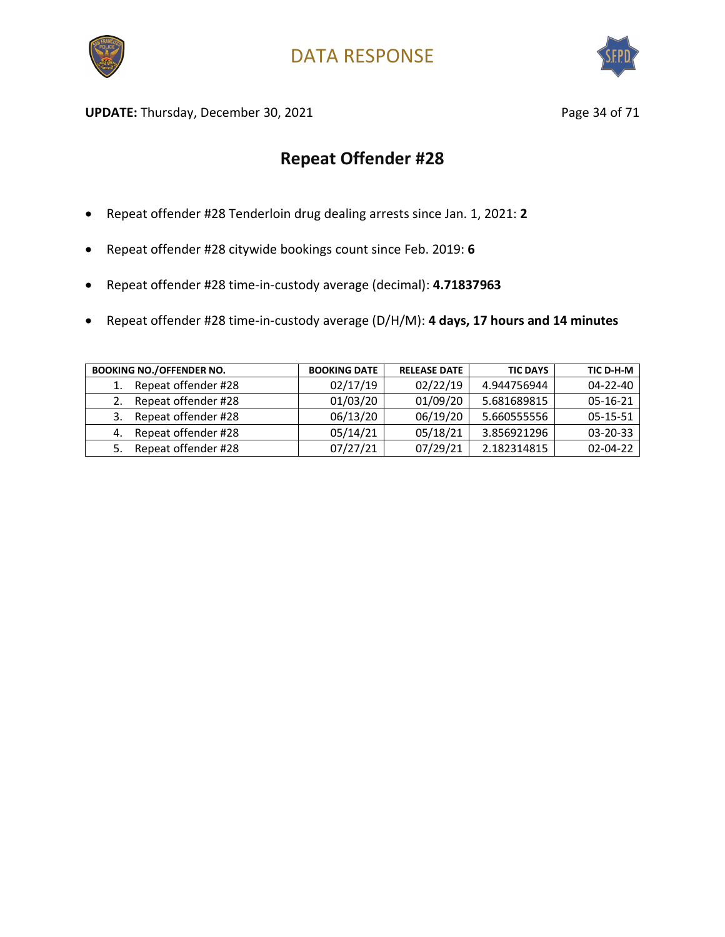



UPDATE: Thursday, December 30, 2021 and the same of 21 and 21 and 22 and 22 and 23 and 23 and 23 and 23 and 23 and 23 and 23 and 23 and 23 and 23 and 23 and 23 and 23 and 23 and 23 and 23 and 23 and 23 and 23 and 23 and 23

- Repeat offender #28 Tenderloin drug dealing arrests since Jan. 1, 2021: **2**
- Repeat offender #28 citywide bookings count since Feb. 2019: **6**
- Repeat offender #28 time-in-custody average (decimal): **4.71837963**
- Repeat offender #28 time-in-custody average (D/H/M): **4 days, 17 hours and 14 minutes**

| <b>BOOKING NO./OFFENDER NO.</b> | <b>BOOKING DATE</b> | <b>RELEASE DATE</b> | <b>TIC DAYS</b> | TIC D-H-M      |
|---------------------------------|---------------------|---------------------|-----------------|----------------|
| Repeat offender #28             | 02/17/19            | 02/22/19            | 4.944756944     | $04 - 22 - 40$ |
| Repeat offender #28             | 01/03/20            | 01/09/20            | 5.681689815     | $05-16-21$     |
| Repeat offender #28<br>3.       | 06/13/20            | 06/19/20            | 5.660555556     | $05 - 15 - 51$ |
| Repeat offender #28<br>4.       | 05/14/21            | 05/18/21            | 3.856921296     | $03 - 20 - 33$ |
| Repeat offender #28<br>5.       | 07/27/21            | 07/29/21            | 2.182314815     | $02 - 04 - 22$ |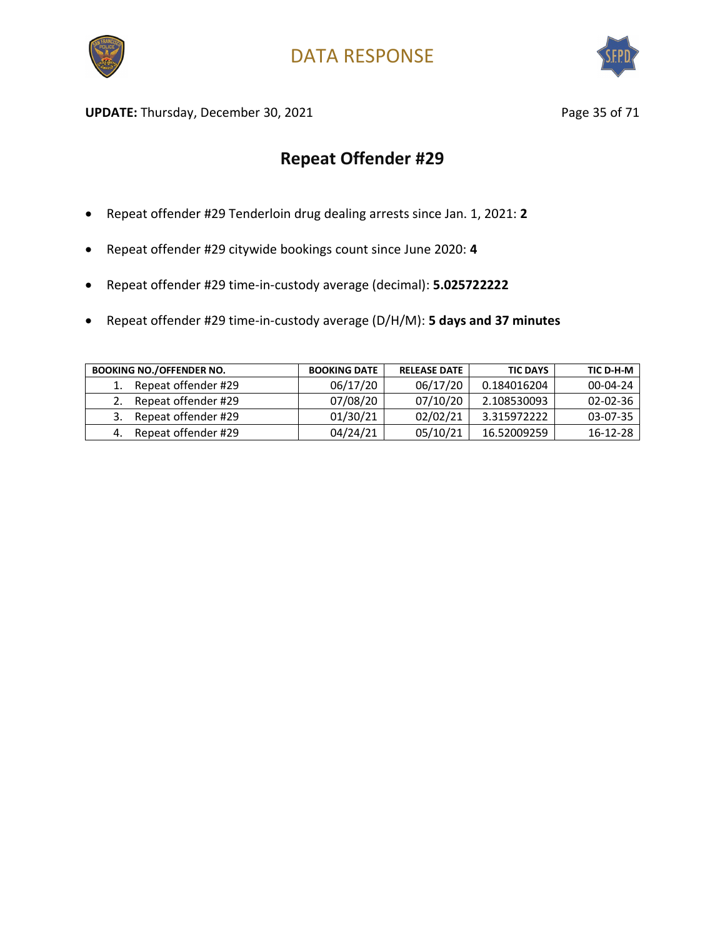



UPDATE: Thursday, December 30, 2021 and the same of the Page 35 of 71

- Repeat offender #29 Tenderloin drug dealing arrests since Jan. 1, 2021: **2**
- Repeat offender #29 citywide bookings count since June 2020: **4**
- Repeat offender #29 time-in-custody average (decimal): **5.025722222**
- Repeat offender #29 time-in-custody average (D/H/M): **5 days and 37 minutes**

| <b>BOOKING NO./OFFENDER NO.</b> | <b>BOOKING DATE</b> | <b>RELEASE DATE</b> | <b>TIC DAYS</b> | TIC D-H-M      |
|---------------------------------|---------------------|---------------------|-----------------|----------------|
| Repeat offender #29             | 06/17/20            | 06/17/20            | 0.184016204     | $00 - 04 - 24$ |
| Repeat offender #29             | 07/08/20            | 07/10/20            | 2.108530093     | $02 - 02 - 36$ |
| Repeat offender #29             | 01/30/21            | 02/02/21            | 3.315972222     | 03-07-35       |
| Repeat offender #29             | 04/24/21            | 05/10/21            | 16.52009259     | 16-12-28       |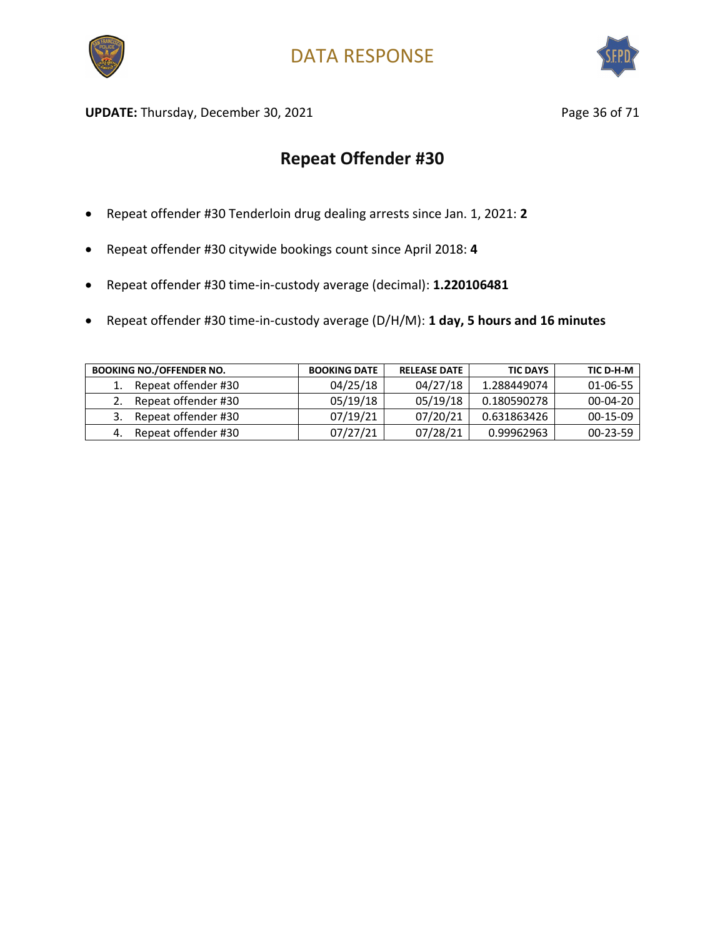



UPDATE: Thursday, December 30, 2021 and the same page 36 of 71

- Repeat offender #30 Tenderloin drug dealing arrests since Jan. 1, 2021: **2**
- Repeat offender #30 citywide bookings count since April 2018: **4**
- Repeat offender #30 time-in-custody average (decimal): **1.220106481**
- Repeat offender #30 time-in-custody average (D/H/M): **1 day, 5 hours and 16 minutes**

| <b>BOOKING NO./OFFENDER NO.</b> | <b>BOOKING DATE</b> | <b>RELEASE DATE</b> | <b>TIC DAYS</b> | TIC D-H-M      |
|---------------------------------|---------------------|---------------------|-----------------|----------------|
| Repeat offender #30             | 04/25/18            | 04/27/18            | 1.288449074     | 01-06-55       |
| Repeat offender #30             | 05/19/18            | 05/19/18            | 0.180590278     | $00-04-20$     |
| Repeat offender #30             | 07/19/21            | 07/20/21            | 0.631863426     | $00-15-09$     |
| Repeat offender #30             | 07/27/21            | 07/28/21            | 0.99962963      | $00 - 23 - 59$ |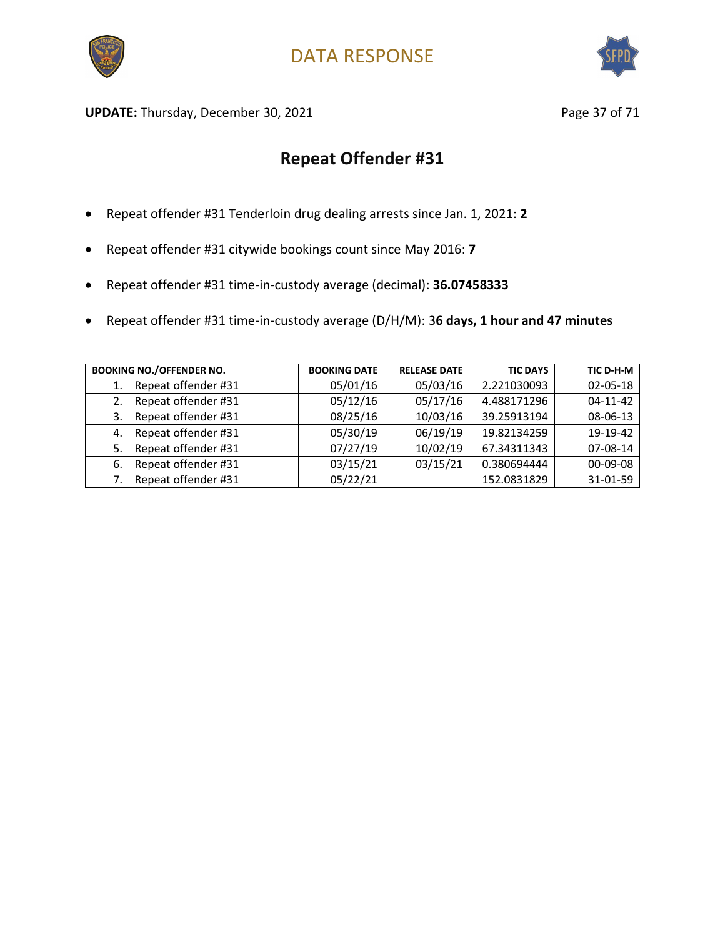



UPDATE: Thursday, December 30, 2021 and the same of the Page 37 of 71

- Repeat offender #31 Tenderloin drug dealing arrests since Jan. 1, 2021: **2**
- Repeat offender #31 citywide bookings count since May 2016: **7**
- Repeat offender #31 time-in-custody average (decimal): **36.07458333**
- Repeat offender #31 time-in-custody average (D/H/M): 3**6 days, 1 hour and 47 minutes**

| <b>BOOKING NO./OFFENDER NO.</b> | <b>BOOKING DATE</b> | <b>RELEASE DATE</b> | <b>TIC DAYS</b> | TIC D-H-M      |
|---------------------------------|---------------------|---------------------|-----------------|----------------|
| Repeat offender #31             | 05/01/16            | 05/03/16            | 2.221030093     | 02-05-18       |
| Repeat offender #31<br>2.       | 05/12/16            | 05/17/16            | 4.488171296     | $04 - 11 - 42$ |
| Repeat offender #31<br>3.       | 08/25/16            | 10/03/16            | 39.25913194     | 08-06-13       |
| Repeat offender #31<br>4.       | 05/30/19            | 06/19/19            | 19.82134259     | 19-19-42       |
| Repeat offender #31<br>5.       | 07/27/19            | 10/02/19            | 67.34311343     | 07-08-14       |
| Repeat offender #31<br>-6.      | 03/15/21            | 03/15/21            | 0.380694444     | 00-09-08       |
| Repeat offender #31             | 05/22/21            |                     | 152.0831829     | 31-01-59       |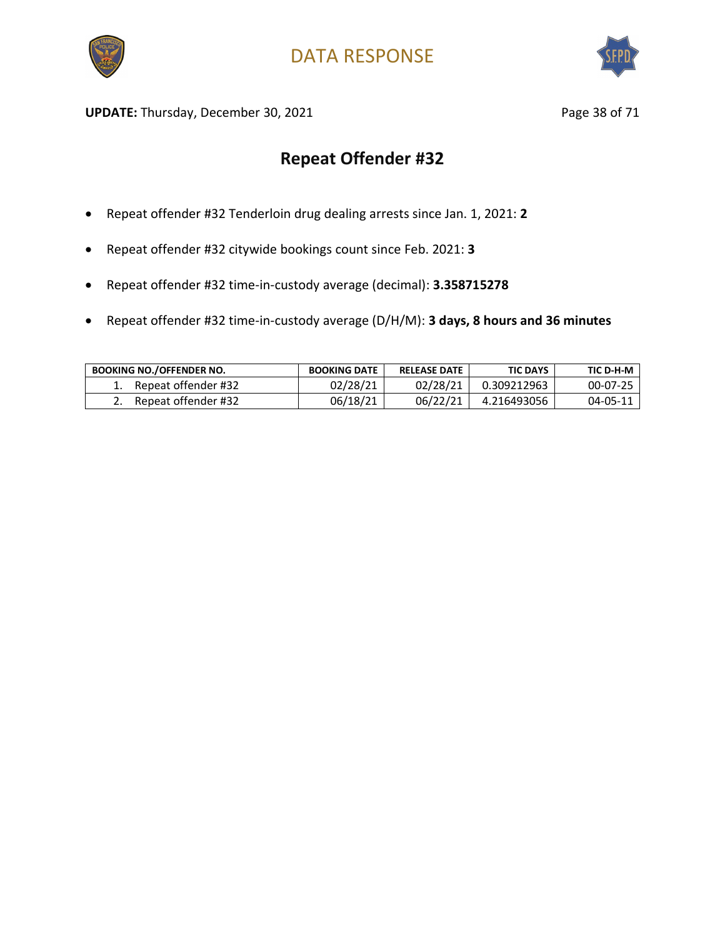



UPDATE: Thursday, December 30, 2021 and the state of the Page 38 of 71

- Repeat offender #32 Tenderloin drug dealing arrests since Jan. 1, 2021: **2**
- Repeat offender #32 citywide bookings count since Feb. 2021: **3**
- Repeat offender #32 time-in-custody average (decimal): **3.358715278**
- Repeat offender #32 time-in-custody average (D/H/M): **3 days, 8 hours and 36 minutes**

| <b>BOOKING NO./OFFENDER NO.</b> | <b>BOOKING DATE</b> | <b>RELEASE DATE</b> | <b>TIC DAYS</b> | TIC D-H-M      |
|---------------------------------|---------------------|---------------------|-----------------|----------------|
| Repeat offender #32             | 02/28/21            | 02/28/21            | 0.309212963     | $00 - 07 - 25$ |
| Repeat offender #32             | 06/18/21            | 06/22/21            | 4.216493056     | 04-05-11       |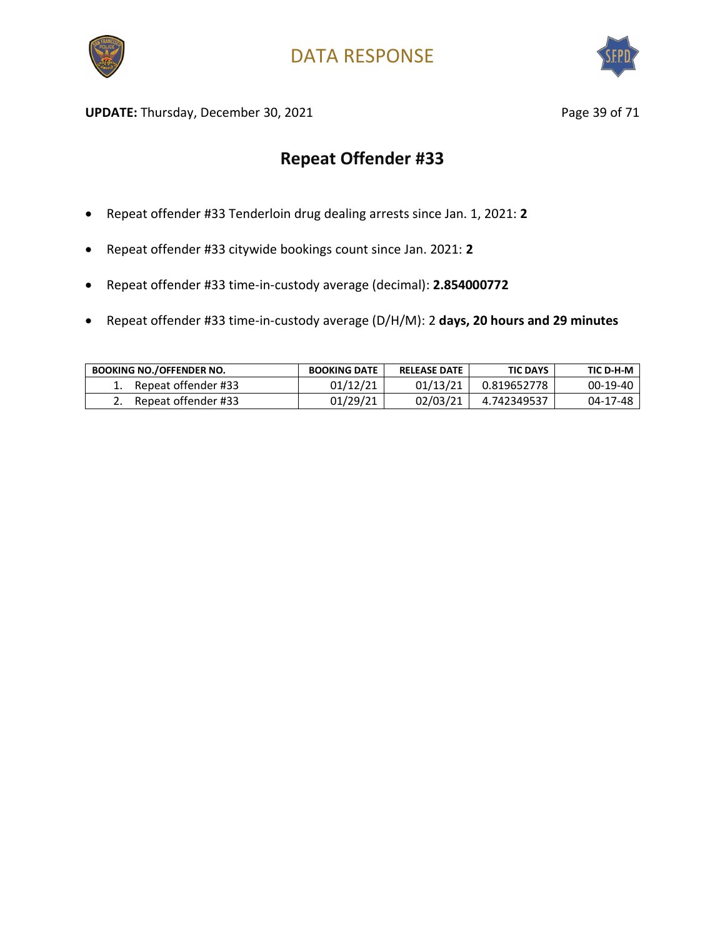



UPDATE: Thursday, December 30, 2021 and the same of the Page 39 of 71

- Repeat offender #33 Tenderloin drug dealing arrests since Jan. 1, 2021: **2**
- Repeat offender #33 citywide bookings count since Jan. 2021: **2**
- Repeat offender #33 time-in-custody average (decimal): **2.854000772**
- Repeat offender #33 time-in-custody average (D/H/M): 2 **days, 20 hours and 29 minutes**

| <b>BOOKING NO./OFFENDER NO.</b> | <b>BOOKING DATE</b> | <b>RELEASE DATE</b> | <b>TIC DAYS</b> | TIC D-H-M |
|---------------------------------|---------------------|---------------------|-----------------|-----------|
| Repeat offender #33             | 01/12/21            | 01/13/21            | 0.819652778     | 00-19-40  |
| Repeat offender #33             | 01/29/21            | 02/03/21            | 4.742349537     | 04-17-48  |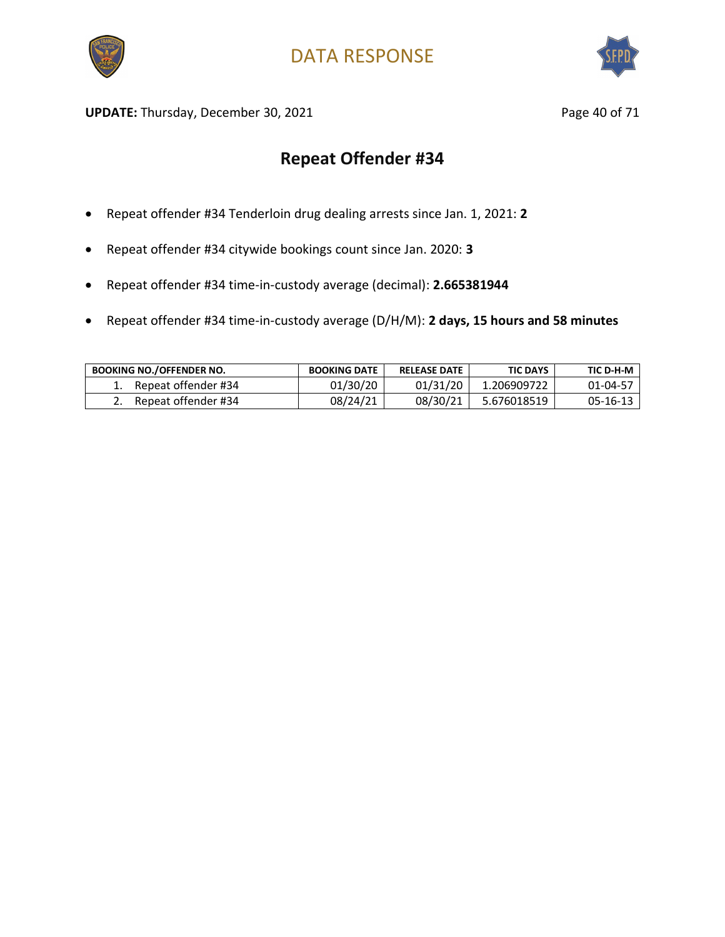



UPDATE: Thursday, December 30, 2021 and the same of 21 and 2012 and 2012 and 2012 and 2012 and 2012 and 2012 and 201

- Repeat offender #34 Tenderloin drug dealing arrests since Jan. 1, 2021: **2**
- Repeat offender #34 citywide bookings count since Jan. 2020: **3**
- Repeat offender #34 time-in-custody average (decimal): **2.665381944**
- Repeat offender #34 time-in-custody average (D/H/M): **2 days, 15 hours and 58 minutes**

| <b>BOOKING NO./OFFENDER NO.</b> | <b>BOOKING DATE</b> | <b>RELEASE DATE</b> | <b>TIC DAYS</b> | TIC D-H-M |
|---------------------------------|---------------------|---------------------|-----------------|-----------|
| Repeat offender #34             | 01/30/20            | 01/31/20            | 1.206909722     | 01-04-57  |
| Repeat offender #34             | 08/24/21            | 08/30/21            | 5.676018519     | 05-16-13  |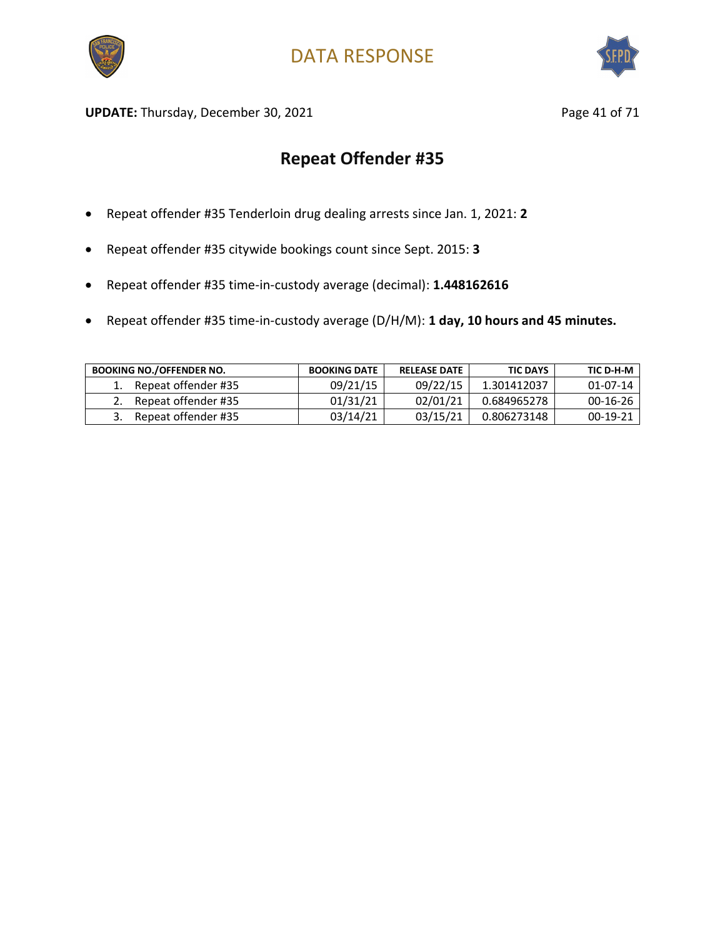



UPDATE: Thursday, December 30, 2021 and the same of 21 and 21 and 21 and 22 and 22 and 22 and 22 and 22 and 23 and 23 and 23 and 23 and 23 and 23 and 23 and 23 and 23 and 23 and 23 and 23 and 23 and 23 and 23 and 23 and 23

- Repeat offender #35 Tenderloin drug dealing arrests since Jan. 1, 2021: **2**
- Repeat offender #35 citywide bookings count since Sept. 2015: **3**
- Repeat offender #35 time-in-custody average (decimal): **1.448162616**
- Repeat offender #35 time-in-custody average (D/H/M): **1 day, 10 hours and 45 minutes.**

| <b>BOOKING NO./OFFENDER NO.</b> | <b>BOOKING DATE</b> | <b>RELEASE DATE</b> | <b>TIC DAYS</b> | TIC D-H-M      |
|---------------------------------|---------------------|---------------------|-----------------|----------------|
| Repeat offender #35             | 09/21/15            | 09/22/15            | 1.301412037     | $01 - 07 - 14$ |
| Repeat offender #35             | 01/31/21            | 02/01/21            | 0.684965278     | $00-16-26$     |
| Repeat offender #35             | 03/14/21            | 03/15/21            | 0.806273148     | 00-19-21       |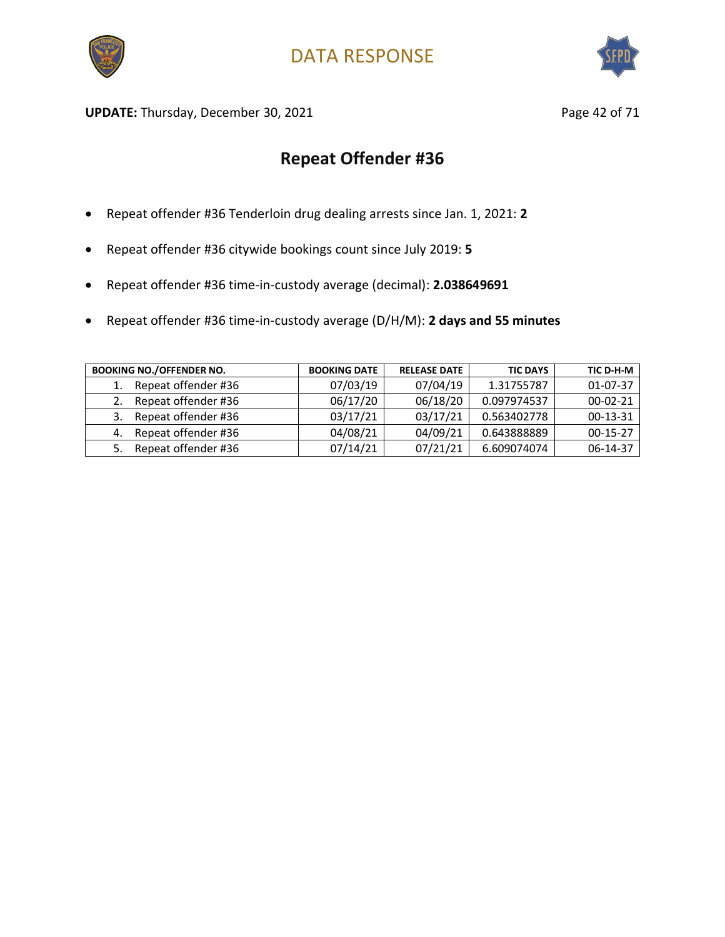



UPDATE: Thursday, December 30, 2021 and the same of 21 and 2012 and 2014 and 2014 and 2014 and 2014 and 2014 and 2014 and 2014 and 2016 and 2016 and 2016 and 2016 and 2016 and 2016 and 2016 and 2016 and 2016 and 2016 and 2

- Repeat offender #36 Tenderloin drug dealing arrests since Jan. 1, 2021: **2**
- Repeat offender #36 citywide bookings count since July 2019: **5**
- Repeat offender #36 time-in-custody average (decimal): **2.038649691**
- Repeat offender #36 time-in-custody average (D/H/M): **2 days and 55 minutes**

| <b>BOOKING NO./OFFENDER NO.</b> | <b>BOOKING DATE</b> | <b>RELEASE DATE</b> | <b>TIC DAYS</b> | TIC D-H-M  |
|---------------------------------|---------------------|---------------------|-----------------|------------|
| Repeat offender #36             | 07/03/19            | 07/04/19            | 1.31755787      | 01-07-37   |
| Repeat offender #36             | 06/17/20            | 06/18/20            | 0.097974537     | $00-02-21$ |
| Repeat offender #36<br>3.       | 03/17/21            | 03/17/21            | 0.563402778     | $00-13-31$ |
| Repeat offender #36<br>4.       | 04/08/21            | 04/09/21            | 0.643888889     | $00-15-27$ |
| Repeat offender #36             | 07/14/21            | 07/21/21            | 6.609074074     | 06-14-37   |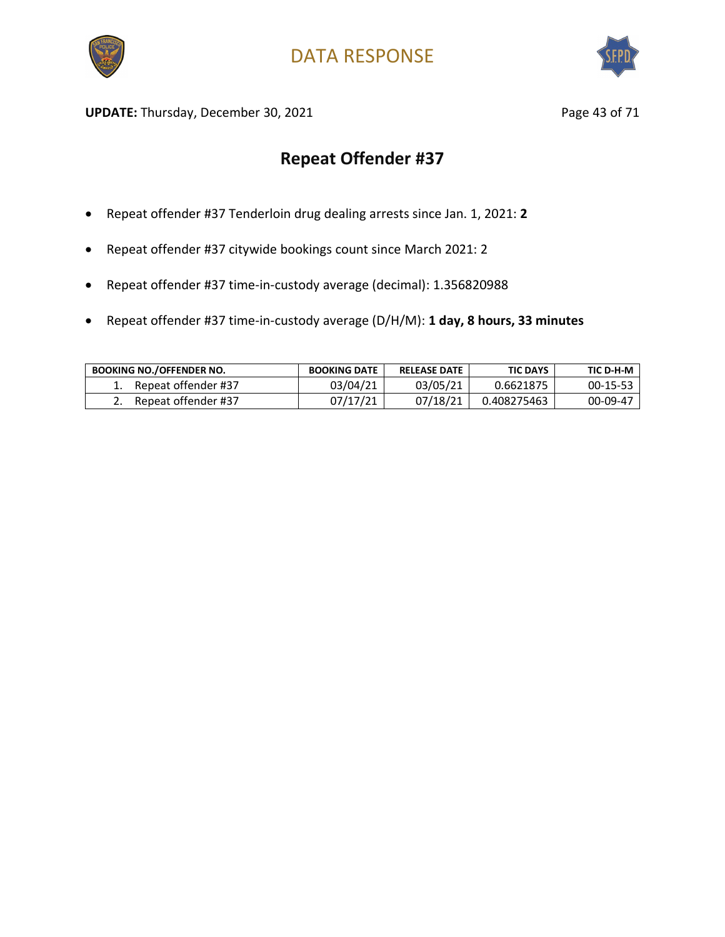



UPDATE: Thursday, December 30, 2021 and the same of 21 and 21 and 22 and 22 and 23 of 71

- Repeat offender #37 Tenderloin drug dealing arrests since Jan. 1, 2021: **2**
- Repeat offender #37 citywide bookings count since March 2021: 2
- Repeat offender #37 time-in-custody average (decimal): 1.356820988
- Repeat offender #37 time-in-custody average (D/H/M): **1 day, 8 hours, 33 minutes**

| <b>BOOKING NO./OFFENDER NO.</b> | <b>BOOKING DATE</b> | <b>RELEASE DATE</b> | <b>TIC DAYS</b> | TIC D-H-M  |
|---------------------------------|---------------------|---------------------|-----------------|------------|
| Repeat offender #37             | 03/04/21            | 03/05/21            | 0.6621875       | $00-15-53$ |
| Repeat offender #37             | 07/17/21            | 07/18/21            | 0.408275463     | 00-09-47   |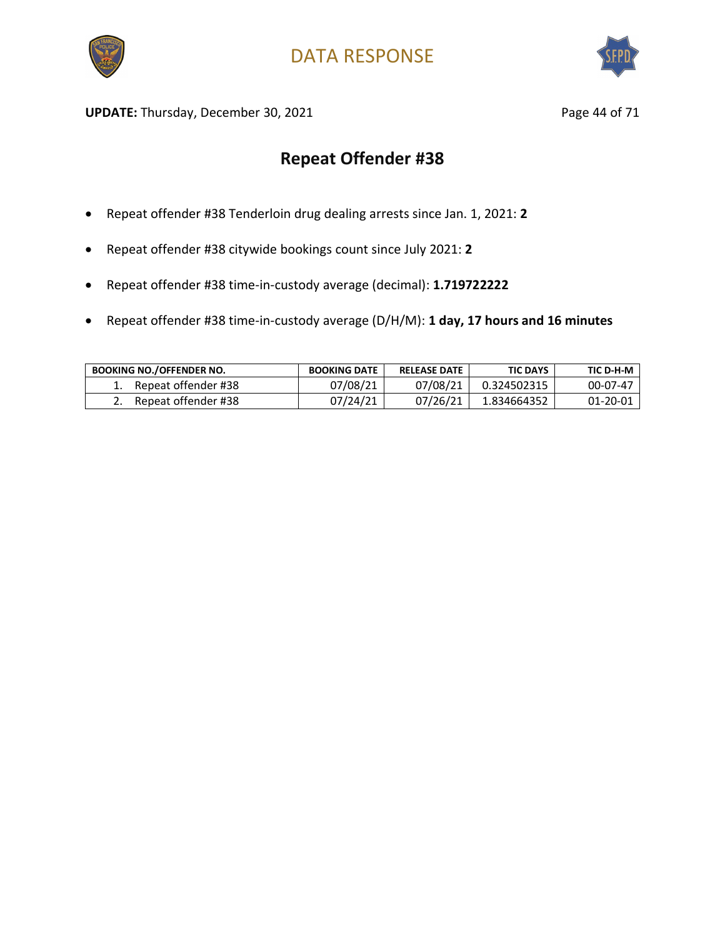



UPDATE: Thursday, December 30, 2021 and the same of 71 page 44 of 71

- Repeat offender #38 Tenderloin drug dealing arrests since Jan. 1, 2021: **2**
- Repeat offender #38 citywide bookings count since July 2021: **2**
- Repeat offender #38 time-in-custody average (decimal): **1.719722222**
- Repeat offender #38 time-in-custody average (D/H/M): **1 day, 17 hours and 16 minutes**

| <b>BOOKING NO./OFFENDER NO.</b> | <b>BOOKING DATE</b> | <b>RELEASE DATE</b> | <b>TIC DAYS</b> | TIC D-H-M |
|---------------------------------|---------------------|---------------------|-----------------|-----------|
| Repeat offender #38             | 07/08/21            | 07/08/21            | 0.324502315     | 00-07-47  |
| Repeat offender #38             | 07/24/21            | 07/26/21            | 1.834664352     | 01-20-01  |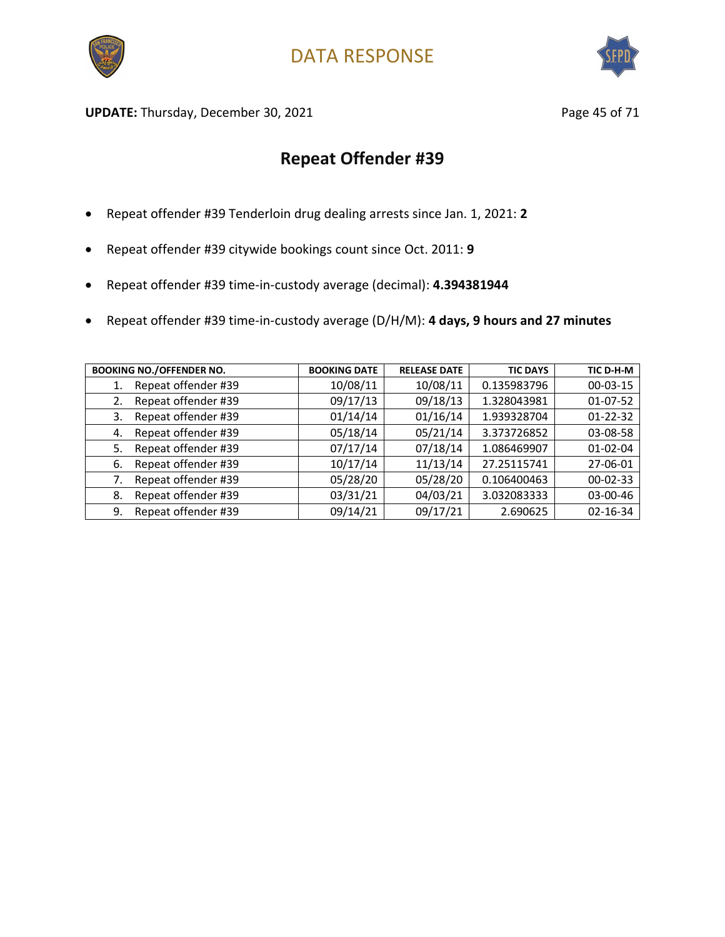



UPDATE: Thursday, December 30, 2021 and the same of 21 and 2011 and 2012 and 2012 and 2012 and 2012 and 2012 and 201

- Repeat offender #39 Tenderloin drug dealing arrests since Jan. 1, 2021: **2**
- Repeat offender #39 citywide bookings count since Oct. 2011: **9**
- Repeat offender #39 time-in-custody average (decimal): **4.394381944**
- Repeat offender #39 time-in-custody average (D/H/M): **4 days, 9 hours and 27 minutes**

| <b>BOOKING NO./OFFENDER NO.</b> | <b>BOOKING DATE</b> | <b>RELEASE DATE</b> | <b>TIC DAYS</b> | TIC D-H-M      |
|---------------------------------|---------------------|---------------------|-----------------|----------------|
| Repeat offender #39<br>1.       | 10/08/11            | 10/08/11            | 0.135983796     | 00-03-15       |
| Repeat offender #39<br>2.       | 09/17/13            | 09/18/13            | 1.328043981     | $01-07-52$     |
| Repeat offender #39<br>3.       | 01/14/14            | 01/16/14            | 1.939328704     | $01 - 22 - 32$ |
| Repeat offender #39<br>4.       | 05/18/14            | 05/21/14            | 3.373726852     | 03-08-58       |
| Repeat offender #39<br>5.       | 07/17/14            | 07/18/14            | 1.086469907     | $01 - 02 - 04$ |
| Repeat offender #39<br>6.       | 10/17/14            | 11/13/14            | 27.25115741     | 27-06-01       |
| Repeat offender #39             | 05/28/20            | 05/28/20            | 0.106400463     | 00-02-33       |
| Repeat offender #39<br>8.       | 03/31/21            | 04/03/21            | 3.032083333     | 03-00-46       |
| Repeat offender #39<br>9.       | 09/14/21            | 09/17/21            | 2.690625        | 02-16-34       |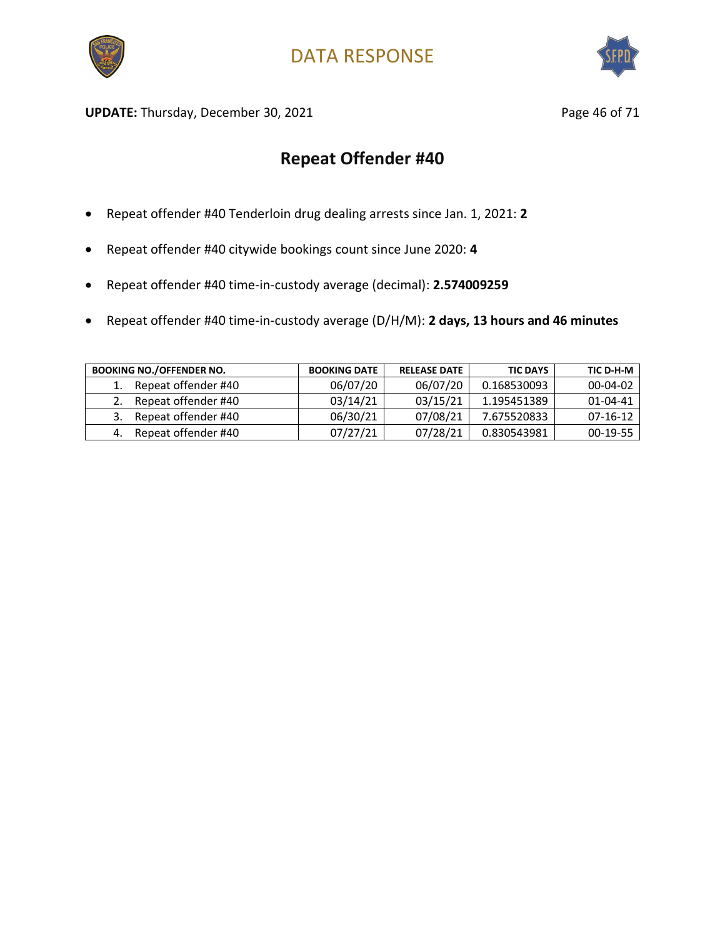



UPDATE: Thursday, December 30, 2021 and the same of 21 and 2011 and 2012 and 2012 and 2012 and 2012 and 2012 and 201

- Repeat offender #40 Tenderloin drug dealing arrests since Jan. 1, 2021: **2**
- Repeat offender #40 citywide bookings count since June 2020: **4**
- Repeat offender #40 time-in-custody average (decimal): **2.574009259**
- Repeat offender #40 time-in-custody average (D/H/M): **2 days, 13 hours and 46 minutes**

| <b>BOOKING NO./OFFENDER NO.</b> | <b>BOOKING DATE</b> | <b>RELEASE DATE</b> | <b>TIC DAYS</b> | TIC D-H-M      |
|---------------------------------|---------------------|---------------------|-----------------|----------------|
| Repeat offender #40             | 06/07/20            | 06/07/20            | 0.168530093     | $00 - 04 - 02$ |
| Repeat offender #40             | 03/14/21            | 03/15/21            | 1.195451389     | 01-04-41       |
| Repeat offender #40             | 06/30/21            | 07/08/21            | 7.675520833     | $07-16-12$     |
| Repeat offender #40             | 07/27/21            | 07/28/21            | 0.830543981     | 00-19-55       |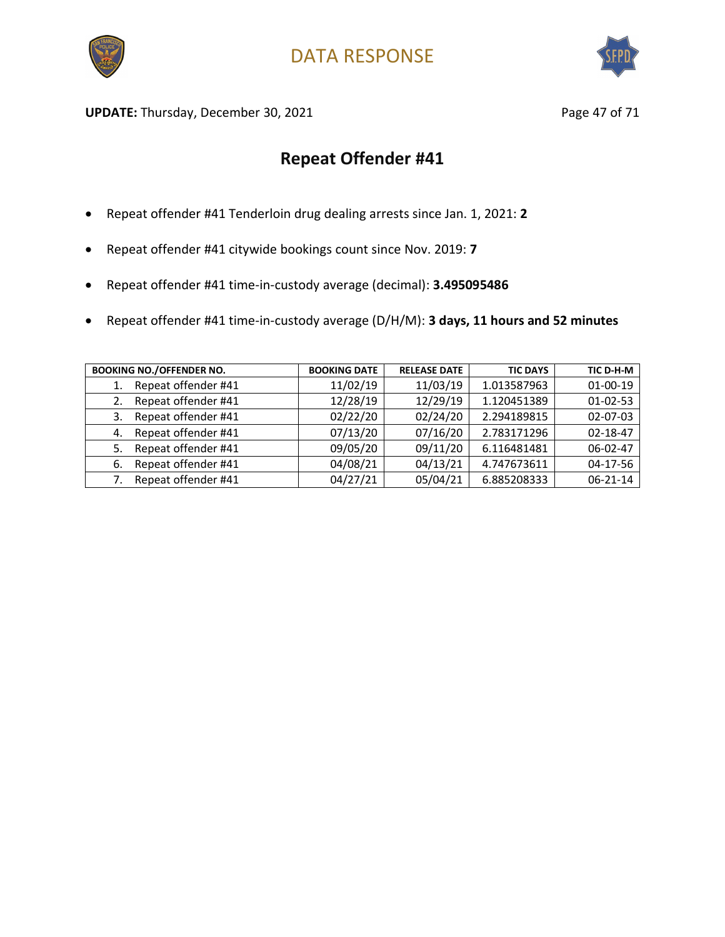



UPDATE: Thursday, December 30, 2021 and the same of 21 and 21 and 22 and 22 and 22 and 22 and 22 and 22 and 23

- Repeat offender #41 Tenderloin drug dealing arrests since Jan. 1, 2021: **2**
- Repeat offender #41 citywide bookings count since Nov. 2019: **7**
- Repeat offender #41 time-in-custody average (decimal): **3.495095486**
- Repeat offender #41 time-in-custody average (D/H/M): **3 days, 11 hours and 52 minutes**

| <b>BOOKING NO./OFFENDER NO.</b> | <b>BOOKING DATE</b> | <b>RELEASE DATE</b> | <b>TIC DAYS</b> | TIC D-H-M      |
|---------------------------------|---------------------|---------------------|-----------------|----------------|
| Repeat offender #41             | 11/02/19            | 11/03/19            | 1.013587963     | 01-00-19       |
| Repeat offender #41<br>2.       | 12/28/19            | 12/29/19            | 1.120451389     | $01 - 02 - 53$ |
| Repeat offender #41<br>3.       | 02/22/20            | 02/24/20            | 2.294189815     | 02-07-03       |
| Repeat offender #41<br>4.       | 07/13/20            | 07/16/20            | 2.783171296     | 02-18-47       |
| Repeat offender #41<br>5.       | 09/05/20            | 09/11/20            | 6.116481481     | 06-02-47       |
| Repeat offender #41<br>-6.      | 04/08/21            | 04/13/21            | 4.747673611     | 04-17-56       |
| Repeat offender #41             | 04/27/21            | 05/04/21            | 6.885208333     | $06 - 21 - 14$ |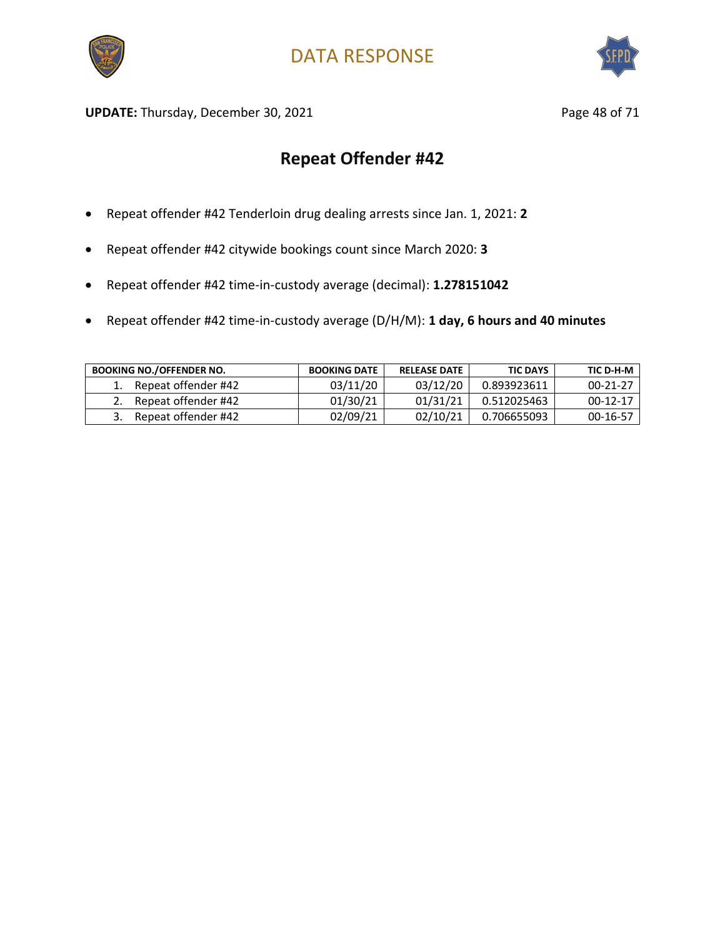



UPDATE: Thursday, December 30, 2021 and the same of 21 and 21 and 22 and 22 and 22 and 22 and 22 and 22 and 23 and 23 and 23 and 23 and 23 and 23 and 23 and 23 and 23 and 23 and 23 and 23 and 23 and 23 and 23 and 23 and 23

- Repeat offender #42 Tenderloin drug dealing arrests since Jan. 1, 2021: **2**
- Repeat offender #42 citywide bookings count since March 2020: **3**
- Repeat offender #42 time-in-custody average (decimal): **1.278151042**
- Repeat offender #42 time-in-custody average (D/H/M): **1 day, 6 hours and 40 minutes**

| <b>BOOKING NO./OFFENDER NO.</b> | <b>BOOKING DATE</b> | <b>RELEASE DATE</b> | <b>TIC DAYS</b> | TIC D-H-M      |
|---------------------------------|---------------------|---------------------|-----------------|----------------|
| Repeat offender #42             | 03/11/20            | 03/12/20            | 0.893923611     | $00 - 21 - 27$ |
| Repeat offender #42             | 01/30/21            | 01/31/21            | 0.512025463     | 00-12-17       |
| Repeat offender #42             | 02/09/21            | 02/10/21            | 0.706655093     | 00-16-57       |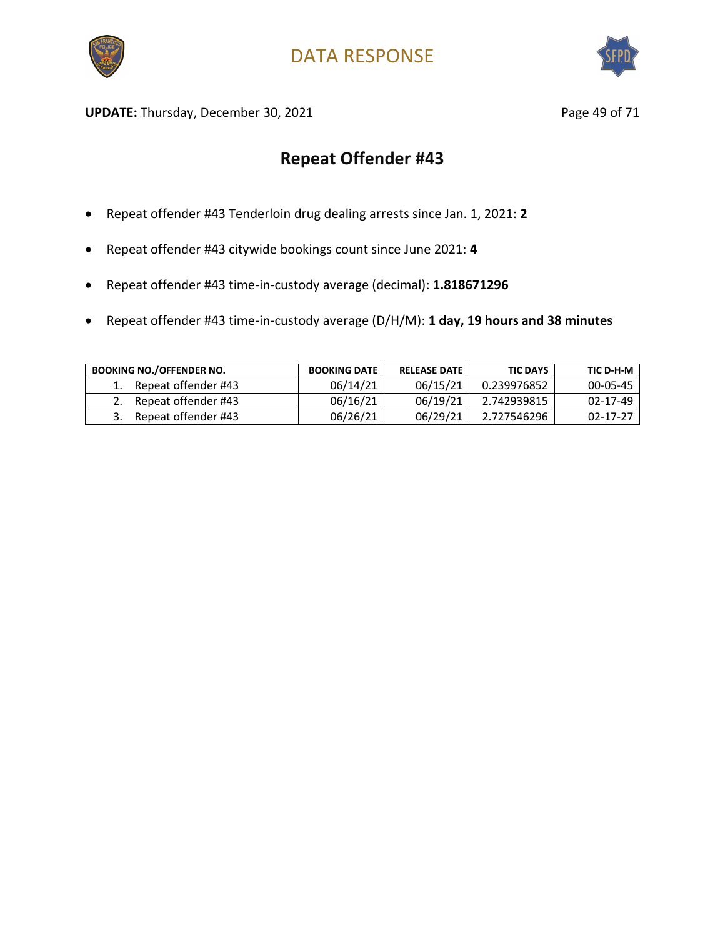



UPDATE: Thursday, December 30, 2021 and the same of 71 page 49 of 71

- Repeat offender #43 Tenderloin drug dealing arrests since Jan. 1, 2021: **2**
- Repeat offender #43 citywide bookings count since June 2021: **4**
- Repeat offender #43 time-in-custody average (decimal): **1.818671296**
- Repeat offender #43 time-in-custody average (D/H/M): **1 day, 19 hours and 38 minutes**

| <b>BOOKING NO./OFFENDER NO.</b> | <b>BOOKING DATE</b> | <b>RELEASE DATE</b> | <b>TIC DAYS</b> | TIC D-H-M      |
|---------------------------------|---------------------|---------------------|-----------------|----------------|
| Repeat offender #43             | 06/14/21            | 06/15/21            | 0.239976852     | 00-05-45       |
| Repeat offender #43             | 06/16/21            | 06/19/21            | 2.742939815     | $02 - 17 - 49$ |
| Repeat offender #43             | 06/26/21            | 06/29/21            | 2.727546296     | 02-17-27       |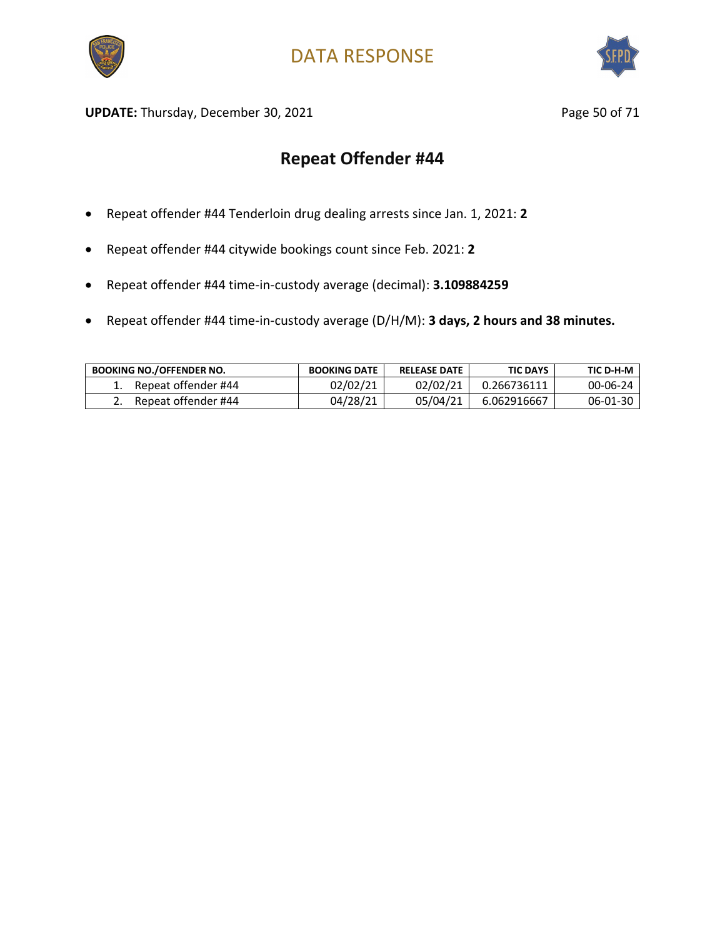



UPDATE: Thursday, December 30, 2021 and the same of the Page 50 of 71

- Repeat offender #44 Tenderloin drug dealing arrests since Jan. 1, 2021: **2**
- Repeat offender #44 citywide bookings count since Feb. 2021: **2**
- Repeat offender #44 time-in-custody average (decimal): **3.109884259**
- Repeat offender #44 time-in-custody average (D/H/M): **3 days, 2 hours and 38 minutes.**

| <b>BOOKING NO./OFFENDER NO.</b> | <b>BOOKING DATE</b> | <b>RELEASE DATE</b> | <b>TIC DAYS</b> | TIC D-H-M |
|---------------------------------|---------------------|---------------------|-----------------|-----------|
| Repeat offender #44             | 02/02/21            | 02/02/21            | 0.266736111     | 00-06-24  |
| Repeat offender #44             | 04/28/21            | 05/04/21            | 6.062916667     | 06-01-30  |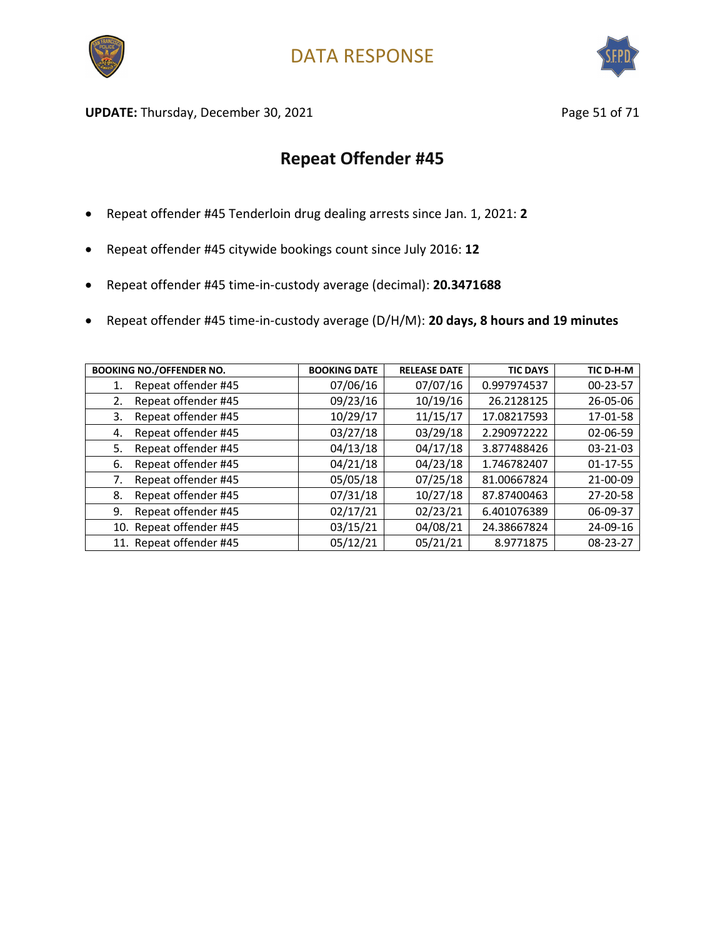



**UPDATE:** Thursday, December 30, 2021 **Page 51 of 71** Page 51 of 71

- Repeat offender #45 Tenderloin drug dealing arrests since Jan. 1, 2021: **2**
- Repeat offender #45 citywide bookings count since July 2016: **12**
- Repeat offender #45 time-in-custody average (decimal): **20.3471688**
- Repeat offender #45 time-in-custody average (D/H/M): **20 days, 8 hours and 19 minutes**

| <b>BOOKING NO./OFFENDER NO.</b> | <b>BOOKING DATE</b> | <b>RELEASE DATE</b> | <b>TIC DAYS</b> | TIC D-H-M      |
|---------------------------------|---------------------|---------------------|-----------------|----------------|
| Repeat offender #45             | 07/06/16            | 07/07/16            | 0.997974537     | $00 - 23 - 57$ |
| Repeat offender #45<br>2.       | 09/23/16            | 10/19/16            | 26.2128125      | $26 - 05 - 06$ |
| Repeat offender #45<br>3.       | 10/29/17            | 11/15/17            | 17.08217593     | 17-01-58       |
| Repeat offender #45<br>4.       | 03/27/18            | 03/29/18            | 2.290972222     | $02 - 06 - 59$ |
| Repeat offender #45<br>5.       | 04/13/18            | 04/17/18            | 3.877488426     | 03-21-03       |
| Repeat offender #45<br>6.       | 04/21/18            | 04/23/18            | 1.746782407     | 01-17-55       |
| Repeat offender #45<br>7.       | 05/05/18            | 07/25/18            | 81.00667824     | 21-00-09       |
| Repeat offender #45<br>8.       | 07/31/18            | 10/27/18            | 87.87400463     | 27-20-58       |
| Repeat offender #45<br>9.       | 02/17/21            | 02/23/21            | 6.401076389     | 06-09-37       |
| 10. Repeat offender #45         | 03/15/21            | 04/08/21            | 24.38667824     | 24-09-16       |
| 11. Repeat offender #45         | 05/12/21            | 05/21/21            | 8.9771875       | 08-23-27       |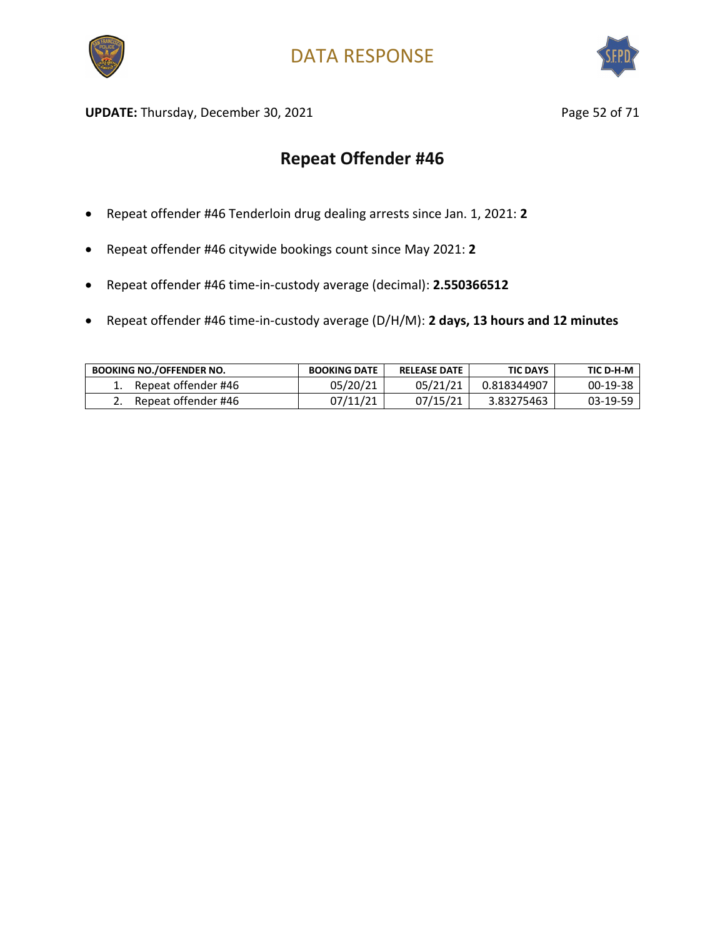



UPDATE: Thursday, December 30, 2021 and the same of the Page 52 of 71

- Repeat offender #46 Tenderloin drug dealing arrests since Jan. 1, 2021: **2**
- Repeat offender #46 citywide bookings count since May 2021: **2**
- Repeat offender #46 time-in-custody average (decimal): **2.550366512**
- Repeat offender #46 time-in-custody average (D/H/M): **2 days, 13 hours and 12 minutes**

| <b>BOOKING NO./OFFENDER NO.</b> | <b>BOOKING DATE</b> | <b>RELEASE DATE</b> | <b>TIC DAYS</b> | TIC D-H-M |
|---------------------------------|---------------------|---------------------|-----------------|-----------|
| Repeat offender #46             | 05/20/21            | 05/21/21            | 0.818344907     | 00-19-38  |
| Repeat offender #46             | 07/11/21            | 07/15/21            | 3.83275463      | 03-19-59  |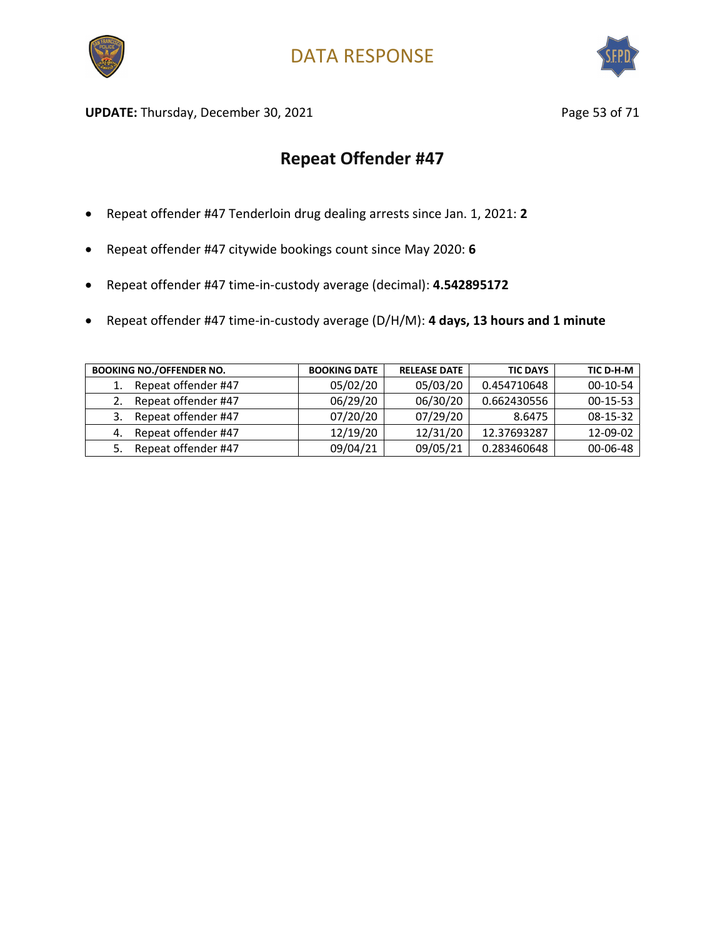



UPDATE: Thursday, December 30, 2021 and the same of the Page 53 of 71

- Repeat offender #47 Tenderloin drug dealing arrests since Jan. 1, 2021: **2**
- Repeat offender #47 citywide bookings count since May 2020: **6**
- Repeat offender #47 time-in-custody average (decimal): **4.542895172**
- Repeat offender #47 time-in-custody average (D/H/M): **4 days, 13 hours and 1 minute**

| <b>BOOKING NO./OFFENDER NO.</b> | <b>BOOKING DATE</b> | <b>RELEASE DATE</b> | <b>TIC DAYS</b> | TIC D-H-M      |
|---------------------------------|---------------------|---------------------|-----------------|----------------|
| Repeat offender #47             | 05/02/20            | 05/03/20            | 0.454710648     | $00-10-54$     |
| Repeat offender #47             | 06/29/20            | 06/30/20            | 0.662430556     | $00-15-53$     |
| Repeat offender #47<br>3.       | 07/20/20            | 07/29/20            | 8.6475          | $08 - 15 - 32$ |
| Repeat offender #47<br>4.       | 12/19/20            | 12/31/20            | 12.37693287     | 12-09-02       |
| Repeat offender #47             | 09/04/21            | 09/05/21            | 0.283460648     | $00 - 06 - 48$ |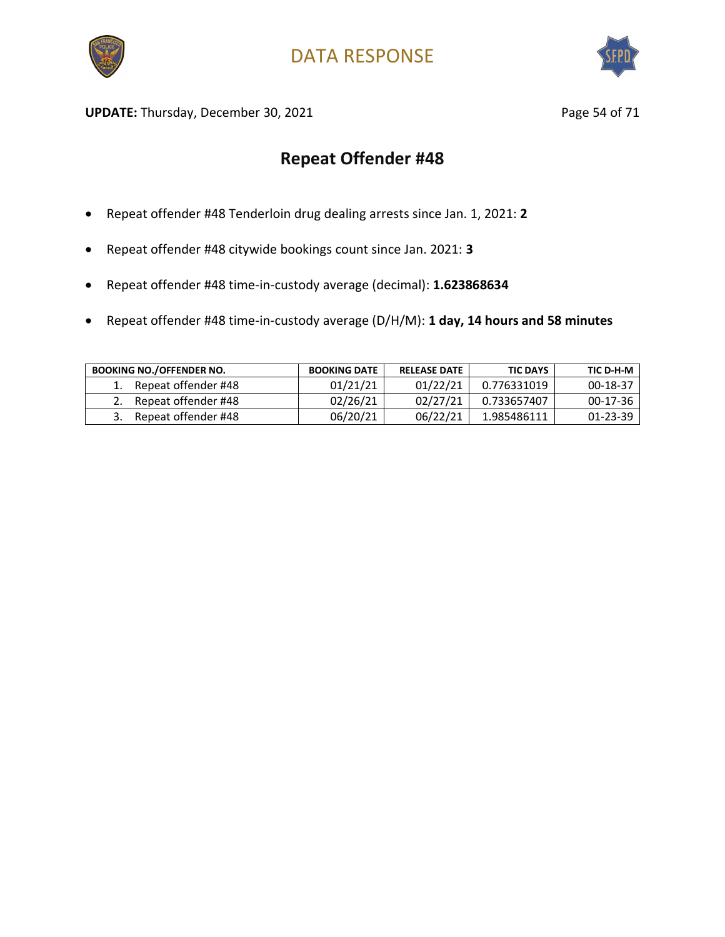



UPDATE: Thursday, December 30, 2021 and the same of 21 and 21 and 22 and 22 and 22 and 22 and 22 and 22 and 23 and 23 and 23 and 23 and 23 and 23 and 23 and 23 and 23 and 23 and 23 and 23 and 23 and 23 and 23 and 23 and 23

- Repeat offender #48 Tenderloin drug dealing arrests since Jan. 1, 2021: **2**
- Repeat offender #48 citywide bookings count since Jan. 2021: **3**
- Repeat offender #48 time-in-custody average (decimal): **1.623868634**
- Repeat offender #48 time-in-custody average (D/H/M): **1 day, 14 hours and 58 minutes**

| <b>BOOKING NO./OFFENDER NO.</b> | <b>BOOKING DATE</b> | <b>RELEASE DATE</b> | <b>TIC DAYS</b> | TIC D-H-M      |
|---------------------------------|---------------------|---------------------|-----------------|----------------|
| Repeat offender #48             | 01/21/21            | 01/22/21            | 0.776331019     | 00-18-37       |
| Repeat offender #48             | 02/26/21            | 02/27/21            | 0.733657407     | $00-17-36$     |
| Repeat offender #48             | 06/20/21            | 06/22/21            | 1.985486111     | $01 - 23 - 39$ |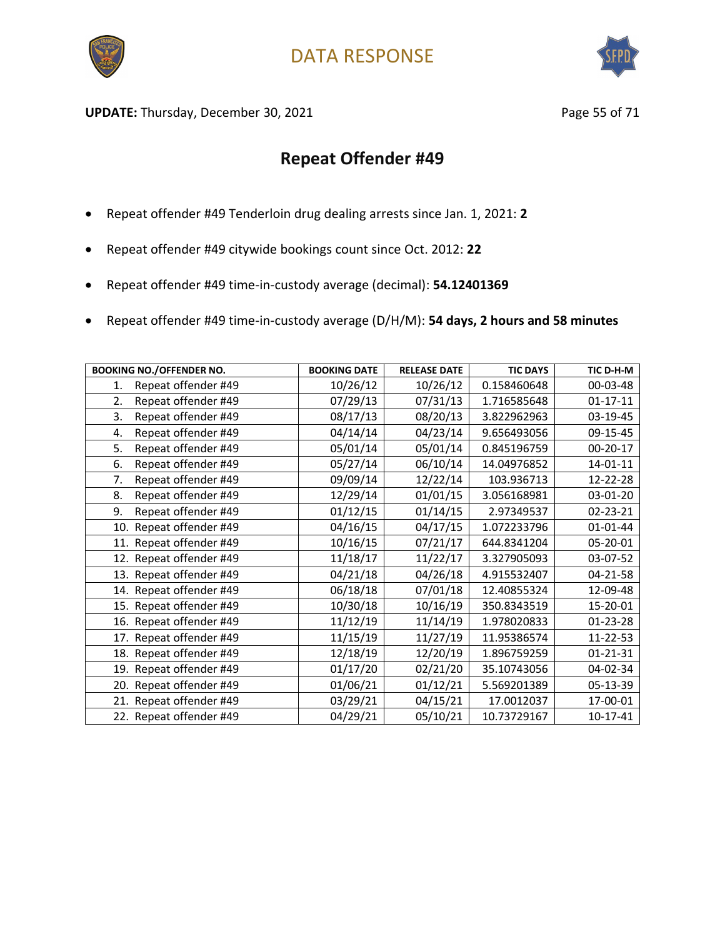



UPDATE: Thursday, December 30, 2021 and the state of the Page 55 of 71

- Repeat offender #49 Tenderloin drug dealing arrests since Jan. 1, 2021: **2**
- Repeat offender #49 citywide bookings count since Oct. 2012: **22**
- Repeat offender #49 time-in-custody average (decimal): **54.12401369**
- Repeat offender #49 time-in-custody average (D/H/M): **54 days, 2 hours and 58 minutes**

| <b>BOOKING NO./OFFENDER NO.</b> | <b>BOOKING DATE</b> | <b>RELEASE DATE</b> | <b>TIC DAYS</b> | TIC D-H-M      |
|---------------------------------|---------------------|---------------------|-----------------|----------------|
| Repeat offender #49<br>1.       | 10/26/12            | 10/26/12            | 0.158460648     | 00-03-48       |
| Repeat offender #49<br>2.       | 07/29/13            | 07/31/13            | 1.716585648     | $01 - 17 - 11$ |
| 3.<br>Repeat offender #49       | 08/17/13            | 08/20/13            | 3.822962963     | 03-19-45       |
| Repeat offender #49<br>4.       | 04/14/14            | 04/23/14            | 9.656493056     | 09-15-45       |
| 5.<br>Repeat offender #49       | 05/01/14            | 05/01/14            | 0.845196759     | $00 - 20 - 17$ |
| Repeat offender #49<br>6.       | 05/27/14            | 06/10/14            | 14.04976852     | $14 - 01 - 11$ |
| Repeat offender #49<br>7.       | 09/09/14            | 12/22/14            | 103.936713      | 12-22-28       |
| Repeat offender #49<br>8.       | 12/29/14            | 01/01/15            | 3.056168981     | 03-01-20       |
| 9.<br>Repeat offender #49       | 01/12/15            | 01/14/15            | 2.97349537      | 02-23-21       |
| 10. Repeat offender #49         | 04/16/15            | 04/17/15            | 1.072233796     | $01 - 01 - 44$ |
| 11. Repeat offender #49         | 10/16/15            | 07/21/17            | 644.8341204     | 05-20-01       |
| 12. Repeat offender #49         | 11/18/17            | 11/22/17            | 3.327905093     | 03-07-52       |
| 13. Repeat offender #49         | 04/21/18            | 04/26/18            | 4.915532407     | 04-21-58       |
| 14. Repeat offender #49         | 06/18/18            | 07/01/18            | 12.40855324     | 12-09-48       |
| 15. Repeat offender #49         | 10/30/18            | 10/16/19            | 350.8343519     | 15-20-01       |
| 16. Repeat offender #49         | 11/12/19            | 11/14/19            | 1.978020833     | 01-23-28       |
| 17. Repeat offender #49         | 11/15/19            | 11/27/19            | 11.95386574     | 11-22-53       |
| 18. Repeat offender #49         | 12/18/19            | 12/20/19            | 1.896759259     | $01 - 21 - 31$ |
| 19. Repeat offender #49         | 01/17/20            | 02/21/20            | 35.10743056     | 04-02-34       |
| 20. Repeat offender #49         | 01/06/21            | 01/12/21            | 5.569201389     | 05-13-39       |
| 21. Repeat offender #49         | 03/29/21            | 04/15/21            | 17.0012037      | 17-00-01       |
| 22. Repeat offender #49         | 04/29/21            | 05/10/21            | 10.73729167     | $10-17-41$     |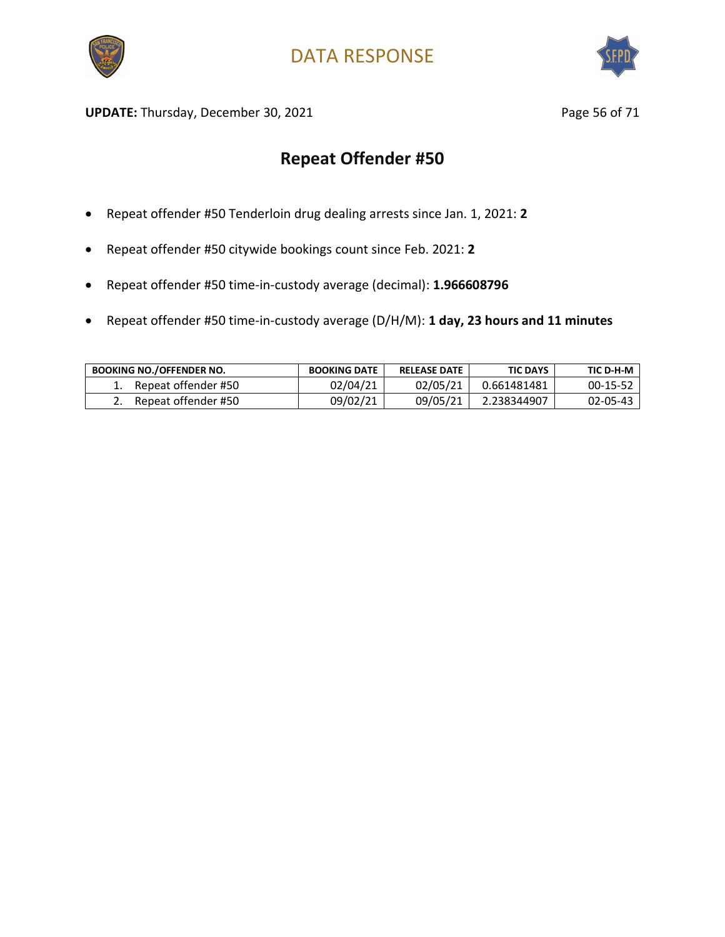



UPDATE: Thursday, December 30, 2021 and the state of 21 and 2012 and 2012 and 2012 and 2012 and 2012 and 2012 and 2013 and 2012 and 2013 and 2013 and 2013 and 2013 and 2013 and 2013 and 2013 and 2013 and 2013 and 2013 and

- Repeat offender #50 Tenderloin drug dealing arrests since Jan. 1, 2021: **2**
- Repeat offender #50 citywide bookings count since Feb. 2021: **2**
- Repeat offender #50 time-in-custody average (decimal): **1.966608796**
- Repeat offender #50 time-in-custody average (D/H/M): **1 day, 23 hours and 11 minutes**

| <b>BOOKING NO./OFFENDER NO.</b> | <b>BOOKING DATE</b> | <b>RELEASE DATE</b> | <b>TIC DAYS</b> | TIC D-H-M  |
|---------------------------------|---------------------|---------------------|-----------------|------------|
| Repeat offender #50             | 02/04/21            | 02/05/21            | 0.661481481     | $00-15-52$ |
| Repeat offender #50             | 09/02/21            | 09/05/21            | 2.238344907     | 02-05-43   |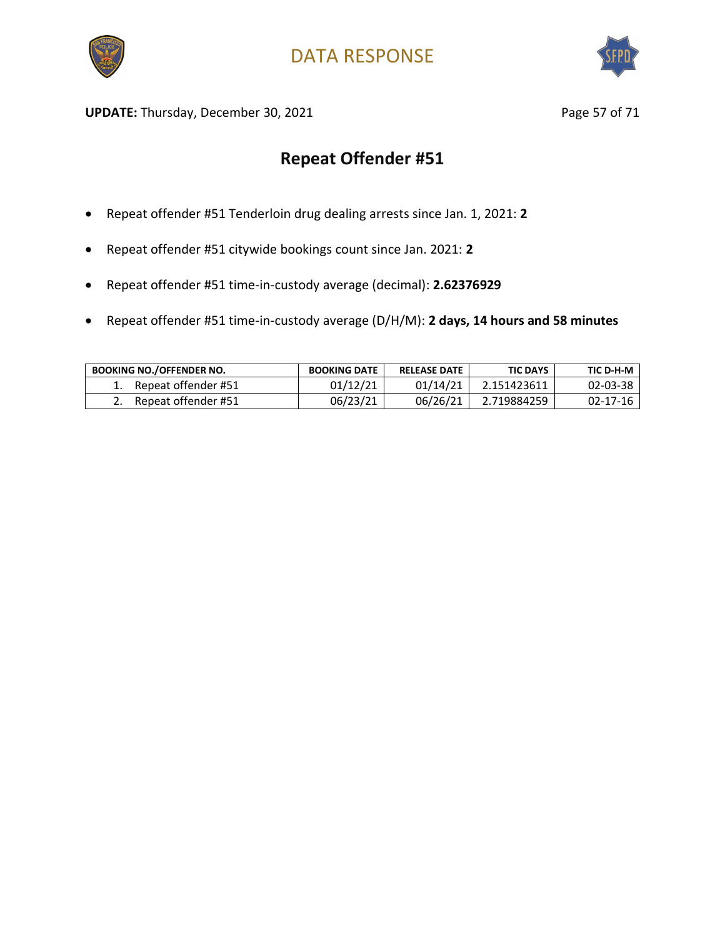



UPDATE: Thursday, December 30, 2021 and the same of the Page 57 of 71

- Repeat offender #51 Tenderloin drug dealing arrests since Jan. 1, 2021: **2**
- Repeat offender #51 citywide bookings count since Jan. 2021: **2**
- Repeat offender #51 time-in-custody average (decimal): **2.62376929**
- Repeat offender #51 time-in-custody average (D/H/M): **2 days, 14 hours and 58 minutes**

| <b>BOOKING NO./OFFENDER NO.</b> | <b>BOOKING DATE</b> | <b>RELEASE DATE</b> | <b>TIC DAYS</b> | TIC D-H-M |
|---------------------------------|---------------------|---------------------|-----------------|-----------|
| Repeat offender #51             | 01/12/21            | 01/14/21            | 2.151423611     | 02-03-38  |
| Repeat offender #51             | 06/23/21            | 06/26/21            | 2.719884259     | 02-17-16  |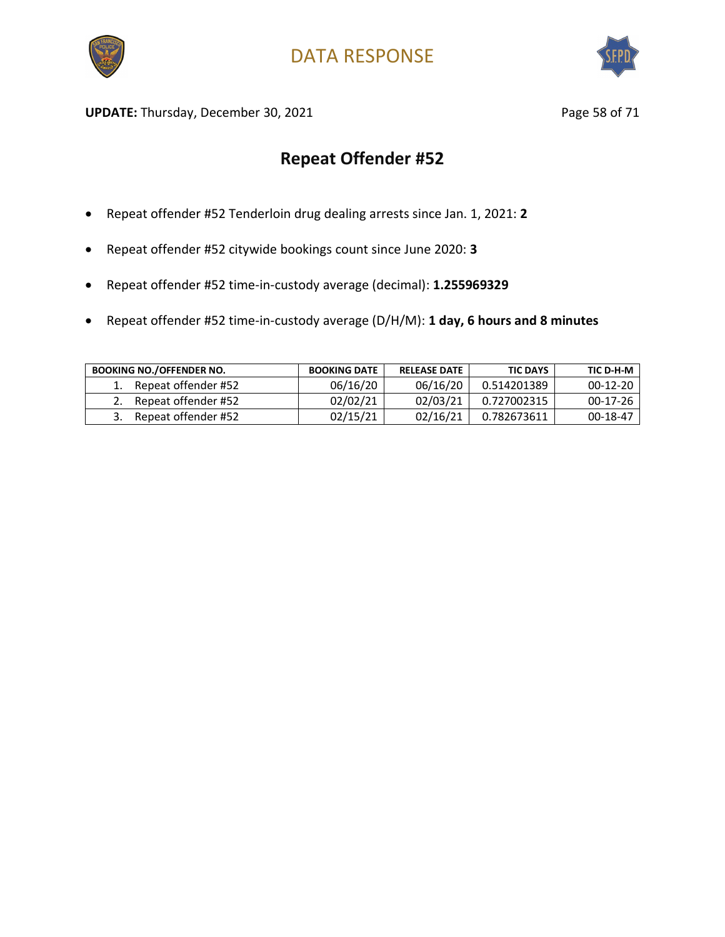



UPDATE: Thursday, December 30, 2021 and the same of the Page 58 of 71

- Repeat offender #52 Tenderloin drug dealing arrests since Jan. 1, 2021: **2**
- Repeat offender #52 citywide bookings count since June 2020: **3**
- Repeat offender #52 time-in-custody average (decimal): **1.255969329**
- Repeat offender #52 time-in-custody average (D/H/M): **1 day, 6 hours and 8 minutes**

| <b>BOOKING NO./OFFENDER NO.</b> | <b>BOOKING DATE</b> | <b>RELEASE DATE</b> | <b>TIC DAYS</b> | TIC D-H-M  |
|---------------------------------|---------------------|---------------------|-----------------|------------|
| Repeat offender #52             | 06/16/20            | 06/16/20            | 0.514201389     | $00-12-20$ |
| Repeat offender #52             | 02/02/21            | 02/03/21            | 0.727002315     | $00-17-26$ |
| Repeat offender #52             | 02/15/21            | 02/16/21            | 0.782673611     | 00-18-47   |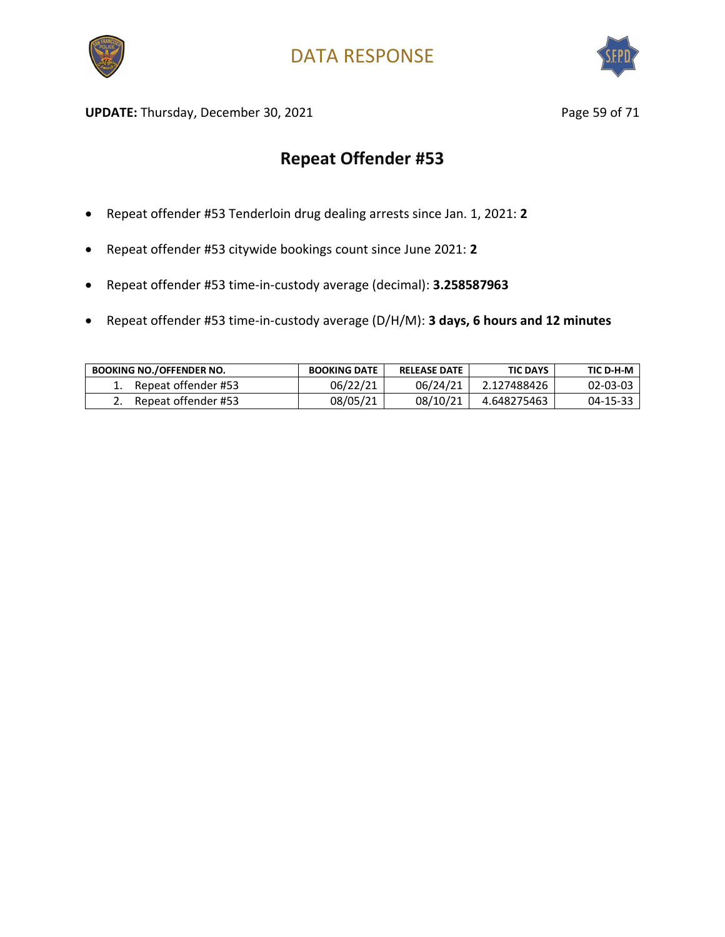



UPDATE: Thursday, December 30, 2021 and the same of the Page 59 of 71

- Repeat offender #53 Tenderloin drug dealing arrests since Jan. 1, 2021: **2**
- Repeat offender #53 citywide bookings count since June 2021: **2**
- Repeat offender #53 time-in-custody average (decimal): **3.258587963**
- Repeat offender #53 time-in-custody average (D/H/M): **3 days, 6 hours and 12 minutes**

| <b>BOOKING NO./OFFENDER NO.</b> | <b>BOOKING DATE</b> | <b>RELEASE DATE</b> | <b>TIC DAYS</b> | TIC D-H-M |
|---------------------------------|---------------------|---------------------|-----------------|-----------|
| Repeat offender #53             | 06/22/21            | 06/24/21            | 2.127488426     | 02-03-03  |
| Repeat offender #53             | 08/05/21            | 08/10/21            | 4.648275463     | 04-15-33  |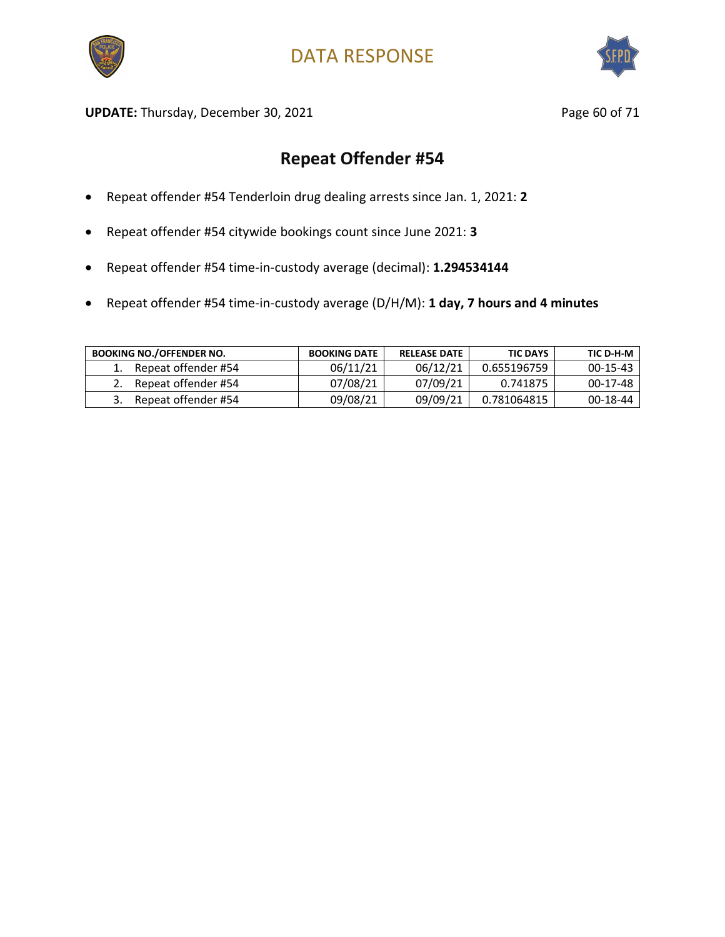



UPDATE: Thursday, December 30, 2021 and the state of the Page 60 of 71

- Repeat offender #54 Tenderloin drug dealing arrests since Jan. 1, 2021: **2**
- Repeat offender #54 citywide bookings count since June 2021: **3**
- Repeat offender #54 time-in-custody average (decimal): **1.294534144**
- Repeat offender #54 time-in-custody average (D/H/M): **1 day, 7 hours and 4 minutes**

| <b>BOOKING NO./OFFENDER NO.</b> | <b>BOOKING DATE</b> | <b>RELEASE DATE</b> | <b>TIC DAYS</b> | TIC D-H-M  |
|---------------------------------|---------------------|---------------------|-----------------|------------|
| Repeat offender #54             | 06/11/21            | 06/12/21            | 0.655196759     | $00-15-43$ |
| Repeat offender #54             | 07/08/21            | 07/09/21            | 0.741875        | 00-17-48   |
| Repeat offender #54             | 09/08/21            | 09/09/21            | 0.781064815     | 00-18-44   |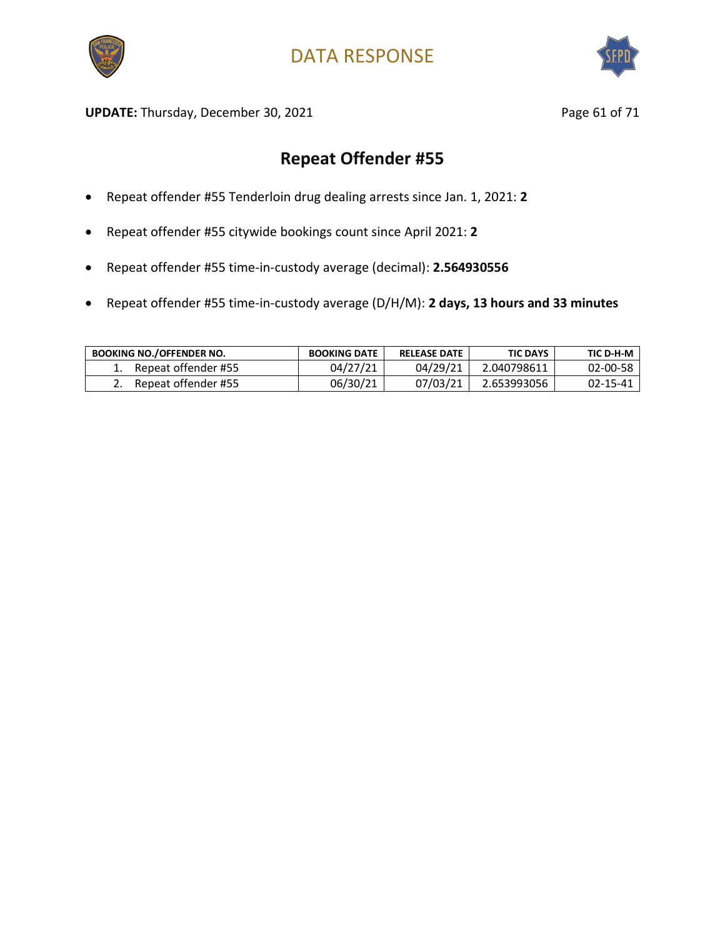



UPDATE: Thursday, December 30, 2021 and the state of 21 and 21 and 22 and 22 and 22 and 22 and 22 and 22 and 23 and 23 and 23 and 23 and 23 and 23 and 23 and 23 and 23 and 23 and 23 and 23 and 23 and 23 and 23 and 23 and 2

- Repeat offender #55 Tenderloin drug dealing arrests since Jan. 1, 2021: **2**
- Repeat offender #55 citywide bookings count since April 2021: **2**
- Repeat offender #55 time-in-custody average (decimal): **2.564930556**
- Repeat offender #55 time-in-custody average (D/H/M): **2 days, 13 hours and 33 minutes**

| <b>BOOKING NO./OFFENDER NO.</b> | <b>BOOKING DATE</b> | <b>RELEASE DATE</b> | <b>TIC DAYS</b> | TIC D-H-M      |
|---------------------------------|---------------------|---------------------|-----------------|----------------|
| Repeat offender #55             | 04/27/21            | 04/29/21            | 2.040798611     | $02 - 00 - 58$ |
| Repeat offender #55             | 06/30/21            | 07/03/21            | 2.653993056     | 02-15-41       |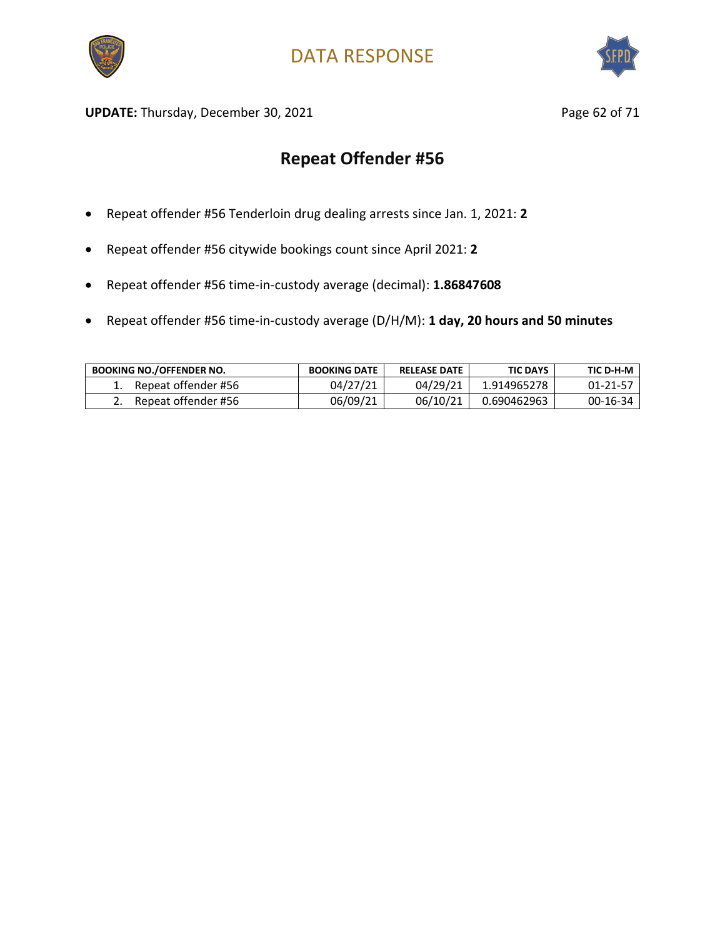



UPDATE: Thursday, December 30, 2021 and the same of the Page 62 of 71

- Repeat offender #56 Tenderloin drug dealing arrests since Jan. 1, 2021: **2**
- Repeat offender #56 citywide bookings count since April 2021: **2**
- Repeat offender #56 time-in-custody average (decimal): **1.86847608**
- Repeat offender #56 time-in-custody average (D/H/M): **1 day, 20 hours and 50 minutes**

| <b>BOOKING NO./OFFENDER NO.</b> | <b>BOOKING DATE</b> | <b>RELEASE DATE</b> | <b>TIC DAYS</b> | TIC D-H-M      |
|---------------------------------|---------------------|---------------------|-----------------|----------------|
| Repeat offender #56             | 04/27/21            | 04/29/21            | 1.914965278     | $01 - 21 - 57$ |
| Repeat offender #56             | 06/09/21            | 06/10/21            | 0.690462963     | 00-16-34       |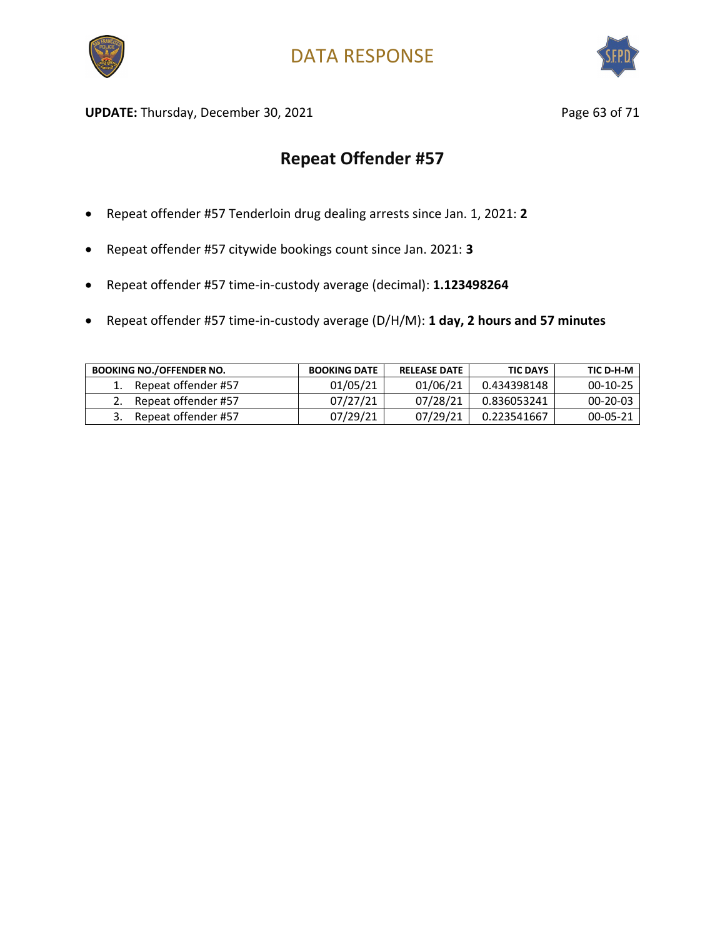



UPDATE: Thursday, December 30, 2021 and the state of the Page 63 of 71

- Repeat offender #57 Tenderloin drug dealing arrests since Jan. 1, 2021: **2**
- Repeat offender #57 citywide bookings count since Jan. 2021: **3**
- Repeat offender #57 time-in-custody average (decimal): **1.123498264**
- Repeat offender #57 time-in-custody average (D/H/M): **1 day, 2 hours and 57 minutes**

| <b>BOOKING NO./OFFENDER NO.</b> | <b>BOOKING DATE</b> | <b>RELEASE DATE</b> | <b>TIC DAYS</b> | TIC D-H-M      |
|---------------------------------|---------------------|---------------------|-----------------|----------------|
| Repeat offender #57             | 01/05/21            | 01/06/21            | 0.434398148     | $00-10-25$     |
| Repeat offender #57             | 07/27/21            | 07/28/21            | 0.836053241     | $00 - 20 - 03$ |
| Repeat offender #57             | 07/29/21            | 07/29/21            | 0.223541667     | $00 - 05 - 21$ |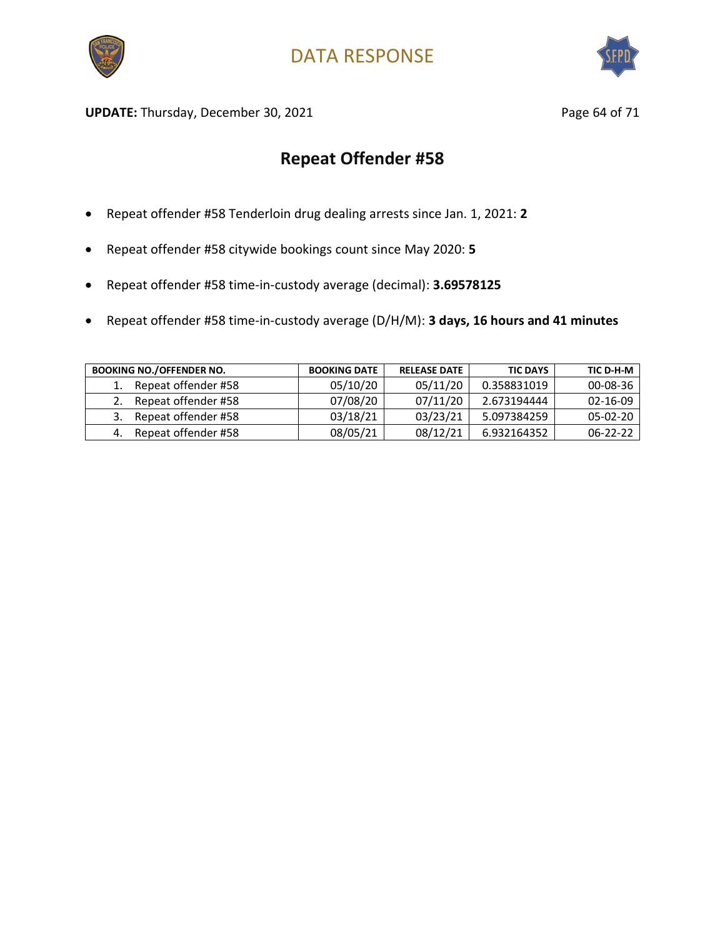



UPDATE: Thursday, December 30, 2021 and the state of 21 and 21 and 22 and 22 and 22 and 22 and 22 and 22 and 23 and 23 and 23 and 23 and 23 and 23 and 23 and 23 and 23 and 23 and 23 and 23 and 23 and 23 and 23 and 23 and 2

- Repeat offender #58 Tenderloin drug dealing arrests since Jan. 1, 2021: **2**
- Repeat offender #58 citywide bookings count since May 2020: **5**
- Repeat offender #58 time-in-custody average (decimal): **3.69578125**
- Repeat offender #58 time-in-custody average (D/H/M): **3 days, 16 hours and 41 minutes**

| <b>BOOKING NO./OFFENDER NO.</b> | <b>BOOKING DATE</b> | <b>RELEASE DATE</b> | <b>TIC DAYS</b> | TIC D-H-M      |
|---------------------------------|---------------------|---------------------|-----------------|----------------|
| Repeat offender #58             | 05/10/20            | 05/11/20            | 0.358831019     | $00 - 08 - 36$ |
| Repeat offender #58             | 07/08/20            | 07/11/20            | 2.673194444     | $02 - 16 - 09$ |
| Repeat offender #58             | 03/18/21            | 03/23/21            | 5.097384259     | $05-02-20$     |
| Repeat offender #58             | 08/05/21            | 08/12/21            | 6.932164352     | $06 - 22 - 22$ |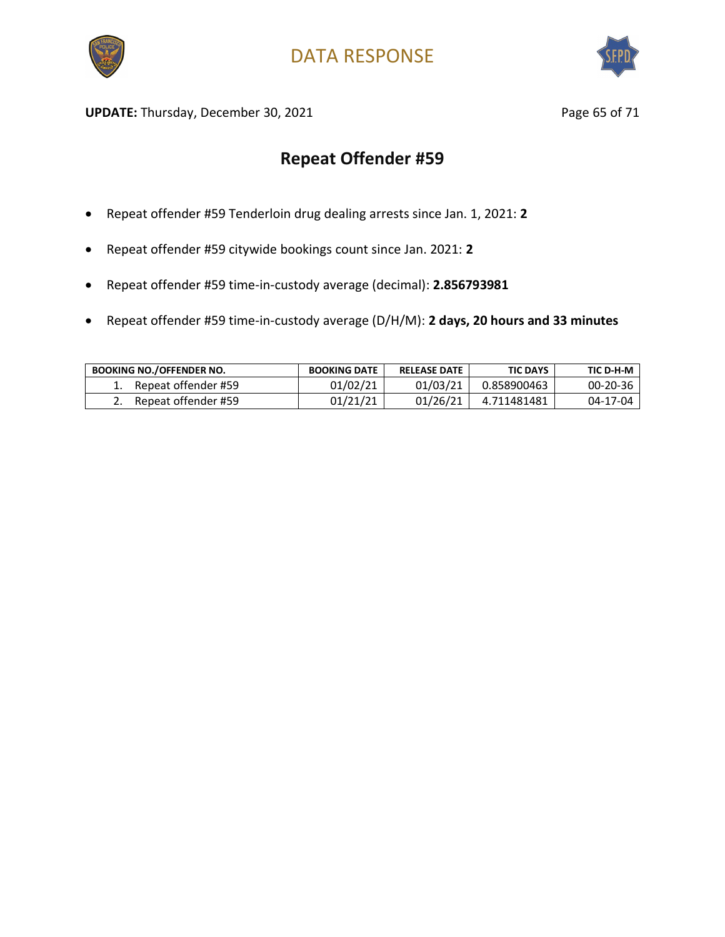



UPDATE: Thursday, December 30, 2021 and the same of the Page 65 of 71

- Repeat offender #59 Tenderloin drug dealing arrests since Jan. 1, 2021: **2**
- Repeat offender #59 citywide bookings count since Jan. 2021: **2**
- Repeat offender #59 time-in-custody average (decimal): **2.856793981**
- Repeat offender #59 time-in-custody average (D/H/M): **2 days, 20 hours and 33 minutes**

| <b>BOOKING NO./OFFENDER NO.</b> | <b>BOOKING DATE</b> | <b>RELEASE DATE</b> | <b>TIC DAYS</b> | TIC D-H-M |
|---------------------------------|---------------------|---------------------|-----------------|-----------|
| Repeat offender #59             | 01/02/21            | 01/03/21            | 0.858900463     | 00-20-36  |
| Repeat offender #59             | 01/21/21            | 01/26/21            | 4.711481481     | 04-17-04  |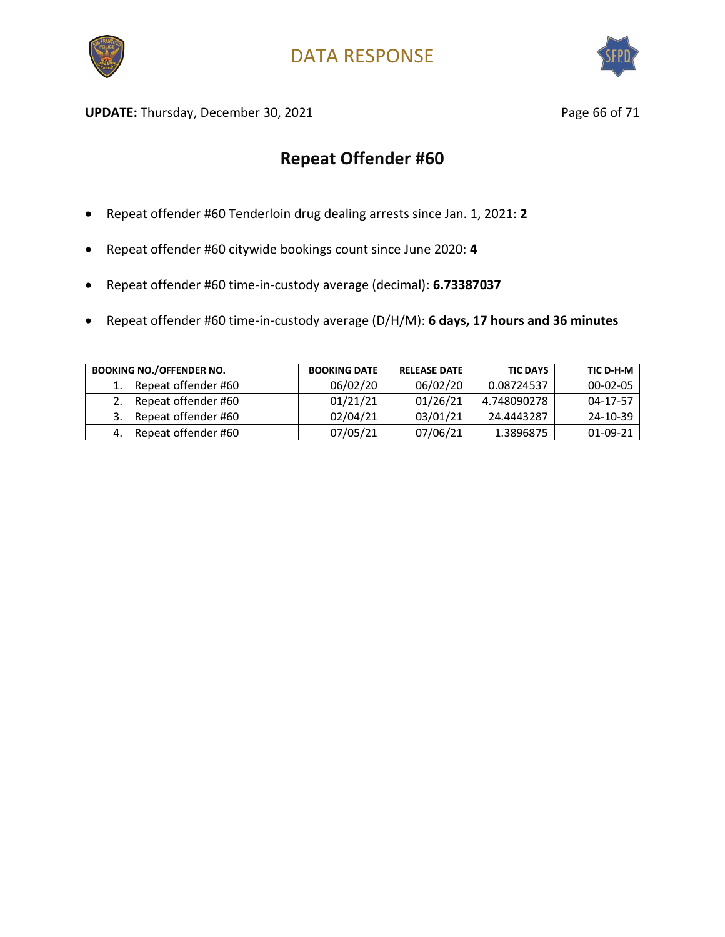



UPDATE: Thursday, December 30, 2021 and the state of 21 and 2011 and 2012 and 2012 and 2012 and 2012 and 2012 and 2012 and 2012 and 2012 and 2012 and 2012 and 2012 and 2012 and 2012 and 2012 and 2012 and 2012 and 2012 and

- Repeat offender #60 Tenderloin drug dealing arrests since Jan. 1, 2021: **2**
- Repeat offender #60 citywide bookings count since June 2020: **4**
- Repeat offender #60 time-in-custody average (decimal): **6.73387037**
- Repeat offender #60 time-in-custody average (D/H/M): **6 days, 17 hours and 36 minutes**

| <b>BOOKING NO./OFFENDER NO.</b> | <b>BOOKING DATE</b> | <b>RELEASE DATE</b> | <b>TIC DAYS</b> | TIC D-H-M      |
|---------------------------------|---------------------|---------------------|-----------------|----------------|
| Repeat offender #60             | 06/02/20            | 06/02/20            | 0.08724537      | $00 - 02 - 05$ |
| Repeat offender #60             | 01/21/21            | 01/26/21            | 4.748090278     | 04-17-57       |
| Repeat offender #60             | 02/04/21            | 03/01/21            | 24.4443287      | 24-10-39       |
| Repeat offender #60             | 07/05/21            | 07/06/21            | 1.3896875       | 01-09-21       |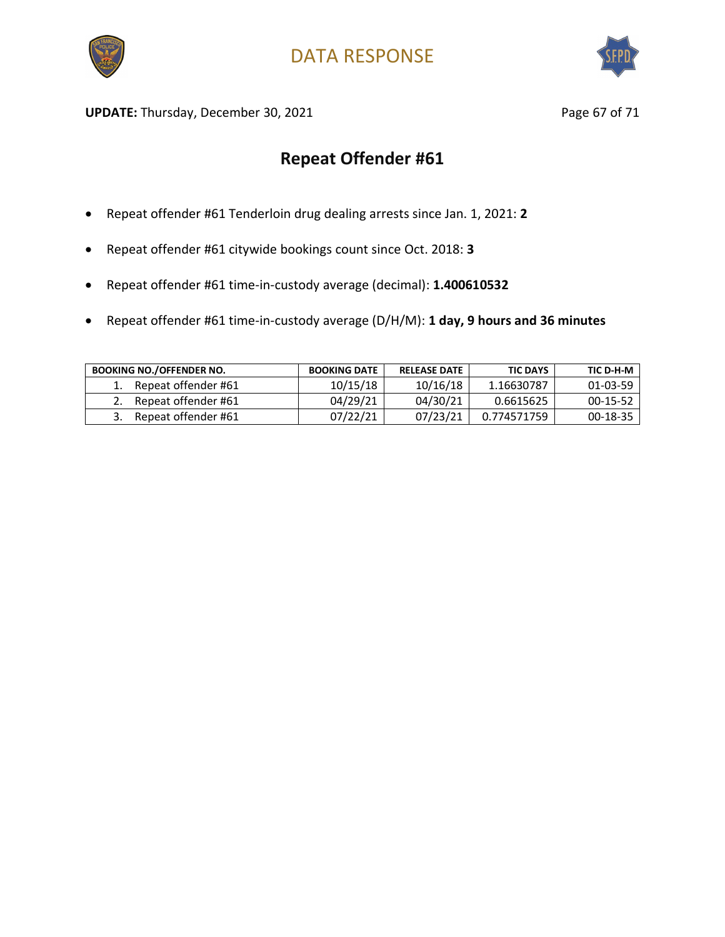



UPDATE: Thursday, December 30, 2021 and the same of the Page 67 of 71

- Repeat offender #61 Tenderloin drug dealing arrests since Jan. 1, 2021: **2**
- Repeat offender #61 citywide bookings count since Oct. 2018: **3**
- Repeat offender #61 time-in-custody average (decimal): **1.400610532**
- Repeat offender #61 time-in-custody average (D/H/M): **1 day, 9 hours and 36 minutes**

| <b>BOOKING NO./OFFENDER NO.</b> | <b>BOOKING DATE</b> | <b>RELEASE DATE</b> | <b>TIC DAYS</b> | TIC D-H-M  |
|---------------------------------|---------------------|---------------------|-----------------|------------|
| Repeat offender #61             | 10/15/18            | 10/16/18            | 1.16630787      | 01-03-59   |
| Repeat offender #61             | 04/29/21            | 04/30/21            | 0.6615625       | $00-15-52$ |
| Repeat offender #61             | 07/22/21            | 07/23/21            | 0.774571759     | 00-18-35   |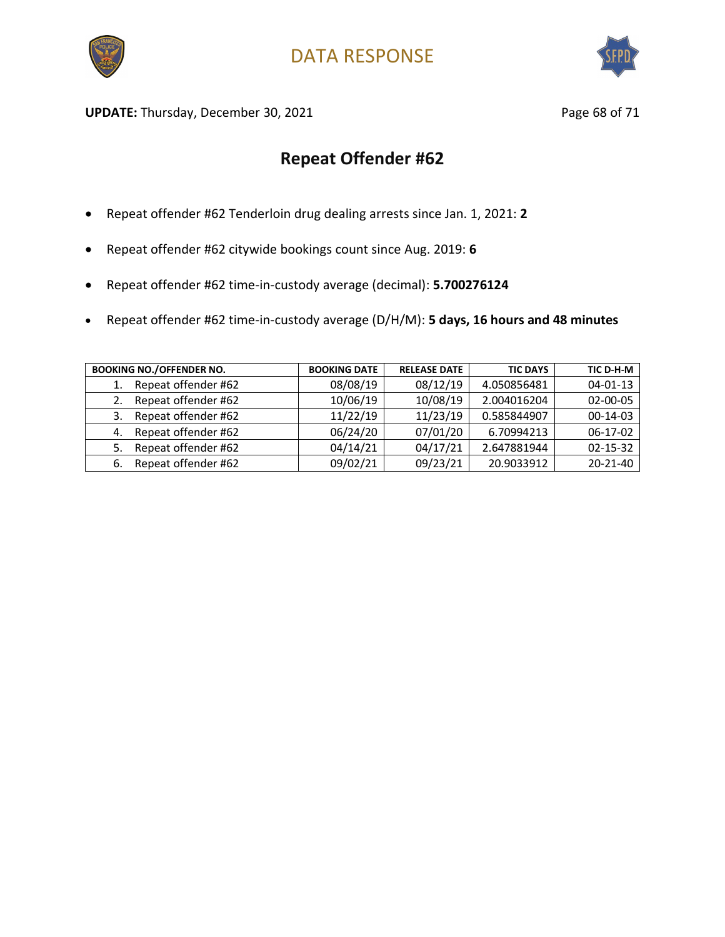



UPDATE: Thursday, December 30, 2021 and the state of the Page 68 of 71

- Repeat offender #62 Tenderloin drug dealing arrests since Jan. 1, 2021: **2**
- Repeat offender #62 citywide bookings count since Aug. 2019: **6**
- Repeat offender #62 time-in-custody average (decimal): **5.700276124**
- Repeat offender #62 time-in-custody average (D/H/M): **5 days, 16 hours and 48 minutes**

| <b>BOOKING NO./OFFENDER NO.</b> | <b>BOOKING DATE</b> | <b>RELEASE DATE</b> | <b>TIC DAYS</b> | TIC D-H-M      |
|---------------------------------|---------------------|---------------------|-----------------|----------------|
| Repeat offender #62             | 08/08/19            | 08/12/19            | 4.050856481     | $04 - 01 - 13$ |
| Repeat offender #62<br>2.       | 10/06/19            | 10/08/19            | 2.004016204     | 02-00-05       |
| Repeat offender #62<br>3.       | 11/22/19            | 11/23/19            | 0.585844907     | $00-14-03$     |
| Repeat offender #62<br>4.       | 06/24/20            | 07/01/20            | 6.70994213      | 06-17-02       |
| Repeat offender #62<br>5.       | 04/14/21            | 04/17/21            | 2.647881944     | $02 - 15 - 32$ |
| Repeat offender #62<br>6.       | 09/02/21            | 09/23/21            | 20.9033912      | $20 - 21 - 40$ |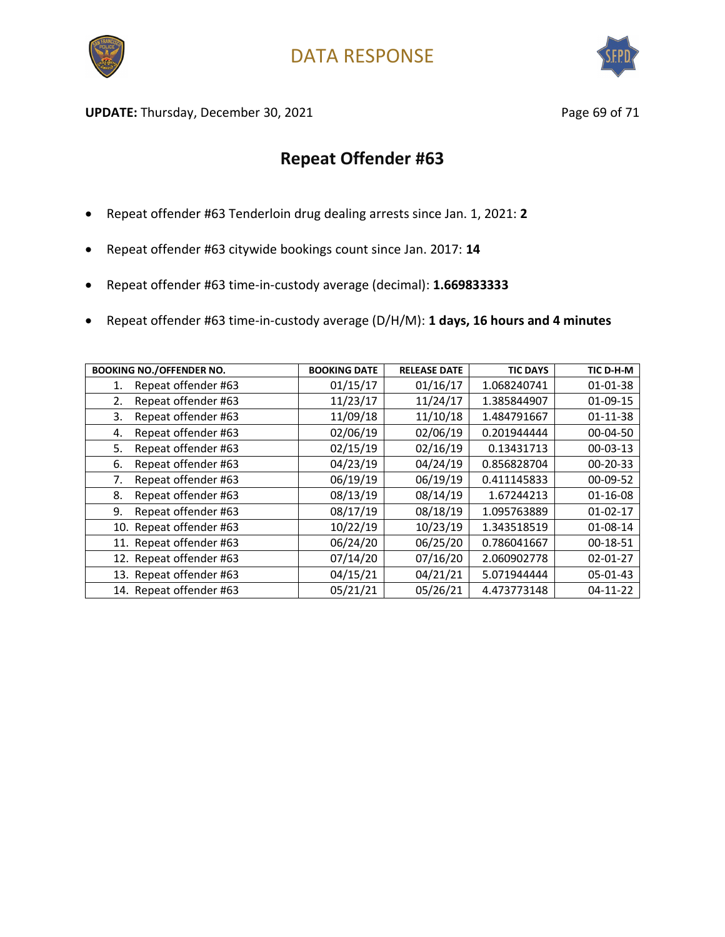



UPDATE: Thursday, December 30, 2021 and the same of the Page 69 of 71

- Repeat offender #63 Tenderloin drug dealing arrests since Jan. 1, 2021: **2**
- Repeat offender #63 citywide bookings count since Jan. 2017: **14**
- Repeat offender #63 time-in-custody average (decimal): **1.669833333**
- Repeat offender #63 time-in-custody average (D/H/M): **1 days, 16 hours and 4 minutes**

| <b>BOOKING NO./OFFENDER NO.</b> | <b>BOOKING DATE</b> | <b>RELEASE DATE</b> | <b>TIC DAYS</b> | TIC D-H-M      |
|---------------------------------|---------------------|---------------------|-----------------|----------------|
| Repeat offender #63<br>1.       | 01/15/17            | 01/16/17            | 1.068240741     | 01-01-38       |
| Repeat offender #63<br>2.       | 11/23/17            | 11/24/17            | 1.385844907     | 01-09-15       |
| Repeat offender #63<br>3.       | 11/09/18            | 11/10/18            | 1.484791667     | $01 - 11 - 38$ |
| Repeat offender #63<br>4.       | 02/06/19            | 02/06/19            | 0.201944444     | 00-04-50       |
| Repeat offender #63<br>5.       | 02/15/19            | 02/16/19            | 0.13431713      | $00 - 03 - 13$ |
| Repeat offender #63<br>6.       | 04/23/19            | 04/24/19            | 0.856828704     | 00-20-33       |
| Repeat offender #63<br>7.       | 06/19/19            | 06/19/19            | 0.411145833     | $00 - 09 - 52$ |
| Repeat offender #63<br>8.       | 08/13/19            | 08/14/19            | 1.67244213      | $01 - 16 - 08$ |
| Repeat offender #63<br>9.       | 08/17/19            | 08/18/19            | 1.095763889     | $01 - 02 - 17$ |
| 10. Repeat offender #63         | 10/22/19            | 10/23/19            | 1.343518519     | 01-08-14       |
| 11. Repeat offender #63         | 06/24/20            | 06/25/20            | 0.786041667     | 00-18-51       |
| 12. Repeat offender #63         | 07/14/20            | 07/16/20            | 2.060902778     | $02 - 01 - 27$ |
| 13. Repeat offender #63         | 04/15/21            | 04/21/21            | 5.071944444     | 05-01-43       |
| 14. Repeat offender #63         | 05/21/21            | 05/26/21            | 4.473773148     | $04-11-22$     |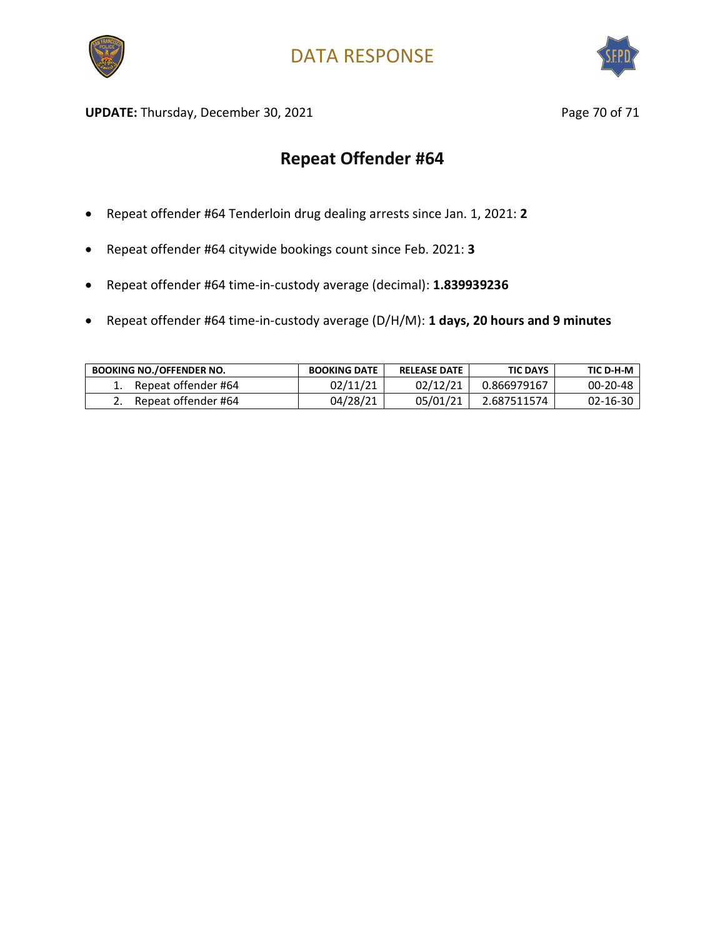



UPDATE: Thursday, December 30, 2021 and the same of the Page 70 of 71

- Repeat offender #64 Tenderloin drug dealing arrests since Jan. 1, 2021: **2**
- Repeat offender #64 citywide bookings count since Feb. 2021: **3**
- Repeat offender #64 time-in-custody average (decimal): **1.839939236**
- Repeat offender #64 time-in-custody average (D/H/M): **1 days, 20 hours and 9 minutes**

| <b>BOOKING NO./OFFENDER NO.</b> | <b>BOOKING DATE</b> | <b>RELEASE DATE</b> | <b>TIC DAYS</b> | TIC D-H-M      |
|---------------------------------|---------------------|---------------------|-----------------|----------------|
| Repeat offender #64             | 02/11/21            | 02/12/21            | 0.866979167     | $00 - 20 - 48$ |
| Repeat offender #64             | 04/28/21            | 05/01/21            | 2.687511574     | $02 - 16 - 30$ |